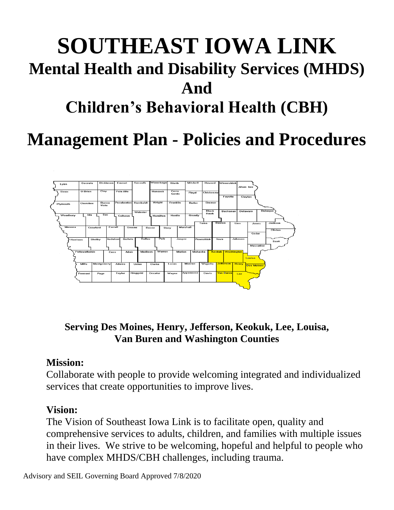# **SOUTHEAST IOWA LINK Mental Health and Disability Services (MHDS) And Children's Behavioral Health (CBH)**

# **Management Plan - Policies and Procedures**



**Serving Des Moines, Henry, Jefferson, Keokuk, Lee, Louisa, Van Buren and Washington Counties**

## **Mission:**

Collaborate with people to provide welcoming integrated and individualized services that create opportunities to improve lives.

## **Vision:**

The Vision of Southeast Iowa Link is to facilitate open, quality and comprehensive services to adults, children, and families with multiple issues in their lives. We strive to be welcoming, hopeful and helpful to people who have complex MHDS/CBH challenges, including trauma.

Advisory and SEIL Governing Board Approved 7/8/2020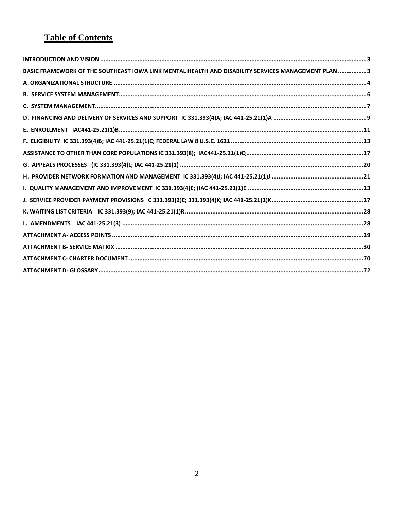## **Table of Contents**

| BASIC FRAMEWORK OF THE SOUTHEAST IOWA LINK MENTAL HEALTH AND DISABILITY SERVICES MANAGEMENT PLAN 3 |  |
|----------------------------------------------------------------------------------------------------|--|
|                                                                                                    |  |
|                                                                                                    |  |
|                                                                                                    |  |
|                                                                                                    |  |
|                                                                                                    |  |
|                                                                                                    |  |
|                                                                                                    |  |
|                                                                                                    |  |
|                                                                                                    |  |
|                                                                                                    |  |
|                                                                                                    |  |
|                                                                                                    |  |
|                                                                                                    |  |
|                                                                                                    |  |
|                                                                                                    |  |
|                                                                                                    |  |
|                                                                                                    |  |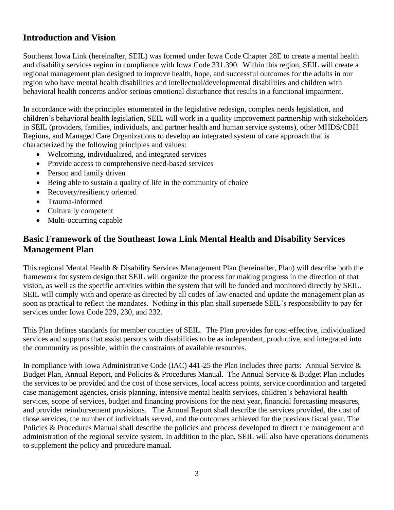## <span id="page-2-0"></span>**Introduction and Vision**

Southeast Iowa Link (hereinafter, SEIL) was formed under Iowa Code Chapter 28E to create a mental health and disability services region in compliance with Iowa Code 331.390. Within this region, SEIL will create a regional management plan designed to improve health, hope, and successful outcomes for the adults in our region who have mental health disabilities and intellectual/developmental disabilities and children with behavioral health concerns and/or serious emotional disturbance that results in a functional impairment.

In accordance with the principles enumerated in the legislative redesign, complex needs legislation, and children's behavioral health legislation, SEIL will work in a quality improvement partnership with stakeholders in SEIL (providers, families, individuals, and partner health and human service systems), other MHDS/CBH Regions, and Managed Care Organizations to develop an integrated system of care approach that is characterized by the following principles and values:

- Welcoming, individualized, and integrated services
- Provide access to comprehensive need-based services
- Person and family driven
- Being able to sustain a quality of life in the community of choice
- Recovery/resiliency oriented
- Trauma-informed
- Culturally competent
- Multi-occurring capable

## <span id="page-2-1"></span>**Basic Framework of the Southeast Iowa Link Mental Health and Disability Services Management Plan**

This regional Mental Health & Disability Services Management Plan (hereinafter, Plan) will describe both the framework for system design that SEIL will organize the process for making progress in the direction of that vision, as well as the specific activities within the system that will be funded and monitored directly by SEIL. SEIL will comply with and operate as directed by all codes of law enacted and update the management plan as soon as practical to reflect the mandates. Nothing in this plan shall supersede SEIL's responsibility to pay for services under Iowa Code 229, 230, and 232.

This Plan defines standards for member counties of SEIL. The Plan provides for cost-effective, individualized services and supports that assist persons with disabilities to be as independent, productive, and integrated into the community as possible, within the constraints of available resources.

In compliance with Iowa Administrative Code (IAC) 441-25 the Plan includes three parts: Annual Service & Budget Plan, Annual Report, and Policies & Procedures Manual. The Annual Service & Budget Plan includes the services to be provided and the cost of those services, local access points, service coordination and targeted case management agencies, crisis planning, intensive mental health services, children's behavioral health services, scope of services, budget and financing provisions for the next year, financial forecasting measures, and provider reimbursement provisions. The Annual Report shall describe the services provided, the cost of those services, the number of individuals served, and the outcomes achieved for the previous fiscal year. The Policies & Procedures Manual shall describe the policies and process developed to direct the management and administration of the regional service system. In addition to the plan, SEIL will also have operations documents to supplement the policy and procedure manual.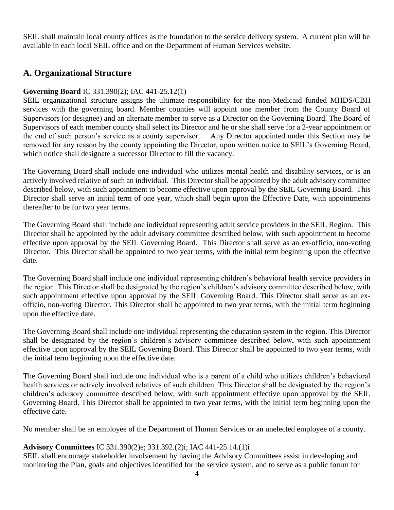SEIL shall maintain local county offices as the foundation to the service delivery system. A current plan will be available in each local SEIL office and on the Department of Human Services website.

## <span id="page-3-0"></span>**A. Organizational Structure**

#### **Governing Board** IC 331.390(2); IAC 441-25.12(1)

SEIL organizational structure assigns the ultimate responsibility for the non-Medicaid funded MHDS/CBH services with the governing board. Member counties will appoint one member from the County Board of Supervisors (or designee) and an alternate member to serve as a Director on the Governing Board. The Board of Supervisors of each member county shall select its Director and he or she shall serve for a 2-year appointment or the end of such person's service as a county supervisor. Any Director appointed under this Section may be removed for any reason by the county appointing the Director, upon written notice to SEIL's Governing Board, which notice shall designate a successor Director to fill the vacancy.

The Governing Board shall include one individual who utilizes mental health and disability services, or is an actively involved relative of such an individual. This Director shall be appointed by the adult advisory committee described below, with such appointment to become effective upon approval by the SEIL Governing Board. This Director shall serve an initial term of one year, which shall begin upon the Effective Date, with appointments thereafter to be for two year terms.

The Governing Board shall include one individual representing adult service providers in the SEIL Region. This Director shall be appointed by the adult advisory committee described below, with such appointment to become effective upon approval by the SEIL Governing Board. This Director shall serve as an ex-officio, non-voting Director. This Director shall be appointed to two year terms, with the initial term beginning upon the effective date.

The Governing Board shall include one individual representing children's behavioral health service providers in the region. This Director shall be designated by the region's children's advisory committee described below, with such appointment effective upon approval by the SEIL Governing Board. This Director shall serve as an exofficio, non-voting Director. This Director shall be appointed to two year terms, with the initial term beginning upon the effective date.

The Governing Board shall include one individual representing the education system in the region. This Director shall be designated by the region's children's advisory committee described below, with such appointment effective upon approval by the SEIL Governing Board. This Director shall be appointed to two year terms, with the initial term beginning upon the effective date.

The Governing Board shall include one individual who is a parent of a child who utilizes children's behavioral health services or actively involved relatives of such children. This Director shall be designated by the region's children's advisory committee described below, with such appointment effective upon approval by the SEIL Governing Board. This Director shall be appointed to two year terms, with the initial term beginning upon the effective date.

No member shall be an employee of the Department of Human Services or an unelected employee of a county.

#### **Advisory Committees** IC 331.390(2)e; 331.392.(2)i; IAC 441-25.14.(1)i

SEIL shall encourage stakeholder involvement by having the Advisory Committees assist in developing and monitoring the Plan, goals and objectives identified for the service system, and to serve as a public forum for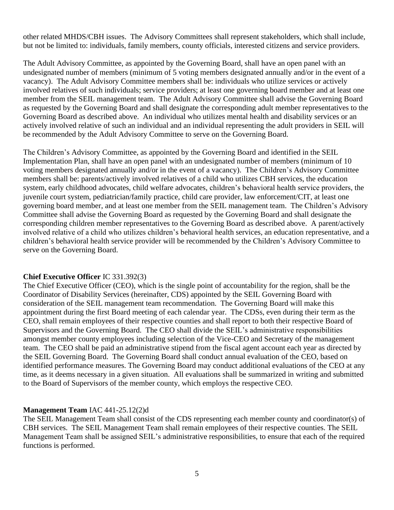other related MHDS/CBH issues. The Advisory Committees shall represent stakeholders, which shall include, but not be limited to: individuals, family members, county officials, interested citizens and service providers.

The Adult Advisory Committee, as appointed by the Governing Board, shall have an open panel with an undesignated number of members (minimum of 5 voting members designated annually and/or in the event of a vacancy). The Adult Advisory Committee members shall be: individuals who utilize services or actively involved relatives of such individuals; service providers; at least one governing board member and at least one member from the SEIL management team. The Adult Advisory Committee shall advise the Governing Board as requested by the Governing Board and shall designate the corresponding adult member representatives to the Governing Board as described above. An individual who utilizes mental health and disability services or an actively involved relative of such an individual and an individual representing the adult providers in SEIL will be recommended by the Adult Advisory Committee to serve on the Governing Board.

The Children's Advisory Committee, as appointed by the Governing Board and identified in the SEIL Implementation Plan, shall have an open panel with an undesignated number of members (minimum of 10 voting members designated annually and/or in the event of a vacancy). The Children's Advisory Committee members shall be: parents/actively involved relatives of a child who utilizes CBH services, the education system, early childhood advocates, child welfare advocates, children's behavioral health service providers, the juvenile court system, pediatrician/family practice, child care provider, law enforcement/CIT, at least one governing board member, and at least one member from the SEIL management team. The Children's Advisory Committee shall advise the Governing Board as requested by the Governing Board and shall designate the corresponding children member representatives to the Governing Board as described above. A parent/actively involved relative of a child who utilizes children's behavioral health services, an education representative, and a children's behavioral health service provider will be recommended by the Children's Advisory Committee to serve on the Governing Board.

#### **Chief Executive Officer** IC 331.392(3)

The Chief Executive Officer (CEO), which is the single point of accountability for the region, shall be the Coordinator of Disability Services (hereinafter, CDS) appointed by the SEIL Governing Board with consideration of the SEIL management team recommendation. The Governing Board will make this appointment during the first Board meeting of each calendar year. The CDSs, even during their term as the CEO, shall remain employees of their respective counties and shall report to both their respective Board of Supervisors and the Governing Board. The CEO shall divide the SEIL's administrative responsibilities amongst member county employees including selection of the Vice-CEO and Secretary of the management team. The CEO shall be paid an administrative stipend from the fiscal agent account each year as directed by the SEIL Governing Board. The Governing Board shall conduct annual evaluation of the CEO, based on identified performance measures. The Governing Board may conduct additional evaluations of the CEO at any time, as it deems necessary in a given situation. All evaluations shall be summarized in writing and submitted to the Board of Supervisors of the member county, which employs the respective CEO.

#### **Management Team** IAC 441-25.12(2)d

The SEIL Management Team shall consist of the CDS representing each member county and coordinator(s) of CBH services. The SEIL Management Team shall remain employees of their respective counties. The SEIL Management Team shall be assigned SEIL's administrative responsibilities, to ensure that each of the required functions is performed.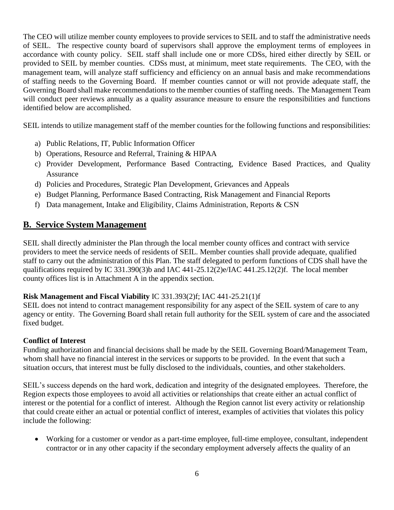The CEO will utilize member county employees to provide services to SEIL and to staff the administrative needs of SEIL. The respective county board of supervisors shall approve the employment terms of employees in accordance with county policy. SEIL staff shall include one or more CDSs, hired either directly by SEIL or provided to SEIL by member counties. CDSs must, at minimum, meet state requirements. The CEO, with the management team, will analyze staff sufficiency and efficiency on an annual basis and make recommendations of staffing needs to the Governing Board. If member counties cannot or will not provide adequate staff, the Governing Board shall make recommendations to the member counties of staffing needs. The Management Team will conduct peer reviews annually as a quality assurance measure to ensure the responsibilities and functions identified below are accomplished.

SEIL intends to utilize management staff of the member counties for the following functions and responsibilities:

- a) Public Relations, IT, Public Information Officer
- b) Operations, Resource and Referral, Training & HIPAA
- c) Provider Development, Performance Based Contracting, Evidence Based Practices, and Quality Assurance
- d) Policies and Procedures, Strategic Plan Development, Grievances and Appeals
- e) Budget Planning, Performance Based Contracting, Risk Management and Financial Reports
- f) Data management, Intake and Eligibility, Claims Administration, Reports & CSN

## <span id="page-5-0"></span>**B. Service System Management**

SEIL shall directly administer the Plan through the local member county offices and contract with service providers to meet the service needs of residents of SEIL. Member counties shall provide adequate, qualified staff to carry out the administration of this Plan. The staff delegated to perform functions of CDS shall have the qualifications required by IC 331.390(3)b and IAC 441-25.12(2)e/IAC 441.25.12(2)f. The local member county offices list is in Attachment A in the appendix section.

## **Risk Management and Fiscal Viability** IC 331.393(2)f; IAC 441-25.21(1)f

SEIL does not intend to contract management responsibility for any aspect of the SEIL system of care to any agency or entity. The Governing Board shall retain full authority for the SEIL system of care and the associated fixed budget.

#### **Conflict of Interest**

Funding authorization and financial decisions shall be made by the SEIL Governing Board/Management Team, whom shall have no financial interest in the services or supports to be provided. In the event that such a situation occurs, that interest must be fully disclosed to the individuals, counties, and other stakeholders.

SEIL's success depends on the hard work, dedication and integrity of the designated employees. Therefore, the Region expects those employees to avoid all activities or relationships that create either an actual conflict of interest or the potential for a conflict of interest. Although the Region cannot list every activity or relationship that could create either an actual or potential conflict of interest, examples of activities that violates this policy include the following:

• Working for a customer or vendor as a part-time employee, full-time employee, consultant, independent contractor or in any other capacity if the secondary employment adversely affects the quality of an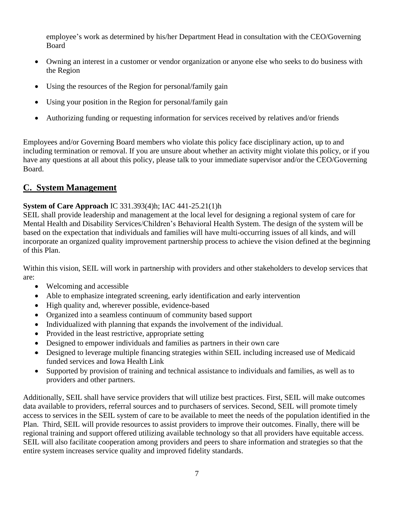employee's work as determined by his/her Department Head in consultation with the CEO/Governing Board

- Owning an interest in a customer or vendor organization or anyone else who seeks to do business with the Region
- Using the resources of the Region for personal/family gain
- Using your position in the Region for personal/family gain
- Authorizing funding or requesting information for services received by relatives and/or friends

Employees and/or Governing Board members who violate this policy face disciplinary action, up to and including termination or removal. If you are unsure about whether an activity might violate this policy, or if you have any questions at all about this policy, please talk to your immediate supervisor and/or the CEO/Governing Board.

## <span id="page-6-0"></span>**C. System Management**

#### **System of Care Approach** IC 331.393(4)h; IAC 441-25.21(1)h

SEIL shall provide leadership and management at the local level for designing a regional system of care for Mental Health and Disability Services/Children's Behavioral Health System. The design of the system will be based on the expectation that individuals and families will have multi-occurring issues of all kinds, and will incorporate an organized quality improvement partnership process to achieve the vision defined at the beginning of this Plan.

Within this vision, SEIL will work in partnership with providers and other stakeholders to develop services that are:

- Welcoming and accessible
- Able to emphasize integrated screening, early identification and early intervention
- High quality and, wherever possible, evidence-based
- Organized into a seamless continuum of community based support
- Individualized with planning that expands the involvement of the individual.
- Provided in the least restrictive, appropriate setting
- Designed to empower individuals and families as partners in their own care
- Designed to leverage multiple financing strategies within SEIL including increased use of Medicaid funded services and Iowa Health Link
- Supported by provision of training and technical assistance to individuals and families, as well as to providers and other partners.

Additionally, SEIL shall have service providers that will utilize best practices. First, SEIL will make outcomes data available to providers, referral sources and to purchasers of services. Second, SEIL will promote timely access to services in the SEIL system of care to be available to meet the needs of the population identified in the Plan. Third, SEIL will provide resources to assist providers to improve their outcomes. Finally, there will be regional training and support offered utilizing available technology so that all providers have equitable access. SEIL will also facilitate cooperation among providers and peers to share information and strategies so that the entire system increases service quality and improved fidelity standards.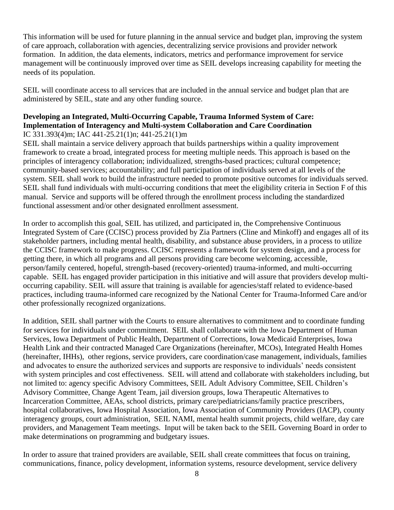This information will be used for future planning in the annual service and budget plan, improving the system of care approach, collaboration with agencies, decentralizing service provisions and provider network formation. In addition, the data elements, indicators, metrics and performance improvement for service management will be continuously improved over time as SEIL develops increasing capability for meeting the needs of its population.

SEIL will coordinate access to all services that are included in the annual service and budget plan that are administered by SEIL, state and any other funding source.

#### **Developing an Integrated, Multi-Occurring Capable, Trauma Informed System of Care: Implementation of Interagency and Multi-system Collaboration and Care Coordination** IC 331.393(4)m; IAC 441-25.21(1)n; 441-25.21(1)m

SEIL shall maintain a service delivery approach that builds partnerships within a quality improvement framework to create a broad, integrated process for meeting multiple needs. This approach is based on the principles of interagency collaboration; individualized, strengths-based practices; cultural competence; community-based services; accountability; and full participation of individuals served at all levels of the system. SEIL shall work to build the infrastructure needed to promote positive outcomes for individuals served. SEIL shall fund individuals with multi-occurring conditions that meet the eligibility criteria in Section F of this manual. Service and supports will be offered through the enrollment process including the standardized functional assessment and/or other designated enrollment assessment.

In order to accomplish this goal, SEIL has utilized, and participated in, the Comprehensive Continuous Integrated System of Care (CCISC) process provided by Zia Partners (Cline and Minkoff) and engages all of its stakeholder partners, including mental health, disability, and substance abuse providers, in a process to utilize the CCISC framework to make progress. CCISC represents a framework for system design, and a process for getting there, in which all programs and all persons providing care become welcoming, accessible, person/family centered, hopeful, strength-based (recovery-oriented) trauma-informed, and multi-occurring capable. SEIL has engaged provider participation in this initiative and will assure that providers develop multioccurring capability. SEIL will assure that training is available for agencies/staff related to evidence-based practices, including trauma-informed care recognized by the National Center for Trauma-Informed Care and/or other professionally recognized organizations.

In addition, SEIL shall partner with the Courts to ensure alternatives to commitment and to coordinate funding for services for individuals under commitment. SEIL shall collaborate with the Iowa Department of Human Services, Iowa Department of Public Health, Department of Corrections, Iowa Medicaid Enterprises, Iowa Health Link and their contracted Managed Care Organizations (hereinafter, MCOs), Integrated Health Homes (hereinafter, IHHs), other regions, service providers, care coordination/case management, individuals, families and advocates to ensure the authorized services and supports are responsive to individuals' needs consistent with system principles and cost effectiveness. SEIL will attend and collaborate with stakeholders including, but not limited to: agency specific Advisory Committees, SEIL Adult Advisory Committee, SEIL Children's Advisory Committee, Change Agent Team, jail diversion groups, Iowa Therapeutic Alternatives to Incarceration Committee, AEAs, school districts, primary care/pediatricians/family practice prescribers, hospital collaboratives, Iowa Hospital Association, Iowa Association of Community Providers (IACP), county interagency groups, court administration, SEIL NAMI, mental health summit projects, child welfare, day care providers, and Management Team meetings. Input will be taken back to the SEIL Governing Board in order to make determinations on programming and budgetary issues.

In order to assure that trained providers are available, SEIL shall create committees that focus on training, communications, finance, policy development, information systems, resource development, service delivery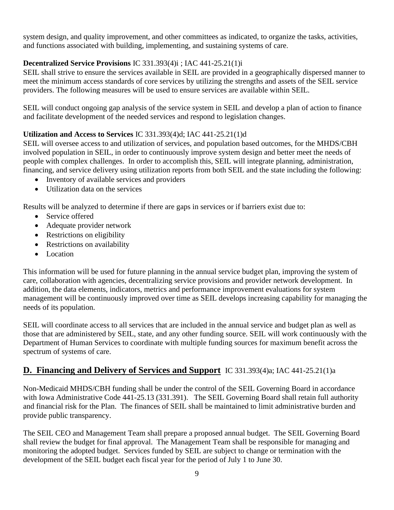system design, and quality improvement, and other committees as indicated, to organize the tasks, activities, and functions associated with building, implementing, and sustaining systems of care.

## **Decentralized Service Provisions** IC 331.393(4)i ; IAC 441-25.21(1)i

SEIL shall strive to ensure the services available in SEIL are provided in a geographically dispersed manner to meet the minimum access standards of core services by utilizing the strengths and assets of the SEIL service providers. The following measures will be used to ensure services are available within SEIL.

SEIL will conduct ongoing gap analysis of the service system in SEIL and develop a plan of action to finance and facilitate development of the needed services and respond to legislation changes.

## **Utilization and Access to Services** IC 331.393(4)d; IAC 441-25.21(1)d

SEIL will oversee access to and utilization of services, and population based outcomes, for the MHDS/CBH involved population in SEIL, in order to continuously improve system design and better meet the needs of people with complex challenges. In order to accomplish this, SEIL will integrate planning, administration, financing, and service delivery using utilization reports from both SEIL and the state including the following:

- Inventory of available services and providers
- Utilization data on the services

Results will be analyzed to determine if there are gaps in services or if barriers exist due to:

- Service offered
- Adequate provider network
- Restrictions on eligibility
- Restrictions on availability
- Location

This information will be used for future planning in the annual service budget plan, improving the system of care, collaboration with agencies, decentralizing service provisions and provider network development. In addition, the data elements, indicators, metrics and performance improvement evaluations for system management will be continuously improved over time as SEIL develops increasing capability for managing the needs of its population.

SEIL will coordinate access to all services that are included in the annual service and budget plan as well as those that are administered by SEIL, state, and any other funding source. SEIL will work continuously with the Department of Human Services to coordinate with multiple funding sources for maximum benefit across the spectrum of systems of care.

## <span id="page-8-0"></span>**D. Financing and Delivery of Services and Support** IC 331.393(4)a; IAC 441-25.21(1)a

Non-Medicaid MHDS/CBH funding shall be under the control of the SEIL Governing Board in accordance with Iowa Administrative Code 441-25.13 (331.391). The SEIL Governing Board shall retain full authority and financial risk for the Plan. The finances of SEIL shall be maintained to limit administrative burden and provide public transparency.

The SEIL CEO and Management Team shall prepare a proposed annual budget. The SEIL Governing Board shall review the budget for final approval. The Management Team shall be responsible for managing and monitoring the adopted budget. Services funded by SEIL are subject to change or termination with the development of the SEIL budget each fiscal year for the period of July 1 to June 30.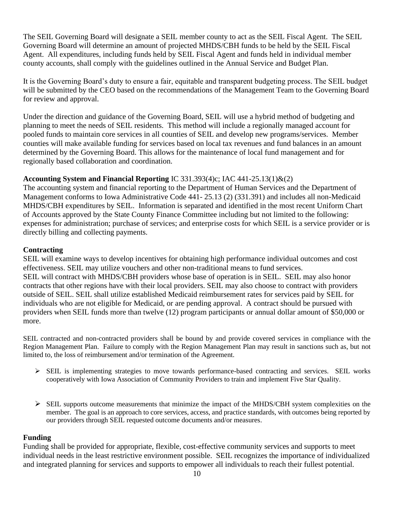The SEIL Governing Board will designate a SEIL member county to act as the SEIL Fiscal Agent. The SEIL Governing Board will determine an amount of projected MHDS/CBH funds to be held by the SEIL Fiscal Agent. All expenditures, including funds held by SEIL Fiscal Agent and funds held in individual member county accounts, shall comply with the guidelines outlined in the Annual Service and Budget Plan.

It is the Governing Board's duty to ensure a fair, equitable and transparent budgeting process. The SEIL budget will be submitted by the CEO based on the recommendations of the Management Team to the Governing Board for review and approval.

Under the direction and guidance of the Governing Board, SEIL will use a hybrid method of budgeting and planning to meet the needs of SEIL residents. This method will include a regionally managed account for pooled funds to maintain core services in all counties of SEIL and develop new programs/services. Member counties will make available funding for services based on local tax revenues and fund balances in an amount determined by the Governing Board. This allows for the maintenance of local fund management and for regionally based collaboration and coordination.

#### **Accounting System and Financial Reporting** IC 331.393(4)c; IAC 441-25.13(1)&(2)

The accounting system and financial reporting to the Department of Human Services and the Department of Management conforms to Iowa Administrative Code 441- 25.13 (2) (331.391) and includes all non-Medicaid MHDS/CBH expenditures by SEIL. Information is separated and identified in the most recent Uniform Chart of Accounts approved by the State County Finance Committee including but not limited to the following: expenses for administration; purchase of services; and enterprise costs for which SEIL is a service provider or is directly billing and collecting payments.

#### **Contracting**

SEIL will examine ways to develop incentives for obtaining high performance individual outcomes and cost effectiveness. SEIL may utilize vouchers and other non-traditional means to fund services. SEIL will contract with MHDS/CBH providers whose base of operation is in SEIL. SEIL may also honor contracts that other regions have with their local providers. SEIL may also choose to contract with providers outside of SEIL. SEIL shall utilize established Medicaid reimbursement rates for services paid by SEIL for individuals who are not eligible for Medicaid, or are pending approval. A contract should be pursued with providers when SEIL funds more than twelve (12) program participants or annual dollar amount of \$50,000 or more.

SEIL contracted and non-contracted providers shall be bound by and provide covered services in compliance with the Region Management Plan. Failure to comply with the Region Management Plan may result in sanctions such as, but not limited to, the loss of reimbursement and/or termination of the Agreement.

- ➢ SEIL is implementing strategies to move towards performance-based contracting and services. SEIL works cooperatively with Iowa Association of Community Providers to train and implement Five Star Quality.
- ➢ SEIL supports outcome measurements that minimize the impact of the MHDS/CBH system complexities on the member. The goal is an approach to core services, access, and practice standards, with outcomes being reported by our providers through SEIL requested outcome documents and/or measures.

#### **Funding**

Funding shall be provided for appropriate, flexible, cost-effective community services and supports to meet individual needs in the least restrictive environment possible. SEIL recognizes the importance of individualized and integrated planning for services and supports to empower all individuals to reach their fullest potential.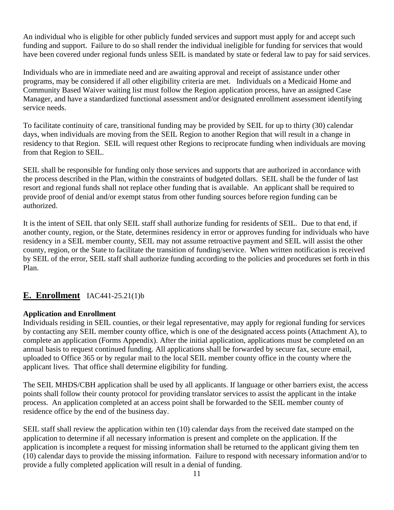An individual who is eligible for other publicly funded services and support must apply for and accept such funding and support. Failure to do so shall render the individual ineligible for funding for services that would have been covered under regional funds unless SEIL is mandated by state or federal law to pay for said services.

Individuals who are in immediate need and are awaiting approval and receipt of assistance under other programs, may be considered if all other eligibility criteria are met. Individuals on a Medicaid Home and Community Based Waiver waiting list must follow the Region application process, have an assigned Case Manager, and have a standardized functional assessment and/or designated enrollment assessment identifying service needs.

To facilitate continuity of care, transitional funding may be provided by SEIL for up to thirty (30) calendar days, when individuals are moving from the SEIL Region to another Region that will result in a change in residency to that Region. SEIL will request other Regions to reciprocate funding when individuals are moving from that Region to SEIL.

SEIL shall be responsible for funding only those services and supports that are authorized in accordance with the process described in the Plan, within the constraints of budgeted dollars. SEIL shall be the funder of last resort and regional funds shall not replace other funding that is available. An applicant shall be required to provide proof of denial and/or exempt status from other funding sources before region funding can be authorized.

It is the intent of SEIL that only SEIL staff shall authorize funding for residents of SEIL. Due to that end, if another county, region, or the State, determines residency in error or approves funding for individuals who have residency in a SEIL member county, SEIL may not assume retroactive payment and SEIL will assist the other county, region, or the State to facilitate the transition of funding/service. When written notification is received by SEIL of the error, SEIL staff shall authorize funding according to the policies and procedures set forth in this Plan.

## <span id="page-10-0"></span>**E. [Enrollment](file:///C:/Users/sberndt/AppData/Local/Microsoft/BobbieW/AppData/Local/Microsoft/rwood/AppData/Local/Microsoft/Windows/Temporary%20Internet%20Files/Content.Outlook/6LMN8HSJ/Document%20-%20Created%20Mar%2019,%202014.pdf)** IAC441-25.21(1)b

#### **Application and Enrollment**

Individuals residing in SEIL counties, or their legal representative, may apply for regional funding for services by contacting any SEIL member county office, which is one of the designated access points (Attachment A), to complete an application (Forms Appendix). After the initial application, applications must be completed on an annual basis to request continued funding. All applications shall be forwarded by secure fax, secure email, uploaded to Office 365 or by regular mail to the local SEIL member county office in the county where the applicant lives. That office shall determine eligibility for funding.

The SEIL MHDS/CBH application shall be used by all applicants. If language or other barriers exist, the access points shall follow their county protocol for providing translator services to assist the applicant in the intake process. An application completed at an access point shall be forwarded to the SEIL member county of residence office by the end of the business day.

SEIL staff shall review the application within ten (10) calendar days from the received date stamped on the application to determine if all necessary information is present and complete on the application. If the application is incomplete a request for missing information shall be returned to the applicant giving them ten (10) calendar days to provide the missing information. Failure to respond with necessary information and/or to provide a fully completed application will result in a denial of funding.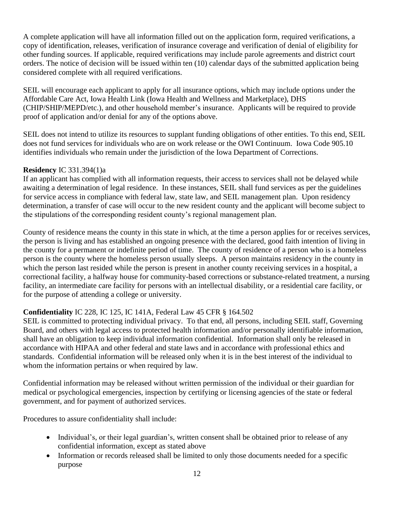A complete application will have all information filled out on the application form, required verifications, a copy of identification, releases, verification of insurance coverage and verification of denial of eligibility for other funding sources. If applicable, required verifications may include parole agreements and district court orders. The notice of decision will be issued within ten (10) calendar days of the submitted application being considered complete with all required verifications.

SEIL will encourage each applicant to apply for all insurance options, which may include options under the Affordable Care Act, Iowa Health Link (Iowa Health and Wellness and Marketplace), DHS (CHIP/SHIP/MEPD/etc.), and other household member's insurance. Applicants will be required to provide proof of application and/or denial for any of the options above.

SEIL does not intend to utilize its resources to supplant funding obligations of other entities. To this end, SEIL does not fund services for individuals who are on work release or the OWI Continuum. Iowa Code 905.10 identifies individuals who remain under the jurisdiction of the Iowa Department of Corrections.

#### **Residency** IC 331.394(1)a

If an applicant has complied with all information requests, their access to services shall not be delayed while awaiting a determination of legal residence. In these instances, SEIL shall fund services as per the guidelines for service access in compliance with federal law, state law, and SEIL management plan. Upon residency determination, a transfer of case will occur to the new resident county and the applicant will become subject to the stipulations of the corresponding resident county's regional management plan.

County of residence means the county in this state in which, at the time a person applies for or receives services, the person is living and has established an ongoing presence with the declared, good faith intention of living in the county for a permanent or indefinite period of time. The county of residence of a person who is a homeless person is the county where the homeless person usually sleeps. A person maintains residency in the county in which the person last resided while the person is present in another county receiving services in a hospital, a correctional facility, a halfway house for community-based corrections or substance-related treatment, a nursing facility, an intermediate care facility for persons with an intellectual disability, or a residential care facility, or for the purpose of attending a college or university.

## **Confidentiality** IC 228, IC 125, IC 141A, Federal Law 45 CFR § 164.502

SEIL is committed to protecting individual privacy. To that end, all persons, including SEIL staff, Governing Board, and others with legal access to protected health information and/or personally identifiable information, shall have an obligation to keep individual information confidential. Information shall only be released in accordance with HIPAA and other federal and state laws and in accordance with professional ethics and standards. Confidential information will be released only when it is in the best interest of the individual to whom the information pertains or when required by law.

Confidential information may be released without written permission of the individual or their guardian for medical or psychological emergencies, inspection by certifying or licensing agencies of the state or federal government, and for payment of authorized services.

Procedures to assure confidentiality shall include:

- Individual's, or their legal guardian's, written consent shall be obtained prior to release of any confidential information, except as stated above
- Information or records released shall be limited to only those documents needed for a specific purpose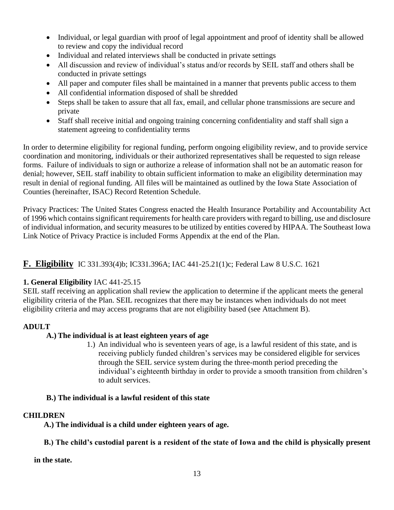- Individual, or legal guardian with proof of legal appointment and proof of identity shall be allowed to review and copy the individual record
- Individual and related interviews shall be conducted in private settings
- All discussion and review of individual's status and/or records by SEIL staff and others shall be conducted in private settings
- All paper and computer files shall be maintained in a manner that prevents public access to them
- All confidential information disposed of shall be shredded
- Steps shall be taken to assure that all fax, email, and cellular phone transmissions are secure and private
- Staff shall receive initial and ongoing training concerning confidentiality and staff shall sign a statement agreeing to confidentiality terms

In order to determine eligibility for regional funding, perform ongoing eligibility review, and to provide service coordination and monitoring, individuals or their authorized representatives shall be requested to sign release forms. Failure of individuals to sign or authorize a release of information shall not be an automatic reason for denial; however, SEIL staff inability to obtain sufficient information to make an eligibility determination may result in denial of regional funding. All files will be maintained as outlined by the Iowa State Association of Counties (hereinafter, ISAC) Record Retention Schedule.

Privacy Practices: The United States Congress enacted the Health Insurance Portability and Accountability Act of 1996 which contains significant requirements for health care providers with regard to billing, use and disclosure of individual information, and security measures to be utilized by entities covered by HIPAA. The Southeast Iowa Link Notice of Privacy Practice is included Forms Appendix at the end of the Plan.

## <span id="page-12-0"></span>**F. Eligibility** IC 331.393(4)b; IC331.396A; IAC 441-25.21(1)c; Federal Law 8 U.S.C. 1621

## **1. General Eligibility** IAC 441-25.15

SEIL staff receiving an application shall review the application to determine if the applicant meets the general eligibility criteria of the Plan. SEIL recognizes that there may be instances when individuals do not meet eligibility criteria and may access programs that are not eligibility based (see Attachment B).

## **ADULT**

## **A.) The individual is at least eighteen years of age**

1.) An individual who is seventeen years of age, is a lawful resident of this state, and is receiving publicly funded children's services may be considered eligible for services through the SEIL service system during the three-month period preceding the individual's eighteenth birthday in order to provide a smooth transition from children's to adult services.

#### **B.) The individual is a lawful resident of this state**

#### **CHILDREN**

 **A.) The individual is a child under eighteen years of age.**

#### **B.) The child's custodial parent is a resident of the state of Iowa and the child is physically present**

**in the state.**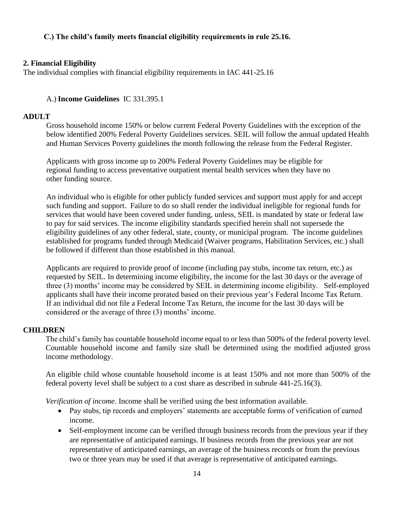#### **C.) The child's family meets financial eligibility requirements in rule [25.16.](https://www.legis.iowa.gov/docs/iac/rule/441.25.16.pdf)**

#### **2. Financial Eligibility**

The individual complies with financial eligibility requirements in IAC 441-25.16

#### A.) **Income Guidelines** IC 331.395.1

#### **ADULT**

Gross household income 150% or below current Federal Poverty Guidelines with the exception of the below identified 200% Federal Poverty Guidelines services. SEIL will follow the annual updated Health and Human Services Poverty guidelines the month following the release from the Federal Register.

 Applicants with gross income up to 200% Federal Poverty Guidelines may be eligible for regional funding to access preventative outpatient mental health services when they have no other funding source.

An individual who is eligible for other publicly funded services and support must apply for and accept such funding and support. Failure to do so shall render the individual ineligible for regional funds for services that would have been covered under funding, unless, SEIL is mandated by state or federal law to pay for said services. The income eligibility standards specified herein shall not supersede the eligibility guidelines of any other federal, state, county, or municipal program. The income guidelines established for programs funded through Medicaid (Waiver programs, Habilitation Services, etc.) shall be followed if different than those established in this manual.

Applicants are required to provide proof of income (including pay stubs, income tax return, etc.) as requested by SEIL. In determining income eligibility, the income for the last 30 days or the average of three (3) months' income may be considered by SEIL in determining income eligibility. Self-employed applicants shall have their income prorated based on their previous year's Federal Income Tax Return. If an individual did not file a Federal Income Tax Return, the income for the last 30 days will be considered or the average of three (3) months' income.

#### **CHILDREN**

The child's family has countable household income equal to or less than 500% of the federal poverty level. Countable household income and family size shall be determined using the modified adjusted gross income methodology.

An eligible child whose countable household income is at least 150% and not more than 500% of the federal poverty level shall be subject to a cost share as described in subrule 441-25.16(3).

*Verification of income*. Income shall be verified using the best information available.

- Pay stubs, tip records and employers' statements are acceptable forms of verification of earned income.
- Self-employment income can be verified through business records from the previous year if they are representative of anticipated earnings. If business records from the previous year are not representative of anticipated earnings, an average of the business records or from the previous two or three years may be used if that average is representative of anticipated earnings.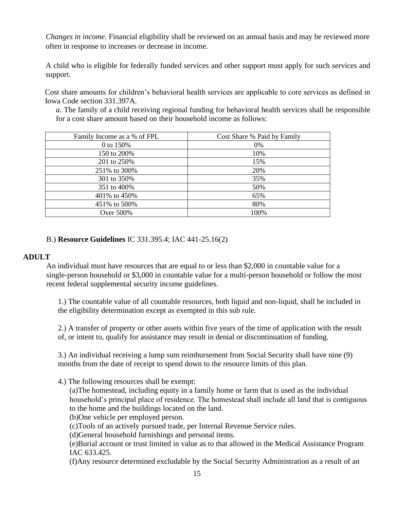*Changes in income*. Financial eligibility shall be reviewed on an annual basis and may be reviewed more often in response to increases or decrease in income.

A child who is eligible for federally funded services and other support must apply for such services and support.

Cost share amounts for children's behavioral health services are applicable to core services as defined in Iowa Code section 331.397A.

*a.* The family of a child receiving regional funding for behavioral health services shall be responsible for a cost share amount based on their household income as follows:

| Family Income as a % of FPL | Cost Share % Paid by Family |
|-----------------------------|-----------------------------|
| 0 to 150%                   | 0%                          |
| 150 to 200\%                | 10%                         |
| 201 to 250%                 | 15%                         |
| 251% to 300%                | 20%                         |
| 301 to 350%                 | 35%                         |
| 351 to 400\%                | 50%                         |
| 401% to 450%                | 65%                         |
| 451% to 500%                | 80%                         |
| Over 500%                   | 100%                        |

#### B.) **Resource Guidelines** IC 331.395.4; IAC 441-25.16(2)

#### **ADULT**

An individual must have resources that are equal to or less than \$2,000 in countable value for a single-person household or \$3,000 in countable value for a multi-person household or follow the most recent federal supplemental security income guidelines.

1.) The countable value of all countable resources, both liquid and non-liquid, shall be included in the eligibility determination except as exempted in this sub rule.

2.) A transfer of property or other assets within five years of the time of application with the result of, or intent to, qualify for assistance may result in denial or discontinuation of funding.

3.) An individual receiving a lump sum reimbursement from Social Security shall have nine (9) months from the date of receipt to spend down to the resource limits of this plan.

4.) The following resources shall be exempt:

(a)The homestead, including equity in a family home or farm that is used as the individual household's principal place of residence. The homestead shall include all land that is contiguous to the home and the buildings located on the land.

(b)One vehicle per employed person.

(c)Tools of an actively pursued trade, per Internal Revenue Service rules.

(d)General household furnishings and personal items.

(e)Burial account or trust limited in value as to that allowed in the Medical Assistance Program IAC 633.425.

(f)Any resource determined excludable by the Social Security Administration as a result of an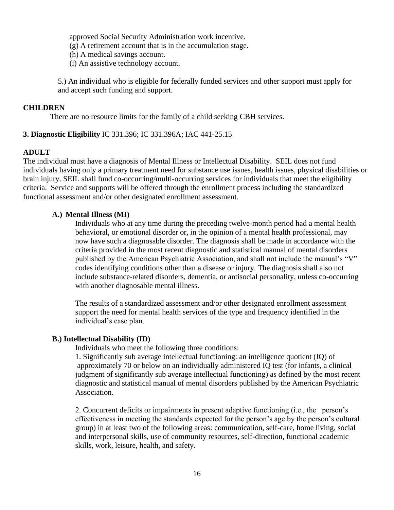approved Social Security Administration work incentive.

(g) A retirement account that is in the accumulation stage.

(h) A medical savings account.

(i) An assistive technology account.

5.) An individual who is eligible for federally funded services and other support must apply for and accept such funding and support.

#### **CHILDREN**

There are no resource limits for the family of a child seeking CBH services.

#### **3. Diagnostic Eligibility** IC 331.396; IC 331.396A; IAC 441-25.15

#### **ADULT**

The individual must have a diagnosis of Mental Illness or Intellectual Disability. SEIL does not fund individuals having only a primary treatment need for substance use issues, health issues, physical disabilities or brain injury. SEIL shall fund co-occurring/multi-occurring services for individuals that meet the eligibility criteria. Service and supports will be offered through the enrollment process including the standardized functional assessment and/or other designated enrollment assessment.

#### **A.) Mental Illness (MI)**

 Individuals who at any time during the preceding twelve-month period had a mental health behavioral, or emotional disorder or, in the opinion of a mental health professional, may now have such a diagnosable disorder. The diagnosis shall be made in accordance with the criteria provided in the most recent diagnostic and statistical manual of mental disorders published by the American Psychiatric Association, and shall not include the manual's "V" codes identifying conditions other than a disease or injury. The diagnosis shall also not include substance-related disorders, dementia, or antisocial personality, unless co-occurring with another diagnosable mental illness.

 The results of a standardized assessment and/or other designated enrollment assessment support the need for mental health services of the type and frequency identified in the individual's case plan.

#### **B.) Intellectual Disability (ID)**

Individuals who meet the following three conditions:

 1. Significantly sub average intellectual functioning: an intelligence quotient (IQ) of approximately 70 or below on an individually administered IQ test (for infants, a clinical judgment of significantly sub average intellectual functioning) as defined by the most recent diagnostic and statistical manual of mental disorders published by the American Psychiatric Association.

 2. Concurrent deficits or impairments in present adaptive functioning (i.e., the person's effectiveness in meeting the standards expected for the person's age by the person's cultural group) in at least two of the following areas: communication, self-care, home living, social and interpersonal skills, use of community resources, self-direction, functional academic skills, work, leisure, health, and safety.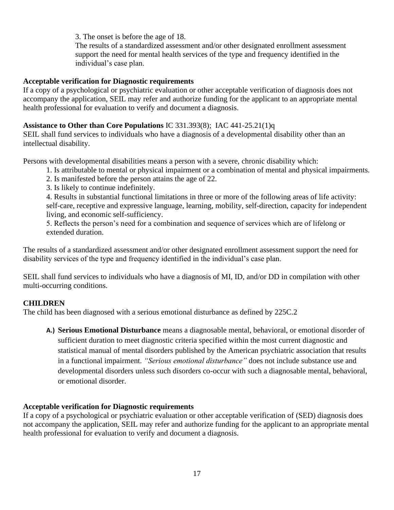3. The onset is before the age of 18.

 The results of a standardized assessment and/or other designated enrollment assessment support the need for mental health services of the type and frequency identified in the individual's case plan.

#### **Acceptable verification for Diagnostic requirements**

If a copy of a psychological or psychiatric evaluation or other acceptable verification of diagnosis does not accompany the application, SEIL may refer and authorize funding for the applicant to an appropriate mental health professional for evaluation to verify and document a diagnosis.

#### <span id="page-16-0"></span>**Assistance to Other than Core Populations** IC 331.393(8); IAC 441-25.21(1)q

SEIL shall fund services to individuals who have a diagnosis of a developmental disability other than an intellectual disability.

Persons with developmental disabilities means a person with a severe, chronic disability which:

- 1. Is attributable to mental or physical impairment or a combination of mental and physical impairments.
- 2. Is manifested before the person attains the age of 22.
- 3. Is likely to continue indefinitely.

4. Results in substantial functional limitations in three or more of the following areas of life activity: self-care, receptive and expressive language, learning, mobility, self-direction, capacity for independent living, and economic self-sufficiency.

5. Reflects the person's need for a combination and sequence of services which are of lifelong or extended duration.

The results of a standardized assessment and/or other designated enrollment assessment support the need for disability services of the type and frequency identified in the individual's case plan.

SEIL shall fund services to individuals who have a diagnosis of MI, ID, and/or DD in compilation with other multi-occurring conditions.

## **CHILDREN**

The child has been diagnosed with a serious emotional disturbance as defined by 225C.2

**A.) Serious Emotional Disturbance** means a diagnosable mental, behavioral, or emotional disorder of sufficient duration to meet diagnostic criteria specified within the most current diagnostic and statistical manual of mental disorders published by the American psychiatric association that results in a functional impairment. *"Serious emotional disturbance"* does not include substance use and developmental disorders unless such disorders co-occur with such a diagnosable mental, behavioral, or emotional disorder.

#### **Acceptable verification for Diagnostic requirements**

If a copy of a psychological or psychiatric evaluation or other acceptable verification of (SED) diagnosis does not accompany the application, SEIL may refer and authorize funding for the applicant to an appropriate mental health professional for evaluation to verify and document a diagnosis.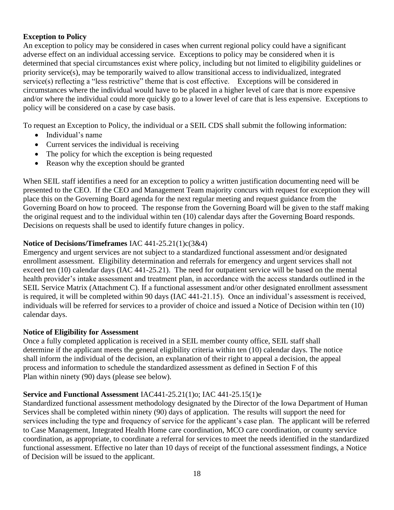#### **Exception to Policy**

An exception to policy may be considered in cases when current regional policy could have a significant adverse effect on an individual accessing service. Exceptions to policy may be considered when it is determined that special circumstances exist where policy, including but not limited to eligibility guidelines or priority service(s), may be temporarily waived to allow transitional access to individualized, integrated service(s) reflecting a "less restrictive" theme that is cost effective. Exceptions will be considered in circumstances where the individual would have to be placed in a higher level of care that is more expensive and/or where the individual could more quickly go to a lower level of care that is less expensive. Exceptions to policy will be considered on a case by case basis.

To request an Exception to Policy, the individual or a SEIL CDS shall submit the following information:

- Individual's name
- Current services the individual is receiving
- The policy for which the exception is being requested
- Reason why the exception should be granted

When SEIL staff identifies a need for an exception to policy a written justification documenting need will be presented to the CEO. If the CEO and Management Team majority concurs with request for exception they will place this on the Governing Board agenda for the next regular meeting and request guidance from the Governing Board on how to proceed. The response from the Governing Board will be given to the staff making the original request and to the individual within ten (10) calendar days after the Governing Board responds. Decisions on requests shall be used to identify future changes in policy.

#### **Notice of Decisions/Timeframes** IAC 441-25.21(1)c(3&4)

Emergency and urgent services are not subject to a standardized functional assessment and/or designated enrollment assessment. Eligibility determination and referrals for emergency and urgent services shall not exceed ten (10) calendar days (IAC 441-25.21). The need for outpatient service will be based on the mental health provider's intake assessment and treatment plan, in accordance with the access standards outlined in the SEIL Service Matrix (Attachment C). If a functional assessment and/or other designated enrollment assessment is required, it will be completed within 90 days (IAC 441-21.15). Once an individual's assessment is received, individuals will be referred for services to a provider of choice and issued a Notice of Decision within ten (10) calendar days.

#### **Notice of Eligibility for Assessment**

Once a fully completed application is received in a SEIL member county office, SEIL staff shall determine if the applicant meets the general eligibility criteria within ten (10) calendar days. The notice shall inform the individual of the decision, an explanation of their right to appeal a decision, the appeal process and information to schedule the standardized assessment as defined in Section F of this Plan within ninety (90) days (please see below).

#### **Service and Functional Assessment** IAC441-25.21(1)o; IAC 441-25.15(1)e

Standardized functional assessment methodology designated by the Director of the Iowa Department of Human Services shall be completed within ninety (90) days of application. The results will support the need for services including the type and frequency of service for the applicant's case plan. The applicant will be referred to Case Management, Integrated Health Home care coordination, MCO care coordination, or county service coordination, as appropriate, to coordinate a referral for services to meet the needs identified in the standardized functional assessment. Effective no later than 10 days of receipt of the functional assessment findings, a Notice of Decision will be issued to the applicant.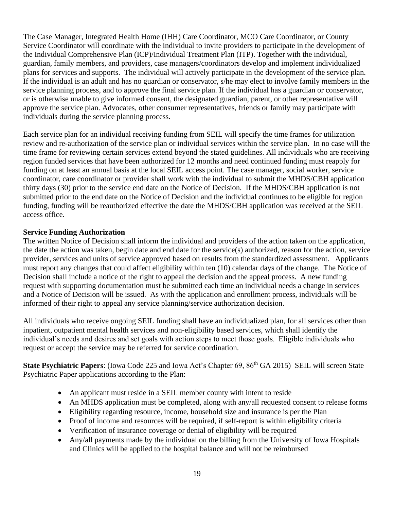The Case Manager, Integrated Health Home (IHH) Care Coordinator, MCO Care Coordinator, or County Service Coordinator will coordinate with the individual to invite providers to participate in the development of the Individual Comprehensive Plan (ICP)/Individual Treatment Plan (ITP). Together with the individual, guardian, family members, and providers, case managers/coordinators develop and implement individualized plans for services and supports. The individual will actively participate in the development of the service plan. If the individual is an adult and has no guardian or conservator, s/he may elect to involve family members in the service planning process, and to approve the final service plan. If the individual has a guardian or conservator, or is otherwise unable to give informed consent, the designated guardian, parent, or other representative will approve the service plan. Advocates, other consumer representatives, friends or family may participate with individuals during the service planning process.

Each service plan for an individual receiving funding from SEIL will specify the time frames for utilization review and re-authorization of the service plan or individual services within the service plan. In no case will the time frame for reviewing certain services extend beyond the stated guidelines. All individuals who are receiving region funded services that have been authorized for 12 months and need continued funding must reapply for funding on at least an annual basis at the local SEIL access point. The case manager, social worker, service coordinator, care coordinator or provider shall work with the individual to submit the MHDS/CBH application thirty days (30) prior to the service end date on the Notice of Decision. If the MHDS/CBH application is not submitted prior to the end date on the Notice of Decision and the individual continues to be eligible for region funding, funding will be reauthorized effective the date the MHDS/CBH application was received at the SEIL access office.

#### **Service Funding Authorization**

The written Notice of Decision shall inform the individual and providers of the action taken on the application, the date the action was taken, begin date and end date for the service(s) authorized, reason for the action, service provider, services and units of service approved based on results from the standardized assessment. Applicants must report any changes that could affect eligibility within ten (10) calendar days of the change. The Notice of Decision shall include a notice of the right to appeal the decision and the appeal process. A new funding request with supporting documentation must be submitted each time an individual needs a change in services and a Notice of Decision will be issued. As with the application and enrollment process, individuals will be informed of their right to appeal any service planning/service authorization decision.

All individuals who receive ongoing SEIL funding shall have an individualized plan, for all services other than inpatient, outpatient mental health services and non-eligibility based services, which shall identify the individual's needs and desires and set goals with action steps to meet those goals. Eligible individuals who request or accept the service may be referred for service coordination.

**State Psychiatric Papers:** (Iowa Code 225 and Iowa Act's Chapter 69, 86<sup>th</sup> GA 2015) SEIL will screen State Psychiatric Paper applications according to the Plan:

- An applicant must reside in a SEIL member county with intent to reside
- An MHDS application must be completed, along with any/all requested consent to release forms
- Eligibility regarding resource, income, household size and insurance is per the Plan
- Proof of income and resources will be required, if self-report is within eligibility criteria
- Verification of insurance coverage or denial of eligibility will be required
- Any/all payments made by the individual on the billing from the University of Iowa Hospitals and Clinics will be applied to the hospital balance and will not be reimbursed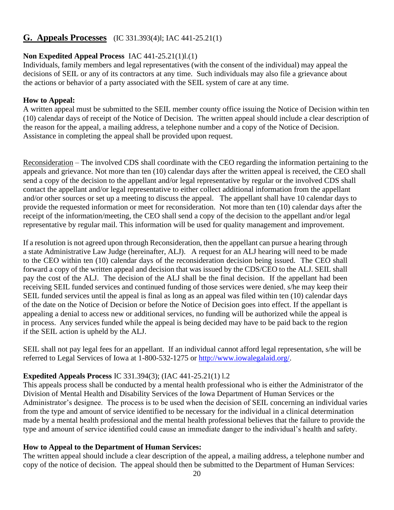## <span id="page-19-0"></span>**G. Appeals Processes** (IC 331.393(4)l; IAC 441-25.21(1)

#### **Non Expedited Appeal Process** IAC 441-25.21(1)l.(1)

Individuals, family members and legal representatives (with the consent of the individual) may appeal the decisions of SEIL or any of its contractors at any time. Such individuals may also file a grievance about the actions or behavior of a party associated with the SEIL system of care at any time.

#### **How to Appeal:**

A written appeal must be submitted to the SEIL member county office issuing the Notice of Decision within ten (10) calendar days of receipt of the Notice of Decision. The written appeal should include a clear description of the reason for the appeal, a mailing address, a telephone number and a copy of the Notice of Decision. Assistance in completing the appeal shall be provided upon request.

Reconsideration – The involved CDS shall coordinate with the CEO regarding the information pertaining to the appeals and grievance. Not more than ten (10) calendar days after the written appeal is received, the CEO shall send a copy of the decision to the appellant and/or legal representative by regular or the involved CDS shall contact the appellant and/or legal representative to either collect additional information from the appellant and/or other sources or set up a meeting to discuss the appeal. The appellant shall have 10 calendar days to provide the requested information or meet for reconsideration. Not more than ten (10) calendar days after the receipt of the information/meeting, the CEO shall send a copy of the decision to the appellant and/or legal representative by regular mail. This information will be used for quality management and improvement.

If a resolution is not agreed upon through Reconsideration, then the appellant can pursue a hearing through a state Administrative Law Judge (hereinafter, ALJ). A request for an ALJ hearing will need to be made to the CEO within ten (10) calendar days of the reconsideration decision being issued. The CEO shall forward a copy of the written appeal and decision that was issued by the CDS/CEO to the ALJ. SEIL shall pay the cost of the ALJ. The decision of the ALJ shall be the final decision. If the appellant had been receiving SEIL funded services and continued funding of those services were denied, s/he may keep their SEIL funded services until the appeal is final as long as an appeal was filed within ten (10) calendar days of the date on the Notice of Decision or before the Notice of Decision goes into effect. If the appellant is appealing a denial to access new or additional services, no funding will be authorized while the appeal is in process. Any services funded while the appeal is being decided may have to be paid back to the region if the SEIL action is upheld by the ALJ.

SEIL shall not pay legal fees for an appellant. If an individual cannot afford legal representation, s/he will be referred to Legal Services of Iowa at 1-800-532-1275 or [http://www.iowalegalaid.org/.](http://www.iowalegalaid.org/)

#### **Expedited Appeals Process** IC 331.394(3); (IAC 441-25.21(1) l.2

This appeals process shall be conducted by a mental health professional who is either the Administrator of the Division of Mental Health and Disability Services of the Iowa Department of Human Services or the Administrator's designee. The process is to be used when the decision of SEIL concerning an individual varies from the type and amount of service identified to be necessary for the individual in a clinical determination made by a mental health professional and the mental health professional believes that the failure to provide the type and amount of service identified could cause an immediate danger to the individual's health and safety.

#### **How to Appeal to the Department of Human Services:**

The written appeal should include a clear description of the appeal, a mailing address, a telephone number and copy of the notice of decision. The appeal should then be submitted to the Department of Human Services: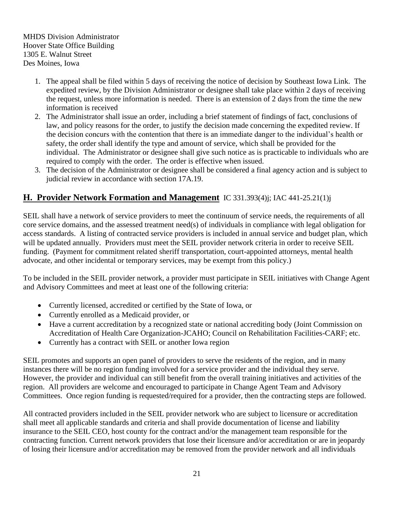MHDS Division Administrator Hoover State Office Building 1305 E. Walnut Street Des Moines, Iowa

- 1. The appeal shall be filed within 5 days of receiving the notice of decision by Southeast Iowa Link. The expedited review, by the Division Administrator or designee shall take place within 2 days of receiving the request, unless more information is needed. There is an extension of 2 days from the time the new information is received
- 2. The Administrator shall issue an order, including a brief statement of findings of fact, conclusions of law, and policy reasons for the order, to justify the decision made concerning the expedited review. If the decision concurs with the contention that there is an immediate danger to the individual's health or safety, the order shall identify the type and amount of service, which shall be provided for the individual. The Administrator or designee shall give such notice as is practicable to individuals who are required to comply with the order. The order is effective when issued.
- 3. The decision of the Administrator or designee shall be considered a final agency action and is subject to judicial review in accordance with section 17A.19.

## <span id="page-20-0"></span>**H. Provider Network Formation and Management** IC 331.393(4)j; IAC 441-25.21(1)j

SEIL shall have a network of service providers to meet the continuum of service needs, the requirements of all core service domains, and the assessed treatment need(s) of individuals in compliance with legal obligation for access standards. A listing of contracted service providers is included in annual service and budget plan, which will be updated annually. Providers must meet the SEIL provider network criteria in order to receive SEIL funding. (Payment for commitment related sheriff transportation, court-appointed attorneys, mental health advocate, and other incidental or temporary services, may be exempt from this policy.)

To be included in the SEIL provider network, a provider must participate in SEIL initiatives with Change Agent and Advisory Committees and meet at least one of the following criteria:

- Currently licensed, accredited or certified by the State of Iowa, or
- Currently enrolled as a Medicaid provider, or
- Have a current accreditation by a recognized state or national accrediting body (Joint Commission on Accreditation of Health Care Organization-JCAHO; Council on Rehabilitation Facilities-CARF; etc.
- Currently has a contract with SEIL or another Iowa region

SEIL promotes and supports an open panel of providers to serve the residents of the region, and in many instances there will be no region funding involved for a service provider and the individual they serve. However, the provider and individual can still benefit from the overall training initiatives and activities of the region. All providers are welcome and encouraged to participate in Change Agent Team and Advisory Committees. Once region funding is requested/required for a provider, then the contracting steps are followed.

All contracted providers included in the SEIL provider network who are subject to licensure or accreditation shall meet all applicable standards and criteria and shall provide documentation of license and liability insurance to the SEIL CEO, host county for the contract and/or the management team responsible for the contracting function. Current network providers that lose their licensure and/or accreditation or are in jeopardy of losing their licensure and/or accreditation may be removed from the provider network and all individuals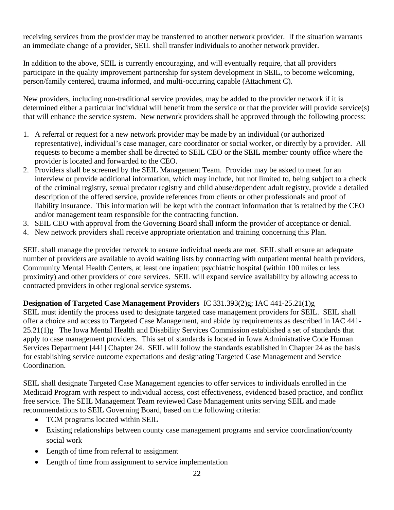receiving services from the provider may be transferred to another network provider. If the situation warrants an immediate change of a provider, SEIL shall transfer individuals to another network provider.

In addition to the above, SEIL is currently encouraging, and will eventually require, that all providers participate in the quality improvement partnership for system development in SEIL, to become welcoming, person/family centered, trauma informed, and multi-occurring capable (Attachment C).

New providers, including non-traditional service provides, may be added to the provider network if it is determined either a particular individual will benefit from the service or that the provider will provide service(s) that will enhance the service system. New network providers shall be approved through the following process:

- 1. A referral or request for a new network provider may be made by an individual (or authorized representative), individual's case manager, care coordinator or social worker, or directly by a provider. All requests to become a member shall be directed to SEIL CEO or the SEIL member county office where the provider is located and forwarded to the CEO.
- 2. Providers shall be screened by the SEIL Management Team. Provider may be asked to meet for an interview or provide additional information, which may include, but not limited to, being subject to a check of the criminal registry, sexual predator registry and child abuse/dependent adult registry, provide a detailed description of the offered service, provide references from clients or other professionals and proof of liability insurance. This information will be kept with the contract information that is retained by the CEO and/or management team responsible for the contracting function.
- 3. SEIL CEO with approval from the Governing Board shall inform the provider of acceptance or denial.
- 4. New network providers shall receive appropriate orientation and training concerning this Plan.

SEIL shall manage the provider network to ensure individual needs are met. SEIL shall ensure an adequate number of providers are available to avoid waiting lists by contracting with outpatient mental health providers, Community Mental Health Centers, at least one inpatient psychiatric hospital (within 100 miles or less proximity) and other providers of core services. SEIL will expand service availability by allowing access to contracted providers in other regional service systems.

## **Designation of Targeted Case Management Providers** IC 331.393(2)g; IAC 441-25.21(1)g

SEIL must identify the process used to designate targeted case management providers for SEIL. SEIL shall offer a choice and access to Targeted Case Management, and abide by requirements as described in IAC 441- 25.21(1)g The Iowa Mental Health and Disability Services Commission established a set of standards that apply to case management providers. This set of standards is located in Iowa Administrative Code Human Services Department [441] Chapter 24. SEIL will follow the standards established in Chapter 24 as the basis for establishing service outcome expectations and designating Targeted Case Management and Service Coordination.

SEIL shall designate Targeted Case Management agencies to offer services to individuals enrolled in the Medicaid Program with respect to individual access, cost effectiveness, evidenced based practice, and conflict free service. The SEIL Management Team reviewed Case Management units serving SEIL and made recommendations to SEIL Governing Board, based on the following criteria:

- TCM programs located within SEIL
- Existing relationships between county case management programs and service coordination/county social work
- Length of time from referral to assignment
- Length of time from assignment to service implementation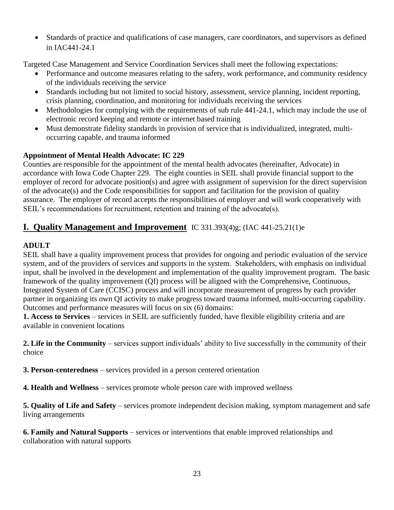• Standards of practice and qualifications of case managers, care coordinators, and supervisors as defined in IAC441-24.1

Targeted Case Management and Service Coordination Services shall meet the following expectations:

- Performance and outcome measures relating to the safety, work performance, and community residency of the individuals receiving the service
- Standards including but not limited to social history, assessment, service planning, incident reporting, crisis planning, coordination, and monitoring for individuals receiving the services
- Methodologies for complying with the requirements of sub rule 441-24.1, which may include the use of electronic record keeping and remote or internet based training
- Must demonstrate fidelity standards in provision of service that is individualized, integrated, multioccurring capable, and trauma informed

## **Appointment of Mental Health Advocate: IC 229**

Counties are responsible for the appointment of the mental health advocates (hereinafter, Advocate) in accordance with Iowa Code Chapter 229. The eight counties in SEIL shall provide financial support to the employer of record for advocate position(s) and agree with assignment of supervision for the direct supervision of the advocate(s) and the Code responsibilities for support and facilitation for the provision of quality assurance. The employer of record accepts the responsibilities of employer and will work cooperatively with SEIL's recommendations for recruitment, retention and training of the advocate(s).

## <span id="page-22-0"></span>**I. Quality Management and Improvement** IC 331.393(4)g; (IAC 441-25.21(1)e

#### **ADULT**

SEIL shall have a quality improvement process that provides for ongoing and periodic evaluation of the service system, and of the providers of services and supports in the system. Stakeholders, with emphasis on individual input, shall be involved in the development and implementation of the quality improvement program. The basic framework of the quality improvement (QI) process will be aligned with the Comprehensive, Continuous, Integrated System of Care (CCISC) process and will incorporate measurement of progress by each provider partner in organizing its own QI activity to make progress toward trauma informed, multi-occurring capability. Outcomes and performance measures will focus on six (6) domains:

**1. Access to Services** – services in SEIL are sufficiently funded, have flexible eligibility criteria and are available in convenient locations

**2. Life in the Community** – services support individuals' ability to live successfully in the community of their choice

**3. Person-centeredness** – services provided in a person centered orientation

**4. Health and Wellness** – services promote whole person care with improved wellness

**5. Quality of Life and Safety** – services promote independent decision making, symptom management and safe living arrangements

**6. Family and Natural Supports** – services or interventions that enable improved relationships and collaboration with natural supports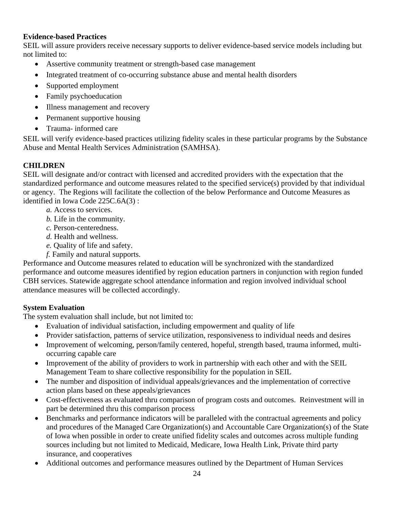#### **Evidence-based Practices**

SEIL will assure providers receive necessary supports to deliver evidence-based service models including but not limited to:

- Assertive community treatment or strength-based case management
- Integrated treatment of co-occurring substance abuse and mental health disorders
- Supported employment
- Family psychoeducation
- Illness management and recovery
- Permanent supportive housing
- Trauma- informed care

SEIL will verify evidence-based practices utilizing fidelity scales in these particular programs by the Substance Abuse and Mental Health Services Administration (SAMHSA).

#### **CHILDREN**

SEIL will designate and/or contract with licensed and accredited providers with the expectation that the standardized performance and outcome measures related to the specified service(s) provided by that individual or agency. The Regions will facilitate the collection of the below Performance and Outcome Measures as identified in Iowa Code 225C.6A(3) :

- *a.* Access to services.
- *b.* Life in the community.
- *c.* Person-centeredness.
- *d.* Health and wellness.
- *e.* Quality of life and safety.
- *f.* Family and natural supports.

Performance and Outcome measures related to education will be synchronized with the standardized performance and outcome measures identified by region education partners in conjunction with region funded CBH services. Statewide aggregate school attendance information and region involved individual school attendance measures will be collected accordingly.

#### **System Evaluation**

The system evaluation shall include, but not limited to:

- Evaluation of individual satisfaction, including empowerment and quality of life
- Provider satisfaction, patterns of service utilization, responsiveness to individual needs and desires
- Improvement of welcoming, person/family centered, hopeful, strength based, trauma informed, multioccurring capable care
- Improvement of the ability of providers to work in partnership with each other and with the SEIL Management Team to share collective responsibility for the population in SEIL
- The number and disposition of individual appeals/grievances and the implementation of corrective action plans based on these appeals/grievances
- Cost-effectiveness as evaluated thru comparison of program costs and outcomes. Reinvestment will in part be determined thru this comparison process
- Benchmarks and performance indicators will be paralleled with the contractual agreements and policy and procedures of the Managed Care Organization(s) and Accountable Care Organization(s) of the State of Iowa when possible in order to create unified fidelity scales and outcomes across multiple funding sources including but not limited to Medicaid, Medicare, Iowa Health Link, Private third party insurance, and cooperatives
- Additional outcomes and performance measures outlined by the Department of Human Services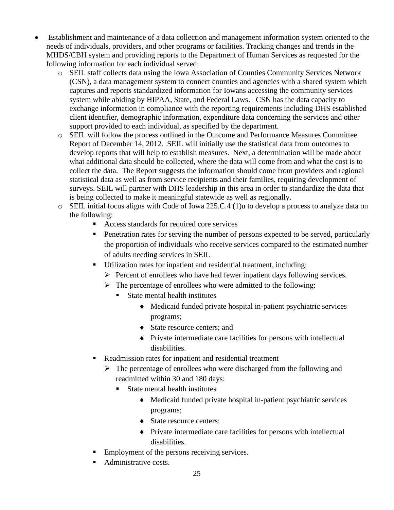- Establishment and maintenance of a data collection and management information system oriented to the needs of individuals, providers, and other programs or facilities. Tracking changes and trends in the MHDS/CBH system and providing reports to the Department of Human Services as requested for the following information for each individual served:
	- o SEIL staff collects data using the Iowa Association of Counties Community Services Network (CSN), a data management system to connect counties and agencies with a shared system which captures and reports standardized information for Iowans accessing the community services system while abiding by HIPAA, State, and Federal Laws. CSN has the data capacity to exchange information in compliance with the reporting requirements including DHS established client identifier, demographic information, expenditure data concerning the services and other support provided to each individual, as specified by the department.
	- o SEIL will follow the process outlined in the Outcome and Performance Measures Committee Report of December 14, 2012. SEIL will initially use the statistical data from outcomes to develop reports that will help to establish measures. Next, a determination will be made about what additional data should be collected, where the data will come from and what the cost is to collect the data. The Report suggests the information should come from providers and regional statistical data as well as from service recipients and their families, requiring development of surveys. SEIL will partner with DHS leadership in this area in order to standardize the data that is being collected to make it meaningful statewide as well as regionally.
	- o SEIL initial focus aligns with Code of Iowa 225.C.4 (1)u to develop a process to analyze data on the following:
		- Access standards for required core services
		- **•** Penetration rates for serving the number of persons expected to be served, particularly the proportion of individuals who receive services compared to the estimated number of adults needing services in SEIL
		- Utilization rates for inpatient and residential treatment, including:
			- $\triangleright$  Percent of enrollees who have had fewer inpatient days following services.
			- $\triangleright$  The percentage of enrollees who were admitted to the following:
				- State mental health institutes
					- Medicaid funded private hospital in-patient psychiatric services programs;
					- ◆ State resource centers; and
					- Private intermediate care facilities for persons with intellectual disabilities.
		- Readmission rates for inpatient and residential treatment
			- $\triangleright$  The percentage of enrollees who were discharged from the following and readmitted within 30 and 180 days:
				- State mental health institutes
					- Medicaid funded private hospital in-patient psychiatric services programs;
					- State resource centers;
					- Private intermediate care facilities for persons with intellectual disabilities.
		- Employment of the persons receiving services.
		- Administrative costs.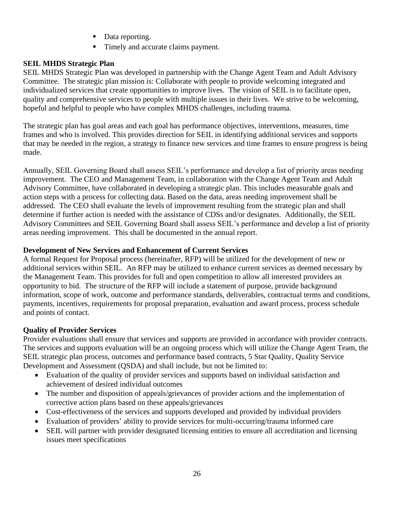- Data reporting.
- Timely and accurate claims payment.

## **SEIL MHDS Strategic Plan**

SEIL MHDS Strategic Plan was developed in partnership with the Change Agent Team and Adult Advisory Committee. The strategic plan mission is: Collaborate with people to provide welcoming integrated and individualized services that create opportunities to improve lives. The vision of SEIL is to facilitate open, quality and comprehensive services to people with multiple issues in their lives. We strive to be welcoming, hopeful and helpful to people who have complex MHDS challenges, including trauma.

The strategic plan has goal areas and each goal has performance objectives, interventions, measures, time frames and who is involved. This provides direction for SEIL in identifying additional services and supports that may be needed in the region, a strategy to finance new services and time frames to ensure progress is being made.

Annually, SEIL Governing Board shall assess SEIL's performance and develop a list of priority areas needing improvement. The CEO and Management Team, in collaboration with the Change Agent Team and Adult Advisory Committee, have collaborated in developing a strategic plan. This includes measurable goals and action steps with a process for collecting data. Based on the data, areas needing improvement shall be addressed. The CEO shall evaluate the levels of improvement resulting from the strategic plan and shall determine if further action is needed with the assistance of CDSs and/or designates. Additionally, the SEIL Advisory Committees and SEIL Governing Board shall assess SEIL's performance and develop a list of priority areas needing improvement. This shall be documented in the annual report.

#### **Development of New Services and Enhancement of Current Services**

A formal Request for Proposal process (hereinafter, RFP) will be utilized for the development of new or additional services within SEIL. An RFP may be utilized to enhance current services as deemed necessary by the Management Team. This provides for full and open competition to allow all interested providers an opportunity to bid. The structure of the RFP will include a statement of purpose, provide background information, scope of work, outcome and performance standards, deliverables, contractual terms and conditions, payments, incentives, requirements for proposal preparation, evaluation and award process, process schedule and points of contact.

#### **Quality of Provider Services**

Provider evaluations shall ensure that services and supports are provided in accordance with provider contracts. The services and supports evaluation will be an ongoing process which will utilize the Change Agent Team, the SEIL strategic plan process, outcomes and performance based contracts, 5 Star Quality, Quality Service Development and Assessment (QSDA) and shall include, but not be limited to:

- Evaluation of the quality of provider services and supports based on individual satisfaction and achievement of desired individual outcomes
- The number and disposition of appeals/grievances of provider actions and the implementation of corrective action plans based on these appeals/grievances
- Cost-effectiveness of the services and supports developed and provided by individual providers
- Evaluation of providers' ability to provide services for multi-occurring/trauma informed care
- SEIL will partner with provider designated licensing entities to ensure all accreditation and licensing issues meet specifications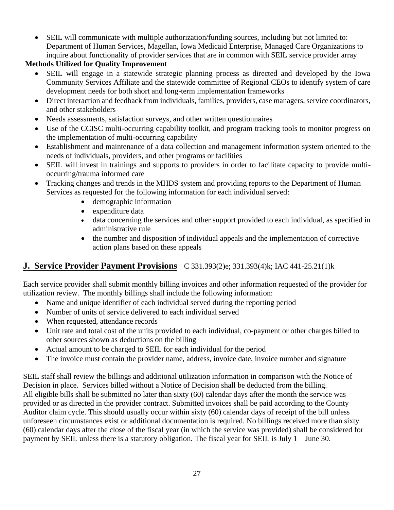• SEIL will communicate with multiple authorization/funding sources, including but not limited to: Department of Human Services, Magellan, Iowa Medicaid Enterprise, Managed Care Organizations to inquire about functionality of provider services that are in common with SEIL service provider array

## **Methods Utilized for Quality Improvement**

- SEIL will engage in a statewide strategic planning process as directed and developed by the Iowa Community Services Affiliate and the statewide committee of Regional CEOs to identify system of care development needs for both short and long-term implementation frameworks
- Direct interaction and feedback from individuals, families, providers, case managers, service coordinators, and other stakeholders
- Needs assessments, satisfaction surveys, and other written questionnaires
- Use of the CCISC multi-occurring capability toolkit, and program tracking tools to monitor progress on the implementation of multi-occurring capability
- Establishment and maintenance of a data collection and management information system oriented to the needs of individuals, providers, and other programs or facilities
- SEIL will invest in trainings and supports to providers in order to facilitate capacity to provide multioccurring/trauma informed care
- Tracking changes and trends in the MHDS system and providing reports to the Department of Human Services as requested for the following information for each individual served:
	- demographic information
	- expenditure data
	- data concerning the services and other support provided to each individual, as specified in administrative rule
	- the number and disposition of individual appeals and the implementation of corrective action plans based on these appeals

## <span id="page-26-0"></span>**J. Service Provider Payment Provisions** C 331.393(2)e; 331.393(4)k; IAC 441-25.21(1)k

Each service provider shall submit monthly billing invoices and other information requested of the provider for utilization review. The monthly billings shall include the following information:

- Name and unique identifier of each individual served during the reporting period
- Number of units of service delivered to each individual served
- When requested, attendance records
- Unit rate and total cost of the units provided to each individual, co-payment or other charges billed to other sources shown as deductions on the billing
- Actual amount to be charged to SEIL for each individual for the period
- The invoice must contain the provider name, address, invoice date, invoice number and signature

SEIL staff shall review the billings and additional utilization information in comparison with the Notice of Decision in place. Services billed without a Notice of Decision shall be deducted from the billing. All eligible bills shall be submitted no later than sixty (60) calendar days after the month the service was provided or as directed in the provider contract. Submitted invoices shall be paid according to the County Auditor claim cycle. This should usually occur within sixty (60) calendar days of receipt of the bill unless unforeseen circumstances exist or additional documentation is required. No billings received more than sixty (60) calendar days after the close of the fiscal year (in which the service was provided) shall be considered for payment by SEIL unless there is a statutory obligation. The fiscal year for SEIL is July 1 – June 30.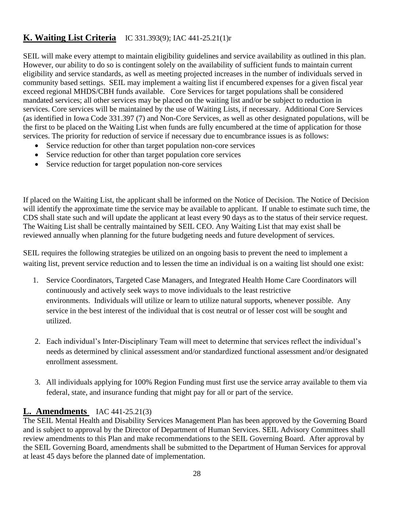## <span id="page-27-0"></span>**K. Waiting List Criteria** IC 331.393(9); IAC 441-25.21(1)r

SEIL will make every attempt to maintain eligibility guidelines and service availability as outlined in this plan. However, our ability to do so is contingent solely on the availability of sufficient funds to maintain current eligibility and service standards, as well as meeting projected increases in the number of individuals served in community based settings. SEIL may implement a waiting list if encumbered expenses for a given fiscal year exceed regional MHDS/CBH funds available. Core Services for target populations shall be considered mandated services; all other services may be placed on the waiting list and/or be subject to reduction in services. Core services will be maintained by the use of Waiting Lists, if necessary. Additional Core Services (as identified in Iowa Code 331.397 (7) and Non-Core Services, as well as other designated populations, will be the first to be placed on the Waiting List when funds are fully encumbered at the time of application for those services. The priority for reduction of service if necessary due to encumbrance issues is as follows:

- Service reduction for other than target population non-core services
- Service reduction for other than target population core services
- Service reduction for target population non-core services

If placed on the Waiting List, the applicant shall be informed on the Notice of Decision. The Notice of Decision will identify the approximate time the service may be available to applicant. If unable to estimate such time, the CDS shall state such and will update the applicant at least every 90 days as to the status of their service request. The Waiting List shall be centrally maintained by SEIL CEO. Any Waiting List that may exist shall be reviewed annually when planning for the future budgeting needs and future development of services.

SEIL requires the following strategies be utilized on an ongoing basis to prevent the need to implement a waiting list, prevent service reduction and to lessen the time an individual is on a waiting list should one exist:

- 1. Service Coordinators, Targeted Case Managers, and Integrated Health Home Care Coordinators will continuously and actively seek ways to move individuals to the least restrictive environments. Individuals will utilize or learn to utilize natural supports, whenever possible. Any service in the best interest of the individual that is cost neutral or of lesser cost will be sought and utilized.
- 2. Each individual's Inter-Disciplinary Team will meet to determine that services reflect the individual's needs as determined by clinical assessment and/or standardized functional assessment and/or designated enrollment assessment.
- 3. All individuals applying for 100% Region Funding must first use the service array available to them via federal, state, and insurance funding that might pay for all or part of the service.

## <span id="page-27-1"></span>**L. Amendments** IAC 441-25.21(3)

The SEIL Mental Health and Disability Services Management Plan has been approved by the Governing Board and is subject to approval by the Director of Department of Human Services. SEIL Advisory Committees shall review amendments to this Plan and make recommendations to the SEIL Governing Board. After approval by the SEIL Governing Board, amendments shall be submitted to the Department of Human Services for approval at least 45 days before the planned date of implementation.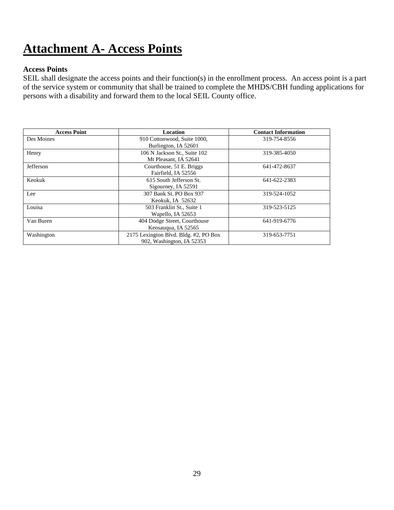## <span id="page-28-0"></span>**Attachment A- Access Points**

#### **Access Points**

SEIL shall designate the access points and their function(s) in the enrollment process. An access point is a part of the service system or community that shall be trained to complete the MHDS/CBH funding applications for persons with a disability and forward them to the local SEIL County office.

| <b>Access Point</b> | Location                              | <b>Contact Information</b> |
|---------------------|---------------------------------------|----------------------------|
| Des Moines          | 910 Cottonwood, Suite 1000,           | 319-754-8556               |
|                     | Burlington, IA 52601                  |                            |
| Henry               | 106 N Jackson St., Suite 102          | 319-385-4050               |
|                     | Mt Pleasant, IA 52641                 |                            |
| Jefferson           | Courthouse, 51 E. Briggs              | 641-472-8637               |
|                     | Fairfield, IA 52556                   |                            |
| Keokuk              | 615 South Jefferson St.               | 641-622-2383               |
|                     | Sigourney, IA 52591                   |                            |
| Lee                 | 307 Bank St. PO Box 937               | 319-524-1052               |
|                     | Keokuk. IA 52632                      |                            |
| Louisa              | 503 Franklin St., Suite 1             | 319-523-5125               |
|                     | Wapello, IA 52653                     |                            |
| Van Buren           | 404 Dodge Street, Courthouse          | 641-919-6776               |
|                     | Keosaugua, IA 52565                   |                            |
| Washington          | 2175 Lexington Blvd. Bldg. #2, PO Box | 319-653-7751               |
|                     | 902, Washington, IA 52353             |                            |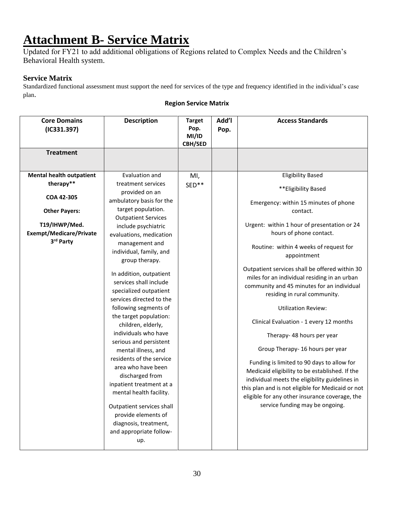## <span id="page-29-0"></span>**Attachment B- Service Matrix**

Updated for FY21 to add additional obligations of Regions related to Complex Needs and the Children's Behavioral Health system.

#### **Service Matrix**

Standardized functional assessment must support the need for services of the type and frequency identified in the individual's case plan.

| <b>Core Domains</b><br>(IC331.397) | <b>Description</b>         | <b>Target</b><br>Pop.<br>MI/ID<br><b>CBH/SED</b> | Add'l<br>Pop. | <b>Access Standards</b>                           |
|------------------------------------|----------------------------|--------------------------------------------------|---------------|---------------------------------------------------|
| <b>Treatment</b>                   |                            |                                                  |               |                                                   |
|                                    |                            |                                                  |               |                                                   |
| <b>Mental health outpatient</b>    | Evaluation and             | MI,                                              |               | <b>Eligibility Based</b>                          |
| therapy**                          | treatment services         | SED**                                            |               | **Eligibility Based                               |
| COA 42-305                         | provided on an             |                                                  |               |                                                   |
|                                    | ambulatory basis for the   |                                                  |               | Emergency: within 15 minutes of phone             |
| <b>Other Payers:</b>               | target population.         |                                                  |               | contact.                                          |
|                                    | <b>Outpatient Services</b> |                                                  |               |                                                   |
| T19/IHWP/Med.                      | include psychiatric        |                                                  |               | Urgent: within 1 hour of presentation or 24       |
| <b>Exempt/Medicare/Private</b>     | evaluations, medication    |                                                  |               | hours of phone contact.                           |
| 3rd Party                          | management and             |                                                  |               | Routine: within 4 weeks of request for            |
|                                    | individual, family, and    |                                                  |               | appointment                                       |
|                                    | group therapy.             |                                                  |               |                                                   |
|                                    | In addition, outpatient    |                                                  |               | Outpatient services shall be offered within 30    |
|                                    | services shall include     |                                                  |               | miles for an individual residing in an urban      |
|                                    | specialized outpatient     |                                                  |               | community and 45 minutes for an individual        |
|                                    | services directed to the   |                                                  |               | residing in rural community.                      |
|                                    | following segments of      |                                                  |               | <b>Utilization Review:</b>                        |
|                                    | the target population:     |                                                  |               |                                                   |
|                                    | children, elderly,         |                                                  |               | Clinical Evaluation - 1 every 12 months           |
|                                    | individuals who have       |                                                  |               |                                                   |
|                                    | serious and persistent     |                                                  |               | Therapy- 48 hours per year                        |
|                                    | mental illness, and        |                                                  |               | Group Therapy- 16 hours per year                  |
|                                    | residents of the service   |                                                  |               |                                                   |
|                                    | area who have been         |                                                  |               | Funding is limited to 90 days to allow for        |
|                                    | discharged from            |                                                  |               | Medicaid eligibility to be established. If the    |
|                                    | inpatient treatment at a   |                                                  |               | individual meets the eligibility guidelines in    |
|                                    | mental health facility.    |                                                  |               | this plan and is not eligible for Medicaid or not |
|                                    |                            |                                                  |               | eligible for any other insurance coverage, the    |
|                                    | Outpatient services shall  |                                                  |               | service funding may be ongoing.                   |
|                                    | provide elements of        |                                                  |               |                                                   |
|                                    | diagnosis, treatment,      |                                                  |               |                                                   |
|                                    | and appropriate follow-    |                                                  |               |                                                   |
|                                    | up.                        |                                                  |               |                                                   |
|                                    |                            |                                                  |               |                                                   |

#### **Region Service Matrix**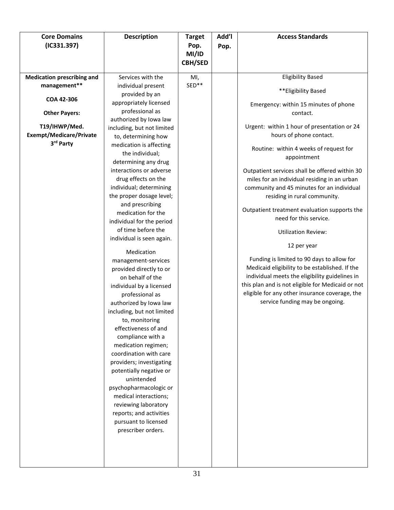| <b>Core Domains</b>               | <b>Description</b>                                   | <b>Target</b>  | Add'l | <b>Access Standards</b>                                                                             |
|-----------------------------------|------------------------------------------------------|----------------|-------|-----------------------------------------------------------------------------------------------------|
| (IC331.397)                       |                                                      | Pop.           | Pop.  |                                                                                                     |
|                                   |                                                      | MI/ID          |       |                                                                                                     |
|                                   |                                                      | <b>CBH/SED</b> |       |                                                                                                     |
| <b>Medication prescribing and</b> | Services with the                                    | MI,            |       | <b>Eligibility Based</b>                                                                            |
| management**                      | individual present<br>provided by an                 | SED**          |       | **Eligibility Based                                                                                 |
| COA 42-306                        | appropriately licensed                               |                |       | Emergency: within 15 minutes of phone                                                               |
| <b>Other Payers:</b>              | professional as                                      |                |       | contact.                                                                                            |
| T19/IHWP/Med.                     | authorized by Iowa law                               |                |       | Urgent: within 1 hour of presentation or 24                                                         |
| <b>Exempt/Medicare/Private</b>    | including, but not limited                           |                |       | hours of phone contact.                                                                             |
| 3rd Party                         | to, determining how<br>medication is affecting       |                |       |                                                                                                     |
|                                   | the individual;                                      |                |       | Routine: within 4 weeks of request for                                                              |
|                                   | determining any drug                                 |                |       | appointment                                                                                         |
|                                   | interactions or adverse                              |                |       | Outpatient services shall be offered within 30                                                      |
|                                   | drug effects on the                                  |                |       | miles for an individual residing in an urban                                                        |
|                                   | individual; determining                              |                |       | community and 45 minutes for an individual                                                          |
|                                   | the proper dosage level;                             |                |       | residing in rural community.                                                                        |
|                                   | and prescribing                                      |                |       |                                                                                                     |
|                                   | medication for the                                   |                |       | Outpatient treatment evaluation supports the<br>need for this service.                              |
|                                   | individual for the period                            |                |       |                                                                                                     |
|                                   | of time before the                                   |                |       | <b>Utilization Review:</b>                                                                          |
|                                   | individual is seen again.                            |                |       | 12 per year                                                                                         |
|                                   | Medication                                           |                |       |                                                                                                     |
|                                   | management-services                                  |                |       | Funding is limited to 90 days to allow for                                                          |
|                                   | provided directly to or                              |                |       | Medicaid eligibility to be established. If the                                                      |
|                                   | on behalf of the                                     |                |       | individual meets the eligibility guidelines in                                                      |
|                                   | individual by a licensed                             |                |       | this plan and is not eligible for Medicaid or not<br>eligible for any other insurance coverage, the |
|                                   | professional as                                      |                |       | service funding may be ongoing.                                                                     |
|                                   | authorized by Iowa law<br>including, but not limited |                |       |                                                                                                     |
|                                   | to, monitoring                                       |                |       |                                                                                                     |
|                                   | effectiveness of and                                 |                |       |                                                                                                     |
|                                   | compliance with a                                    |                |       |                                                                                                     |
|                                   | medication regimen;                                  |                |       |                                                                                                     |
|                                   | coordination with care                               |                |       |                                                                                                     |
|                                   | providers; investigating                             |                |       |                                                                                                     |
|                                   | potentially negative or                              |                |       |                                                                                                     |
|                                   | unintended                                           |                |       |                                                                                                     |
|                                   | psychopharmacologic or                               |                |       |                                                                                                     |
|                                   | medical interactions;                                |                |       |                                                                                                     |
|                                   | reviewing laboratory                                 |                |       |                                                                                                     |
|                                   | reports; and activities                              |                |       |                                                                                                     |
|                                   | pursuant to licensed                                 |                |       |                                                                                                     |
|                                   | prescriber orders.                                   |                |       |                                                                                                     |
|                                   |                                                      |                |       |                                                                                                     |
|                                   |                                                      |                |       |                                                                                                     |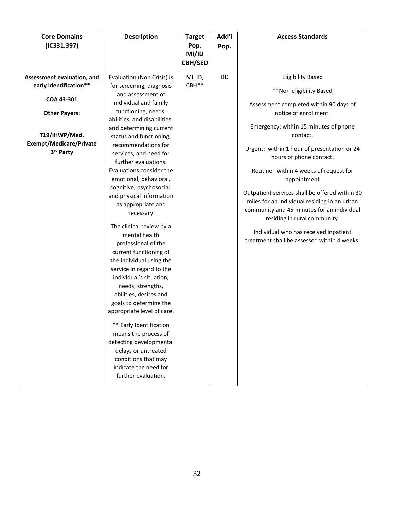| <b>Core Domains</b><br>(IC331.397)                                                                                                                         | <b>Description</b>                                                                                                                                                                                                                                                                                                                                                                                                                                                                                                                                                                                                                                                                                                                                              | <b>Target</b><br>Pop.<br>MI/ID<br><b>CBH/SED</b> | Add'l<br>Pop. | <b>Access Standards</b>                                                                                                                                                                                                                                                                                                                                                                                                                                                                                                                                                                |
|------------------------------------------------------------------------------------------------------------------------------------------------------------|-----------------------------------------------------------------------------------------------------------------------------------------------------------------------------------------------------------------------------------------------------------------------------------------------------------------------------------------------------------------------------------------------------------------------------------------------------------------------------------------------------------------------------------------------------------------------------------------------------------------------------------------------------------------------------------------------------------------------------------------------------------------|--------------------------------------------------|---------------|----------------------------------------------------------------------------------------------------------------------------------------------------------------------------------------------------------------------------------------------------------------------------------------------------------------------------------------------------------------------------------------------------------------------------------------------------------------------------------------------------------------------------------------------------------------------------------------|
| Assessment evaluation, and<br>early identification**<br>COA 43-301<br><b>Other Payers:</b><br>T19/IHWP/Med.<br><b>Exempt/Medicare/Private</b><br>3rd Party | Evaluation (Non Crisis) is<br>for screening, diagnosis<br>and assessment of<br>individual and family<br>functioning, needs,<br>abilities, and disabilities,<br>and determining current<br>status and functioning,<br>recommendations for<br>services, and need for<br>further evaluations.<br>Evaluations consider the<br>emotional, behavioral,<br>cognitive, psychosocial,<br>and physical information<br>as appropriate and<br>necessary.<br>The clinical review by a<br>mental health<br>professional of the<br>current functioning of<br>the individual using the<br>service in regard to the<br>individual's situation,<br>needs, strengths,<br>abilities, desires and<br>goals to determine the<br>appropriate level of care.<br>** Early Identification | MI, ID,<br>CBH**                                 | DD            | <b>Eligibility Based</b><br>**Non-eligibility Based<br>Assessment completed within 90 days of<br>notice of enrollment.<br>Emergency: within 15 minutes of phone<br>contact.<br>Urgent: within 1 hour of presentation or 24<br>hours of phone contact.<br>Routine: within 4 weeks of request for<br>appointment<br>Outpatient services shall be offered within 30<br>miles for an individual residing in an urban<br>community and 45 minutes for an individual<br>residing in rural community.<br>Individual who has received inpatient<br>treatment shall be assessed within 4 weeks. |
|                                                                                                                                                            | means the process of<br>detecting developmental<br>delays or untreated<br>conditions that may<br>indicate the need for<br>further evaluation.                                                                                                                                                                                                                                                                                                                                                                                                                                                                                                                                                                                                                   |                                                  |               |                                                                                                                                                                                                                                                                                                                                                                                                                                                                                                                                                                                        |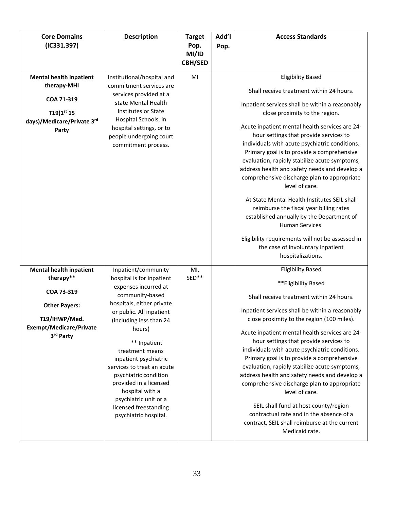| <b>Core Domains</b><br>(IC331.397)                                                                                                                | <b>Description</b>                                                                                                                                                                                                                                                                                                                                                                                                                   | <b>Target</b><br>Pop.<br>MI/ID<br><b>CBH/SED</b> | Add'l<br>Pop. | <b>Access Standards</b>                                                                                                                                                                                                                                                                                                                                                                                                                                                                                                                                                                                                                                                                                                                                                                           |
|---------------------------------------------------------------------------------------------------------------------------------------------------|--------------------------------------------------------------------------------------------------------------------------------------------------------------------------------------------------------------------------------------------------------------------------------------------------------------------------------------------------------------------------------------------------------------------------------------|--------------------------------------------------|---------------|---------------------------------------------------------------------------------------------------------------------------------------------------------------------------------------------------------------------------------------------------------------------------------------------------------------------------------------------------------------------------------------------------------------------------------------------------------------------------------------------------------------------------------------------------------------------------------------------------------------------------------------------------------------------------------------------------------------------------------------------------------------------------------------------------|
| <b>Mental health inpatient</b><br>therapy-MHI<br>COA 71-319<br>$T19(1^{st} 15)$<br>days)/Medicare/Private 3rd<br>Party                            | Institutional/hospital and<br>commitment services are<br>services provided at a<br>state Mental Health<br>Institutes or State<br>Hospital Schools, in<br>hospital settings, or to<br>people undergoing court<br>commitment process.                                                                                                                                                                                                  | MI                                               |               | <b>Eligibility Based</b><br>Shall receive treatment within 24 hours.<br>Inpatient services shall be within a reasonably<br>close proximity to the region.<br>Acute inpatient mental health services are 24-<br>hour settings that provide services to<br>individuals with acute psychiatric conditions.<br>Primary goal is to provide a comprehensive<br>evaluation, rapidly stabilize acute symptoms,<br>address health and safety needs and develop a<br>comprehensive discharge plan to appropriate<br>level of care.<br>At State Mental Health Institutes SEIL shall<br>reimburse the fiscal year billing rates<br>established annually by the Department of<br>Human Services.<br>Eligibility requirements will not be assessed in<br>the case of involuntary inpatient<br>hospitalizations. |
| <b>Mental health inpatient</b><br>therapy**<br>COA 73-319<br><b>Other Payers:</b><br>T19/IHWP/Med.<br><b>Exempt/Medicare/Private</b><br>3rd Party | Inpatient/community<br>hospital is for inpatient<br>expenses incurred at<br>community-based<br>hospitals, either private<br>or public. All inpatient<br>(including less than 24<br>hours)<br>** Inpatient<br>treatment means<br>inpatient psychiatric<br>services to treat an acute<br>psychiatric condition<br>provided in a licensed<br>hospital with a<br>psychiatric unit or a<br>licensed freestanding<br>psychiatric hospital. | MI,<br>SED**                                     |               | <b>Eligibility Based</b><br>**Eligibility Based<br>Shall receive treatment within 24 hours.<br>Inpatient services shall be within a reasonably<br>close proximity to the region (100 miles).<br>Acute inpatient mental health services are 24-<br>hour settings that provide services to<br>individuals with acute psychiatric conditions.<br>Primary goal is to provide a comprehensive<br>evaluation, rapidly stabilize acute symptoms,<br>address health and safety needs and develop a<br>comprehensive discharge plan to appropriate<br>level of care.<br>SEIL shall fund at host county/region<br>contractual rate and in the absence of a<br>contract, SEIL shall reimburse at the current<br>Medicaid rate.                                                                               |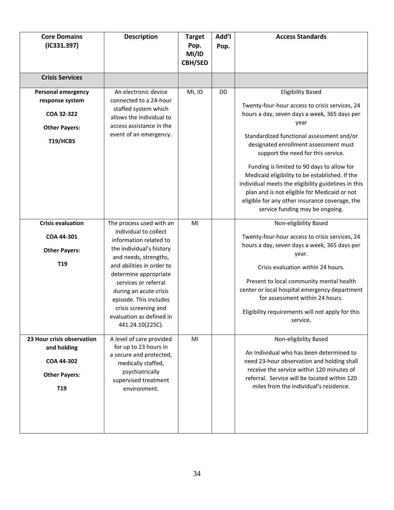| <b>Core Domains</b><br>(IC331.397)                                                                 | <b>Description</b>                                                                                                                                                                                                                                                                                                                         | <b>Target</b><br>Pop.<br>MI/ID<br><b>CBH/SED</b> | Add'l<br>Pop. | <b>Access Standards</b>                                                                                                                                                                                                                                                                                                                                                                                                                                                                                                                                    |
|----------------------------------------------------------------------------------------------------|--------------------------------------------------------------------------------------------------------------------------------------------------------------------------------------------------------------------------------------------------------------------------------------------------------------------------------------------|--------------------------------------------------|---------------|------------------------------------------------------------------------------------------------------------------------------------------------------------------------------------------------------------------------------------------------------------------------------------------------------------------------------------------------------------------------------------------------------------------------------------------------------------------------------------------------------------------------------------------------------------|
| <b>Crisis Services</b>                                                                             |                                                                                                                                                                                                                                                                                                                                            |                                                  |               |                                                                                                                                                                                                                                                                                                                                                                                                                                                                                                                                                            |
| <b>Personal emergency</b><br>response system<br>COA 32-322<br><b>Other Payers:</b><br>T19/HCBS     | An electronic device<br>connected to a 24-hour<br>staffed system which<br>allows the individual to<br>access assistance in the<br>event of an emergency.                                                                                                                                                                                   | MI, ID                                           | <b>DD</b>     | <b>Eligibility Based</b><br>Twenty-four-hour access to crisis services, 24<br>hours a day, seven days a week, 365 days per<br>year<br>Standardized functional assessment and/or<br>designated enrollment assessment must<br>support the need for this service.<br>Funding is limited to 90 days to allow for<br>Medicaid eligibility to be established. If the<br>individual meets the eligibility guidelines in this<br>plan and is not eligible for Medicaid or not<br>eligible for any other insurance coverage, the<br>service funding may be ongoing. |
| <b>Crisis evaluation</b><br>COA 44-301<br><b>Other Payers:</b><br>T <sub>19</sub>                  | The process used with an<br>individual to collect<br>information related to<br>the individual's history<br>and needs, strengths,<br>and abilities in order to<br>determine appropriate<br>services or referral<br>during an acute crisis<br>episode. This includes<br>crisis screening and<br>evaluation as defined in<br>441.24.10(225C). | MI                                               |               | Non-eligibility Based<br>Twenty-four-hour access to crisis services, 24<br>hours a day, seven days a week, 365 days per<br>year.<br>Crisis evaluation within 24 hours.<br>Present to local community mental health<br>center or local hospital emergency department<br>for assessment within 24 hours.<br>Eligibility requirements will not apply for this<br>service.                                                                                                                                                                                     |
| 23 Hour crisis observation<br>and holding<br>COA 44-302<br><b>Other Payers:</b><br>T <sub>19</sub> | A level of care provided<br>for up to 23 hours in<br>a secure and protected,<br>medically staffed,<br>psychiatrically<br>supervised treatment<br>environment.                                                                                                                                                                              | MI                                               |               | Non-eligibility Based<br>An Individual who has been determined to<br>need 23-hour observation and holding shall<br>receive the service within 120 minutes of<br>referral. Service will be located within 120<br>miles from the individual's residence.                                                                                                                                                                                                                                                                                                     |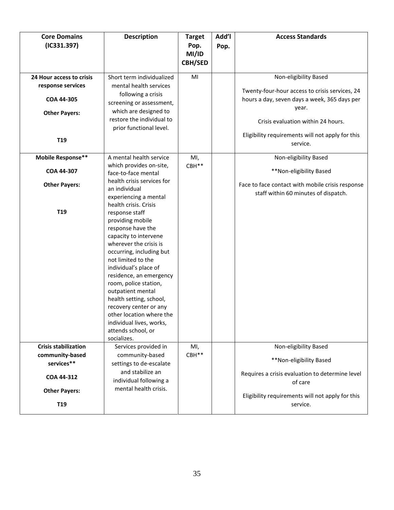| <b>Core Domains</b><br>(IC331.397)                                                  | <b>Description</b>                                                                                                                                                                                                                                                                                                                                                                                                                                                                                                | <b>Target</b><br>Pop.<br>MI/ID<br><b>CBH/SED</b> | Add'l<br>Pop. | <b>Access Standards</b>                                                                                                                                                |
|-------------------------------------------------------------------------------------|-------------------------------------------------------------------------------------------------------------------------------------------------------------------------------------------------------------------------------------------------------------------------------------------------------------------------------------------------------------------------------------------------------------------------------------------------------------------------------------------------------------------|--------------------------------------------------|---------------|------------------------------------------------------------------------------------------------------------------------------------------------------------------------|
| 24 Hour access to crisis<br>response services<br>COA 44-305<br><b>Other Payers:</b> | Short term individualized<br>mental health services<br>following a crisis<br>screening or assessment,<br>which are designed to<br>restore the individual to                                                                                                                                                                                                                                                                                                                                                       | MI                                               |               | Non-eligibility Based<br>Twenty-four-hour access to crisis services, 24<br>hours a day, seven days a week, 365 days per<br>year.<br>Crisis evaluation within 24 hours. |
| T <sub>19</sub>                                                                     | prior functional level.                                                                                                                                                                                                                                                                                                                                                                                                                                                                                           |                                                  |               | Eligibility requirements will not apply for this<br>service.                                                                                                           |
| Mobile Response**                                                                   | A mental health service                                                                                                                                                                                                                                                                                                                                                                                                                                                                                           | MI,                                              |               | Non-eligibility Based                                                                                                                                                  |
| COA 44-307                                                                          | which provides on-site,<br>face-to-face mental                                                                                                                                                                                                                                                                                                                                                                                                                                                                    | CBH**                                            |               | **Non-eligibility Based                                                                                                                                                |
| <b>Other Payers:</b><br>T <sub>19</sub>                                             | health crisis services for<br>an individual<br>experiencing a mental<br>health crisis. Crisis<br>response staff<br>providing mobile<br>response have the<br>capacity to intervene<br>wherever the crisis is<br>occurring, including but<br>not limited to the<br>individual's place of<br>residence, an emergency<br>room, police station,<br>outpatient mental<br>health setting, school,<br>recovery center or any<br>other location where the<br>individual lives, works,<br>attends school, or<br>socializes. |                                                  |               | Face to face contact with mobile crisis response<br>staff within 60 minutes of dispatch.                                                                               |
| <b>Crisis stabilization</b>                                                         | Services provided in                                                                                                                                                                                                                                                                                                                                                                                                                                                                                              | MI,                                              |               | Non-eligibility Based                                                                                                                                                  |
| community-based                                                                     | community-based                                                                                                                                                                                                                                                                                                                                                                                                                                                                                                   | CBH**                                            |               | **Non-eligibility Based                                                                                                                                                |
| services**<br>COA 44-312                                                            | settings to de-escalate<br>and stabilize an<br>individual following a                                                                                                                                                                                                                                                                                                                                                                                                                                             |                                                  |               | Requires a crisis evaluation to determine level<br>of care                                                                                                             |
| <b>Other Payers:</b>                                                                | mental health crisis.                                                                                                                                                                                                                                                                                                                                                                                                                                                                                             |                                                  |               | Eligibility requirements will not apply for this                                                                                                                       |
| T <sub>19</sub>                                                                     |                                                                                                                                                                                                                                                                                                                                                                                                                                                                                                                   |                                                  |               | service.                                                                                                                                                               |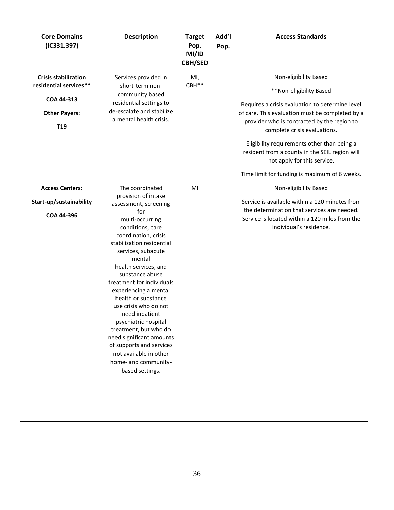| <b>Core Domains</b><br>(IC331.397)                                                                             | <b>Description</b>                                                                                                                                                                                                                                                                                                                                                                                                                                                                                                                                  | <b>Target</b><br>Pop.<br>MI/ID<br><b>CBH/SED</b> | Add'l<br>Pop. | <b>Access Standards</b>                                                                                                                                                                                                                                                                                                                                                                                                |
|----------------------------------------------------------------------------------------------------------------|-----------------------------------------------------------------------------------------------------------------------------------------------------------------------------------------------------------------------------------------------------------------------------------------------------------------------------------------------------------------------------------------------------------------------------------------------------------------------------------------------------------------------------------------------------|--------------------------------------------------|---------------|------------------------------------------------------------------------------------------------------------------------------------------------------------------------------------------------------------------------------------------------------------------------------------------------------------------------------------------------------------------------------------------------------------------------|
| <b>Crisis stabilization</b><br>residential services**<br>COA 44-313<br><b>Other Payers:</b><br>T <sub>19</sub> | Services provided in<br>short-term non-<br>community based<br>residential settings to<br>de-escalate and stabilize<br>a mental health crisis.                                                                                                                                                                                                                                                                                                                                                                                                       | MI,<br>CBH**                                     |               | Non-eligibility Based<br>**Non-eligibility Based<br>Requires a crisis evaluation to determine level<br>of care. This evaluation must be completed by a<br>provider who is contracted by the region to<br>complete crisis evaluations.<br>Eligibility requirements other than being a<br>resident from a county in the SEIL region will<br>not apply for this service.<br>Time limit for funding is maximum of 6 weeks. |
| <b>Access Centers:</b><br>Start-up/sustainability<br>COA 44-396                                                | The coordinated<br>provision of intake<br>assessment, screening<br>for<br>multi-occurring<br>conditions, care<br>coordination, crisis<br>stabilization residential<br>services, subacute<br>mental<br>health services, and<br>substance abuse<br>treatment for individuals<br>experiencing a mental<br>health or substance<br>use crisis who do not<br>need inpatient<br>psychiatric hospital<br>treatment, but who do<br>need significant amounts<br>of supports and services<br>not available in other<br>home- and community-<br>based settings. | MI                                               |               | Non-eligibility Based<br>Service is available within a 120 minutes from<br>the determination that services are needed.<br>Service is located within a 120 miles from the<br>individual's residence.                                                                                                                                                                                                                    |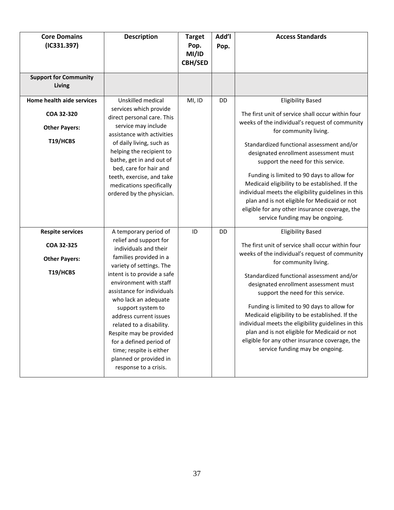| <b>Core Domains</b><br>(IC331.397)                                          | <b>Description</b>                                                                                                                                                                                                                                                                                                                                                                                                                                           | <b>Target</b><br>Pop.<br>MI/ID<br><b>CBH/SED</b> | Add'l<br>Pop. | <b>Access Standards</b>                                                                                                                                                                                                                                                                                                                                                                                                                                                                                                                                                          |
|-----------------------------------------------------------------------------|--------------------------------------------------------------------------------------------------------------------------------------------------------------------------------------------------------------------------------------------------------------------------------------------------------------------------------------------------------------------------------------------------------------------------------------------------------------|--------------------------------------------------|---------------|----------------------------------------------------------------------------------------------------------------------------------------------------------------------------------------------------------------------------------------------------------------------------------------------------------------------------------------------------------------------------------------------------------------------------------------------------------------------------------------------------------------------------------------------------------------------------------|
| <b>Support for Community</b><br>Living                                      |                                                                                                                                                                                                                                                                                                                                                                                                                                                              |                                                  |               |                                                                                                                                                                                                                                                                                                                                                                                                                                                                                                                                                                                  |
| Home health aide services<br>COA 32-320<br><b>Other Payers:</b><br>T19/HCBS | Unskilled medical<br>services which provide<br>direct personal care. This<br>service may include<br>assistance with activities<br>of daily living, such as<br>helping the recipient to<br>bathe, get in and out of<br>bed, care for hair and<br>teeth, exercise, and take<br>medications specifically<br>ordered by the physician.                                                                                                                           | MI, ID                                           | DD            | <b>Eligibility Based</b><br>The first unit of service shall occur within four<br>weeks of the individual's request of community<br>for community living.<br>Standardized functional assessment and/or<br>designated enrollment assessment must<br>support the need for this service.<br>Funding is limited to 90 days to allow for<br>Medicaid eligibility to be established. If the<br>individual meets the eligibility guidelines in this<br>plan and is not eligible for Medicaid or not<br>eligible for any other insurance coverage, the<br>service funding may be ongoing. |
| <b>Respite services</b><br>COA 32-325<br><b>Other Payers:</b><br>T19/HCBS   | A temporary period of<br>relief and support for<br>individuals and their<br>families provided in a<br>variety of settings. The<br>intent is to provide a safe<br>environment with staff<br>assistance for individuals<br>who lack an adequate<br>support system to<br>address current issues<br>related to a disability.<br>Respite may be provided<br>for a defined period of<br>time; respite is either<br>planned or provided in<br>response to a crisis. | ID                                               | DD            | <b>Eligibility Based</b><br>The first unit of service shall occur within four<br>weeks of the individual's request of community<br>for community living.<br>Standardized functional assessment and/or<br>designated enrollment assessment must<br>support the need for this service.<br>Funding is limited to 90 days to allow for<br>Medicaid eligibility to be established. If the<br>individual meets the eligibility guidelines in this<br>plan and is not eligible for Medicaid or not<br>eligible for any other insurance coverage, the<br>service funding may be ongoing. |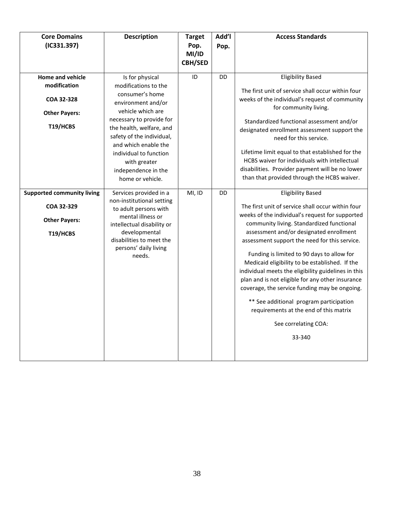| <b>Core Domains</b><br>(IC331.397)                                                  | <b>Description</b>                                                                                                                                                                                                                                                                                      | <b>Target</b><br>Pop.<br>MI/ID<br><b>CBH/SED</b> | Add'l<br>Pop. | <b>Access Standards</b>                                                                                                                                                                                                                                                                                                                                                                                                                                                                                                                                                                                                                                      |
|-------------------------------------------------------------------------------------|---------------------------------------------------------------------------------------------------------------------------------------------------------------------------------------------------------------------------------------------------------------------------------------------------------|--------------------------------------------------|---------------|--------------------------------------------------------------------------------------------------------------------------------------------------------------------------------------------------------------------------------------------------------------------------------------------------------------------------------------------------------------------------------------------------------------------------------------------------------------------------------------------------------------------------------------------------------------------------------------------------------------------------------------------------------------|
| Home and vehicle<br>modification<br>COA 32-328<br><b>Other Payers:</b><br>T19/HCBS  | Is for physical<br>modifications to the<br>consumer's home<br>environment and/or<br>vehicle which are<br>necessary to provide for<br>the health, welfare, and<br>safety of the individual,<br>and which enable the<br>individual to function<br>with greater<br>independence in the<br>home or vehicle. | ID                                               | <b>DD</b>     | <b>Eligibility Based</b><br>The first unit of service shall occur within four<br>weeks of the individual's request of community<br>for community living.<br>Standardized functional assessment and/or<br>designated enrollment assessment support the<br>need for this service.<br>Lifetime limit equal to that established for the<br>HCBS waiver for individuals with intellectual<br>disabilities. Provider payment will be no lower<br>than that provided through the HCBS waiver.                                                                                                                                                                       |
| <b>Supported community living</b><br>COA 32-329<br><b>Other Payers:</b><br>T19/HCBS | Services provided in a<br>non-institutional setting<br>to adult persons with<br>mental illness or<br>intellectual disability or<br>developmental<br>disabilities to meet the<br>persons' daily living<br>needs.                                                                                         | MI, ID                                           | DD            | <b>Eligibility Based</b><br>The first unit of service shall occur within four<br>weeks of the individual's request for supported<br>community living. Standardized functional<br>assessment and/or designated enrollment<br>assessment support the need for this service.<br>Funding is limited to 90 days to allow for<br>Medicaid eligibility to be established. If the<br>individual meets the eligibility guidelines in this<br>plan and is not eligible for any other insurance<br>coverage, the service funding may be ongoing.<br>** See additional program participation<br>requirements at the end of this matrix<br>See correlating COA:<br>33-340 |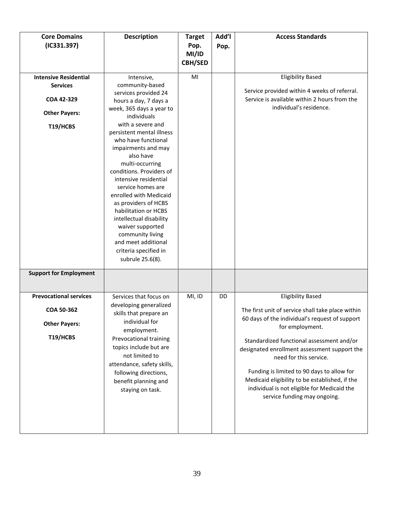| <b>Core Domains</b><br>(IC331.397) | <b>Description</b>                                                                                                                                                                                                                                                                                                                                                                                                      | <b>Target</b><br>Pop.<br>MI/ID<br><b>CBH/SED</b> | Add'l<br>Pop. | <b>Access Standards</b>                                                                                                                                                                                                                                                                            |
|------------------------------------|-------------------------------------------------------------------------------------------------------------------------------------------------------------------------------------------------------------------------------------------------------------------------------------------------------------------------------------------------------------------------------------------------------------------------|--------------------------------------------------|---------------|----------------------------------------------------------------------------------------------------------------------------------------------------------------------------------------------------------------------------------------------------------------------------------------------------|
| <b>Intensive Residential</b>       | Intensive,                                                                                                                                                                                                                                                                                                                                                                                                              | MI                                               |               | <b>Eligibility Based</b>                                                                                                                                                                                                                                                                           |
| <b>Services</b>                    | community-based                                                                                                                                                                                                                                                                                                                                                                                                         |                                                  |               |                                                                                                                                                                                                                                                                                                    |
| COA 42-329                         | services provided 24                                                                                                                                                                                                                                                                                                                                                                                                    |                                                  |               | Service provided within 4 weeks of referral.<br>Service is available within 2 hours from the                                                                                                                                                                                                       |
|                                    | hours a day, 7 days a                                                                                                                                                                                                                                                                                                                                                                                                   |                                                  |               | individual's residence.                                                                                                                                                                                                                                                                            |
| <b>Other Payers:</b>               | week, 365 days a year to<br>individuals                                                                                                                                                                                                                                                                                                                                                                                 |                                                  |               |                                                                                                                                                                                                                                                                                                    |
| T19/HCBS                           | with a severe and<br>persistent mental illness<br>who have functional<br>impairments and may<br>also have<br>multi-occurring<br>conditions. Providers of<br>intensive residential<br>service homes are<br>enrolled with Medicaid<br>as providers of HCBS<br>habilitation or HCBS<br>intellectual disability<br>waiver supported<br>community living<br>and meet additional<br>criteria specified in<br>subrule 25.6(8). |                                                  |               |                                                                                                                                                                                                                                                                                                    |
| <b>Support for Employment</b>      |                                                                                                                                                                                                                                                                                                                                                                                                                         |                                                  |               |                                                                                                                                                                                                                                                                                                    |
| <b>Prevocational services</b>      | Services that focus on                                                                                                                                                                                                                                                                                                                                                                                                  | MI, ID                                           | <b>DD</b>     | <b>Eligibility Based</b>                                                                                                                                                                                                                                                                           |
| COA 50-362                         | developing generalized<br>skills that prepare an                                                                                                                                                                                                                                                                                                                                                                        |                                                  |               | The first unit of service shall take place within<br>60 days of the individual's request of support                                                                                                                                                                                                |
| <b>Other Payers:</b>               | individual for<br>employment.                                                                                                                                                                                                                                                                                                                                                                                           |                                                  |               | for employment.                                                                                                                                                                                                                                                                                    |
| T19/HCBS                           | Prevocational training<br>topics include but are<br>not limited to<br>attendance, safety skills,<br>following directions,<br>benefit planning and<br>staying on task.                                                                                                                                                                                                                                                   |                                                  |               | Standardized functional assessment and/or<br>designated enrollment assessment support the<br>need for this service.<br>Funding is limited to 90 days to allow for<br>Medicaid eligibility to be established, if the<br>individual is not eligible for Medicaid the<br>service funding may ongoing. |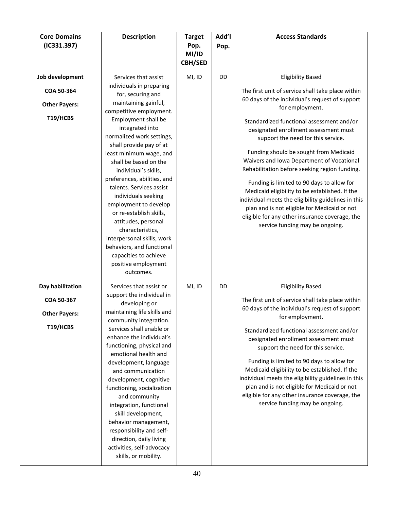| <b>Core Domains</b><br>(IC331.397)                                 | <b>Description</b>                                                                                                                                                                                                                                                                                                                                                                                                                                                                                                                                                                                              | <b>Target</b><br>Pop.<br>MI/ID<br><b>CBH/SED</b> | Add'l<br>Pop. | <b>Access Standards</b>                                                                                                                                                                                                                                                                                                                                                                                                                                                                                                                                                                                                                                                                                            |
|--------------------------------------------------------------------|-----------------------------------------------------------------------------------------------------------------------------------------------------------------------------------------------------------------------------------------------------------------------------------------------------------------------------------------------------------------------------------------------------------------------------------------------------------------------------------------------------------------------------------------------------------------------------------------------------------------|--------------------------------------------------|---------------|--------------------------------------------------------------------------------------------------------------------------------------------------------------------------------------------------------------------------------------------------------------------------------------------------------------------------------------------------------------------------------------------------------------------------------------------------------------------------------------------------------------------------------------------------------------------------------------------------------------------------------------------------------------------------------------------------------------------|
| Job development<br>COA 50-364<br><b>Other Payers:</b><br>T19/HCBS  | Services that assist<br>individuals in preparing<br>for, securing and<br>maintaining gainful,<br>competitive employment.<br>Employment shall be<br>integrated into<br>normalized work settings,<br>shall provide pay of at<br>least minimum wage, and<br>shall be based on the<br>individual's skills,<br>preferences, abilities, and<br>talents. Services assist<br>individuals seeking<br>employment to develop<br>or re-establish skills,<br>attitudes, personal<br>characteristics,<br>interpersonal skills, work<br>behaviors, and functional<br>capacities to achieve<br>positive employment<br>outcomes. | MI, ID                                           | DD            | <b>Eligibility Based</b><br>The first unit of service shall take place within<br>60 days of the individual's request of support<br>for employment.<br>Standardized functional assessment and/or<br>designated enrollment assessment must<br>support the need for this service.<br>Funding should be sought from Medicaid<br>Waivers and Iowa Department of Vocational<br>Rehabilitation before seeking region funding.<br>Funding is limited to 90 days to allow for<br>Medicaid eligibility to be established. If the<br>individual meets the eligibility guidelines in this<br>plan and is not eligible for Medicaid or not<br>eligible for any other insurance coverage, the<br>service funding may be ongoing. |
| Day habilitation<br>COA 50-367<br><b>Other Payers:</b><br>T19/HCBS | Services that assist or<br>support the individual in<br>developing or<br>maintaining life skills and<br>community integration.<br>Services shall enable or<br>enhance the individual's<br>functioning, physical and<br>emotional health and<br>development, language<br>and communication<br>development, cognitive<br>functioning, socialization<br>and community<br>integration, functional<br>skill development,<br>behavior management,<br>responsibility and self-<br>direction, daily living<br>activities, self-advocacy<br>skills, or mobility.                                                         | MI, ID                                           | DD            | <b>Eligibility Based</b><br>The first unit of service shall take place within<br>60 days of the individual's request of support<br>for employment.<br>Standardized functional assessment and/or<br>designated enrollment assessment must<br>support the need for this service.<br>Funding is limited to 90 days to allow for<br>Medicaid eligibility to be established. If the<br>individual meets the eligibility guidelines in this<br>plan and is not eligible for Medicaid or not<br>eligible for any other insurance coverage, the<br>service funding may be ongoing.                                                                                                                                         |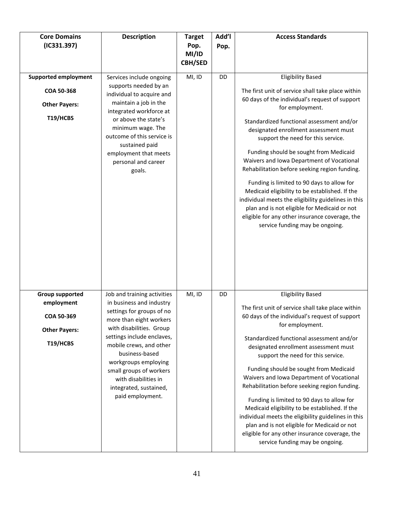| <b>Core Domains</b><br>(IC331.397)                                                     | <b>Description</b>                                                                                                                                                                                                                                                                                                                              | <b>Target</b><br>Pop.<br>MI/ID<br><b>CBH/SED</b> | Add'l<br>Pop. | <b>Access Standards</b>                                                                                                                                                                                                                                                                                                                                                                                                                                                                                                                                                                                                                                                                                            |
|----------------------------------------------------------------------------------------|-------------------------------------------------------------------------------------------------------------------------------------------------------------------------------------------------------------------------------------------------------------------------------------------------------------------------------------------------|--------------------------------------------------|---------------|--------------------------------------------------------------------------------------------------------------------------------------------------------------------------------------------------------------------------------------------------------------------------------------------------------------------------------------------------------------------------------------------------------------------------------------------------------------------------------------------------------------------------------------------------------------------------------------------------------------------------------------------------------------------------------------------------------------------|
| <b>Supported employment</b><br>COA 50-368<br><b>Other Payers:</b><br>T19/HCBS          | Services include ongoing<br>supports needed by an<br>individual to acquire and<br>maintain a job in the<br>integrated workforce at<br>or above the state's<br>minimum wage. The<br>outcome of this service is<br>sustained paid<br>employment that meets<br>personal and career<br>goals.                                                       | MI, ID                                           | DD            | <b>Eligibility Based</b><br>The first unit of service shall take place within<br>60 days of the individual's request of support<br>for employment.<br>Standardized functional assessment and/or<br>designated enrollment assessment must<br>support the need for this service.<br>Funding should be sought from Medicaid<br>Waivers and Iowa Department of Vocational<br>Rehabilitation before seeking region funding.<br>Funding is limited to 90 days to allow for<br>Medicaid eligibility to be established. If the<br>individual meets the eligibility guidelines in this<br>plan and is not eligible for Medicaid or not<br>eligible for any other insurance coverage, the<br>service funding may be ongoing. |
| <b>Group supported</b><br>employment<br>COA 50-369<br><b>Other Payers:</b><br>T19/HCBS | Job and training activities<br>in business and industry<br>settings for groups of no<br>more than eight workers<br>with disabilities. Group<br>settings include enclaves,<br>mobile crews, and other<br>business-based<br>workgroups employing<br>small groups of workers<br>with disabilities in<br>integrated, sustained,<br>paid employment. | MI, ID                                           | DD            | <b>Eligibility Based</b><br>The first unit of service shall take place within<br>60 days of the individual's request of support<br>for employment.<br>Standardized functional assessment and/or<br>designated enrollment assessment must<br>support the need for this service.<br>Funding should be sought from Medicaid<br>Waivers and Iowa Department of Vocational<br>Rehabilitation before seeking region funding.<br>Funding is limited to 90 days to allow for<br>Medicaid eligibility to be established. If the<br>individual meets the eligibility guidelines in this<br>plan and is not eligible for Medicaid or not<br>eligible for any other insurance coverage, the<br>service funding may be ongoing. |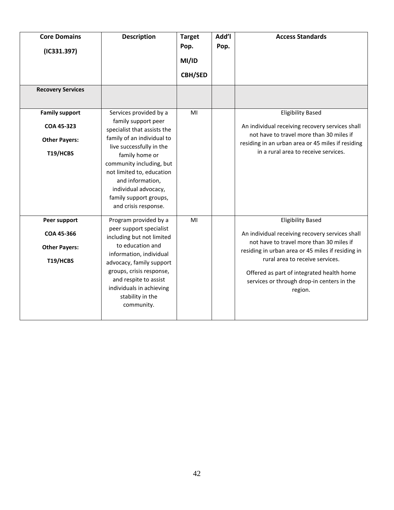| <b>Core Domains</b><br>(IC331.397)<br><b>Recovery Services</b>          | <b>Description</b>                                                                                                                                                                                                                                                                                              | <b>Target</b><br>Pop.<br>MI/ID<br><b>CBH/SED</b> | Add'l<br>Pop. | <b>Access Standards</b>                                                                                                                                                                                                                                                                                               |
|-------------------------------------------------------------------------|-----------------------------------------------------------------------------------------------------------------------------------------------------------------------------------------------------------------------------------------------------------------------------------------------------------------|--------------------------------------------------|---------------|-----------------------------------------------------------------------------------------------------------------------------------------------------------------------------------------------------------------------------------------------------------------------------------------------------------------------|
| <b>Family support</b><br>COA 45-323<br><b>Other Payers:</b><br>T19/HCBS | Services provided by a<br>family support peer<br>specialist that assists the<br>family of an individual to<br>live successfully in the<br>family home or<br>community including, but<br>not limited to, education<br>and information,<br>individual advocacy,<br>family support groups,<br>and crisis response. | MI                                               |               | <b>Eligibility Based</b><br>An individual receiving recovery services shall<br>not have to travel more than 30 miles if<br>residing in an urban area or 45 miles if residing<br>in a rural area to receive services.                                                                                                  |
| Peer support<br>COA 45-366<br><b>Other Payers:</b><br>T19/HCBS          | Program provided by a<br>peer support specialist<br>including but not limited<br>to education and<br>information, individual<br>advocacy, family support<br>groups, crisis response,<br>and respite to assist<br>individuals in achieving<br>stability in the<br>community.                                     | MI                                               |               | <b>Eligibility Based</b><br>An individual receiving recovery services shall<br>not have to travel more than 30 miles if<br>residing in urban area or 45 miles if residing in<br>rural area to receive services.<br>Offered as part of integrated health home<br>services or through drop-in centers in the<br>region. |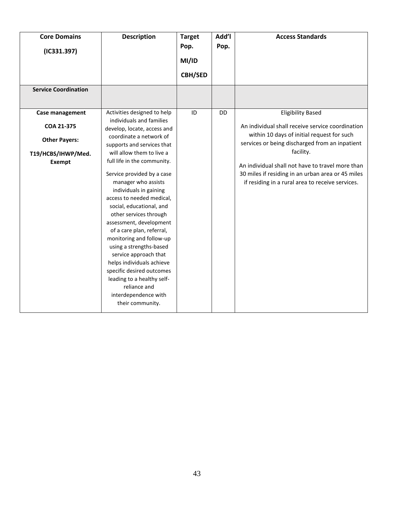| <b>Core Domains</b>         | <b>Description</b>          | <b>Target</b>  | Add'l     | <b>Access Standards</b>                           |
|-----------------------------|-----------------------------|----------------|-----------|---------------------------------------------------|
| (IC331.397)                 |                             | Pop.           | Pop.      |                                                   |
|                             |                             | MI/ID          |           |                                                   |
|                             |                             |                |           |                                                   |
|                             |                             | <b>CBH/SED</b> |           |                                                   |
| <b>Service Coordination</b> |                             |                |           |                                                   |
|                             |                             |                |           |                                                   |
| Case management             | Activities designed to help | ID             | <b>DD</b> | <b>Eligibility Based</b>                          |
|                             | individuals and families    |                |           |                                                   |
| COA 21-375                  | develop, locate, access and |                |           | An individual shall receive service coordination  |
| <b>Other Payers:</b>        | coordinate a network of     |                |           | within 10 days of initial request for such        |
|                             | supports and services that  |                |           | services or being discharged from an inpatient    |
| T19/HCBS/IHWP/Med.          | will allow them to live a   |                |           | facility.                                         |
| <b>Exempt</b>               | full life in the community. |                |           | An individual shall not have to travel more than  |
|                             | Service provided by a case  |                |           | 30 miles if residing in an urban area or 45 miles |
|                             | manager who assists         |                |           | if residing in a rural area to receive services.  |
|                             | individuals in gaining      |                |           |                                                   |
|                             | access to needed medical,   |                |           |                                                   |
|                             | social, educational, and    |                |           |                                                   |
|                             | other services through      |                |           |                                                   |
|                             | assessment, development     |                |           |                                                   |
|                             | of a care plan, referral,   |                |           |                                                   |
|                             | monitoring and follow-up    |                |           |                                                   |
|                             | using a strengths-based     |                |           |                                                   |
|                             | service approach that       |                |           |                                                   |
|                             | helps individuals achieve   |                |           |                                                   |
|                             | specific desired outcomes   |                |           |                                                   |
|                             | leading to a healthy self-  |                |           |                                                   |
|                             | reliance and                |                |           |                                                   |
|                             | interdependence with        |                |           |                                                   |
|                             | their community.            |                |           |                                                   |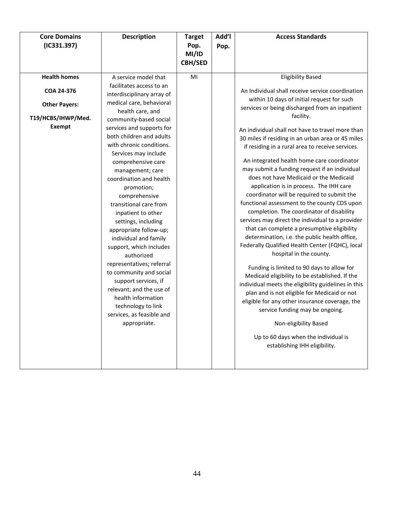| <b>Health homes</b><br>A service model that<br>MI<br><b>Eligibility Based</b><br>facilitates access to an<br>COA 24-376<br>An Individual shall receive service coordination<br>interdisciplinary array of<br>within 10 days of initial request for such<br>medical care, behavioral<br><b>Other Payers:</b><br>services or being discharged from an inpatient<br>health care, and<br>facility.<br>T19/HCBS/IHWP/Med.<br>community-based social<br><b>Exempt</b><br>services and supports for<br>An individual shall not have to travel more than<br>both children and adults<br>30 miles if residing in an urban area or 45 miles<br>with chronic conditions.<br>if residing in a rural area to receive services.<br>Services may include<br>An integrated health home care coordinator<br>comprehensive care<br>may submit a funding request if an individual<br>management; care<br>does not have Medicaid or the Medicaid<br>coordination and health<br>application is in process. The IHH care<br>promotion;<br>coordinator will be required to submit the<br>comprehensive<br>functional assessment to the county CDS upon<br>transitional care from<br>completion. The coordinator of disability<br>inpatient to other<br>services may direct the individual to a provider<br>settings, including<br>that can complete a presumptive eligibility<br>appropriate follow-up;<br>determination, i.e. the public health office,<br>individual and family<br>Federally Qualified Health Center (FQHC), local<br>support, which includes<br>hospital in the county.<br>authorized<br>representatives; referral<br>Funding is limited to 90 days to allow for<br>to community and social<br>Medicaid eligibility to be established. If the<br>support services, if<br>individual meets the eligibility guidelines in this<br>relevant; and the use of<br>plan and is not eligible for Medicaid or not<br>health information<br>eligible for any other insurance coverage, the<br>technology to link<br>service funding may be ongoing.<br>services, as feasible and<br>appropriate.<br>Non-eligibility Based<br>Up to 60 days when the individual is<br>establishing IHH eligibility. | <b>Core Domains</b><br>(IC331.397) | <b>Description</b> | <b>Target</b><br>Pop.<br>MI/ID<br><b>CBH/SED</b> | Add'l<br>Pop. | <b>Access Standards</b> |
|--------------------------------------------------------------------------------------------------------------------------------------------------------------------------------------------------------------------------------------------------------------------------------------------------------------------------------------------------------------------------------------------------------------------------------------------------------------------------------------------------------------------------------------------------------------------------------------------------------------------------------------------------------------------------------------------------------------------------------------------------------------------------------------------------------------------------------------------------------------------------------------------------------------------------------------------------------------------------------------------------------------------------------------------------------------------------------------------------------------------------------------------------------------------------------------------------------------------------------------------------------------------------------------------------------------------------------------------------------------------------------------------------------------------------------------------------------------------------------------------------------------------------------------------------------------------------------------------------------------------------------------------------------------------------------------------------------------------------------------------------------------------------------------------------------------------------------------------------------------------------------------------------------------------------------------------------------------------------------------------------------------------------------------------------------------------------------------------------------------------------------------------------------------------------------------|------------------------------------|--------------------|--------------------------------------------------|---------------|-------------------------|
|                                                                                                                                                                                                                                                                                                                                                                                                                                                                                                                                                                                                                                                                                                                                                                                                                                                                                                                                                                                                                                                                                                                                                                                                                                                                                                                                                                                                                                                                                                                                                                                                                                                                                                                                                                                                                                                                                                                                                                                                                                                                                                                                                                                      |                                    |                    |                                                  |               |                         |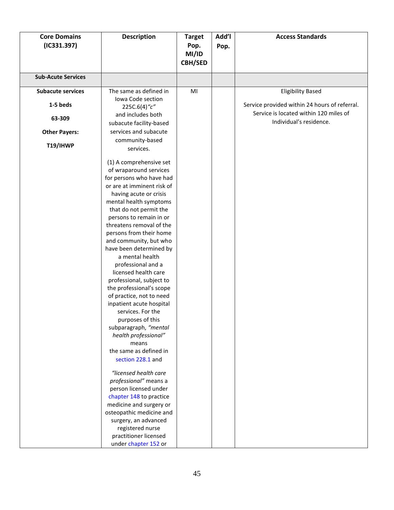| <b>Core Domains</b><br>(IC331.397) | <b>Description</b>                                                                                                                                                                                                                                                                                                                                                                                                                                                                                                                                                                                                                                                                                                                                                                                                                                                                                                            | <b>Target</b><br>Pop.<br>MI/ID<br><b>CBH/SED</b> | Add'l<br>Pop. | <b>Access Standards</b>                                           |
|------------------------------------|-------------------------------------------------------------------------------------------------------------------------------------------------------------------------------------------------------------------------------------------------------------------------------------------------------------------------------------------------------------------------------------------------------------------------------------------------------------------------------------------------------------------------------------------------------------------------------------------------------------------------------------------------------------------------------------------------------------------------------------------------------------------------------------------------------------------------------------------------------------------------------------------------------------------------------|--------------------------------------------------|---------------|-------------------------------------------------------------------|
| <b>Sub-Acute Services</b>          |                                                                                                                                                                                                                                                                                                                                                                                                                                                                                                                                                                                                                                                                                                                                                                                                                                                                                                                               |                                                  |               |                                                                   |
| <b>Subacute services</b>           | The same as defined in                                                                                                                                                                                                                                                                                                                                                                                                                                                                                                                                                                                                                                                                                                                                                                                                                                                                                                        | MI                                               |               | <b>Eligibility Based</b>                                          |
| 1-5 beds                           | Iowa Code section<br>225C.6(4)"c"                                                                                                                                                                                                                                                                                                                                                                                                                                                                                                                                                                                                                                                                                                                                                                                                                                                                                             |                                                  |               | Service provided within 24 hours of referral.                     |
| 63-309                             | and includes both<br>subacute facility-based                                                                                                                                                                                                                                                                                                                                                                                                                                                                                                                                                                                                                                                                                                                                                                                                                                                                                  |                                                  |               | Service is located within 120 miles of<br>Individual's residence. |
| <b>Other Payers:</b>               | services and subacute                                                                                                                                                                                                                                                                                                                                                                                                                                                                                                                                                                                                                                                                                                                                                                                                                                                                                                         |                                                  |               |                                                                   |
| T19/IHWP                           | community-based<br>services.                                                                                                                                                                                                                                                                                                                                                                                                                                                                                                                                                                                                                                                                                                                                                                                                                                                                                                  |                                                  |               |                                                                   |
|                                    | (1) A comprehensive set<br>of wraparound services<br>for persons who have had<br>or are at imminent risk of<br>having acute or crisis<br>mental health symptoms<br>that do not permit the<br>persons to remain in or<br>threatens removal of the<br>persons from their home<br>and community, but who<br>have been determined by<br>a mental health<br>professional and a<br>licensed health care<br>professional, subject to<br>the professional's scope<br>of practice, not to need<br>inpatient acute hospital<br>services. For the<br>purposes of this<br>subparagraph, "mental<br>health professional"<br>means<br>the same as defined in<br>section 228.1 and<br>"licensed health care<br>professional" means a<br>person licensed under<br>chapter 148 to practice<br>medicine and surgery or<br>osteopathic medicine and<br>surgery, an advanced<br>registered nurse<br>practitioner licensed<br>under chapter 152 or |                                                  |               |                                                                   |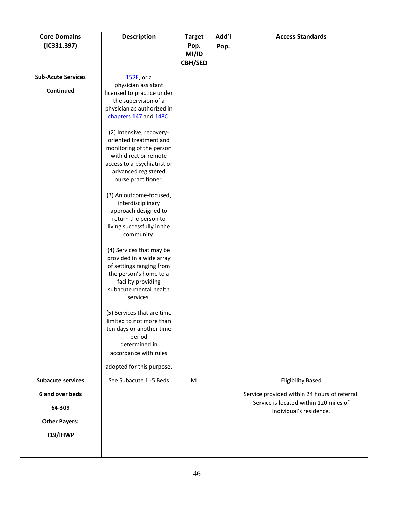| <b>Core Domains</b><br>(IC331.397) | <b>Description</b>                                 | <b>Target</b><br>Pop.<br>MI/ID<br><b>CBH/SED</b> | Add'l<br>Pop. | <b>Access Standards</b>                                           |
|------------------------------------|----------------------------------------------------|--------------------------------------------------|---------------|-------------------------------------------------------------------|
| <b>Sub-Acute Services</b>          | 152E, or a                                         |                                                  |               |                                                                   |
|                                    | physician assistant                                |                                                  |               |                                                                   |
| Continued                          | licensed to practice under                         |                                                  |               |                                                                   |
|                                    | the supervision of a                               |                                                  |               |                                                                   |
|                                    | physician as authorized in                         |                                                  |               |                                                                   |
|                                    | chapters 147 and 148C.                             |                                                  |               |                                                                   |
|                                    | (2) Intensive, recovery-                           |                                                  |               |                                                                   |
|                                    | oriented treatment and                             |                                                  |               |                                                                   |
|                                    | monitoring of the person                           |                                                  |               |                                                                   |
|                                    | with direct or remote                              |                                                  |               |                                                                   |
|                                    | access to a psychiatrist or                        |                                                  |               |                                                                   |
|                                    | advanced registered                                |                                                  |               |                                                                   |
|                                    | nurse practitioner.                                |                                                  |               |                                                                   |
|                                    | (3) An outcome-focused,                            |                                                  |               |                                                                   |
|                                    | interdisciplinary                                  |                                                  |               |                                                                   |
|                                    | approach designed to                               |                                                  |               |                                                                   |
|                                    | return the person to                               |                                                  |               |                                                                   |
|                                    | living successfully in the                         |                                                  |               |                                                                   |
|                                    | community.                                         |                                                  |               |                                                                   |
|                                    |                                                    |                                                  |               |                                                                   |
|                                    | (4) Services that may be                           |                                                  |               |                                                                   |
|                                    | provided in a wide array                           |                                                  |               |                                                                   |
|                                    | of settings ranging from<br>the person's home to a |                                                  |               |                                                                   |
|                                    | facility providing                                 |                                                  |               |                                                                   |
|                                    | subacute mental health                             |                                                  |               |                                                                   |
|                                    | services.                                          |                                                  |               |                                                                   |
|                                    |                                                    |                                                  |               |                                                                   |
|                                    | (5) Services that are time                         |                                                  |               |                                                                   |
|                                    | limited to not more than                           |                                                  |               |                                                                   |
|                                    | ten days or another time                           |                                                  |               |                                                                   |
|                                    | period<br>determined in                            |                                                  |               |                                                                   |
|                                    | accordance with rules                              |                                                  |               |                                                                   |
|                                    |                                                    |                                                  |               |                                                                   |
|                                    | adopted for this purpose.                          |                                                  |               |                                                                   |
| <b>Subacute services</b>           | See Subacute 1 -5 Beds                             | MI                                               |               | <b>Eligibility Based</b>                                          |
| 6 and over beds                    |                                                    |                                                  |               | Service provided within 24 hours of referral.                     |
| 64-309                             |                                                    |                                                  |               | Service is located within 120 miles of<br>Individual's residence. |
| <b>Other Payers:</b>               |                                                    |                                                  |               |                                                                   |
| T19/IHWP                           |                                                    |                                                  |               |                                                                   |
|                                    |                                                    |                                                  |               |                                                                   |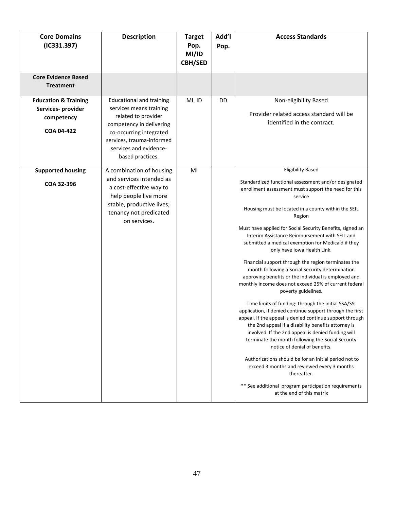| <b>Core Domains</b><br>(IC331.397)                                                | <b>Description</b>                                                                                                                                                                                                  | <b>Target</b><br>Pop.<br>MI/ID<br><b>CBH/SED</b> | Add'l<br>Pop. | <b>Access Standards</b>                                                                                                                                                                                                                                                                                                                                                                                                                                                                                                                                                                                                                                                                                                                                                                                                                                                                                                                                                                                                                                                                                                                                                                                                                                                   |
|-----------------------------------------------------------------------------------|---------------------------------------------------------------------------------------------------------------------------------------------------------------------------------------------------------------------|--------------------------------------------------|---------------|---------------------------------------------------------------------------------------------------------------------------------------------------------------------------------------------------------------------------------------------------------------------------------------------------------------------------------------------------------------------------------------------------------------------------------------------------------------------------------------------------------------------------------------------------------------------------------------------------------------------------------------------------------------------------------------------------------------------------------------------------------------------------------------------------------------------------------------------------------------------------------------------------------------------------------------------------------------------------------------------------------------------------------------------------------------------------------------------------------------------------------------------------------------------------------------------------------------------------------------------------------------------------|
| <b>Core Evidence Based</b><br><b>Treatment</b>                                    |                                                                                                                                                                                                                     |                                                  |               |                                                                                                                                                                                                                                                                                                                                                                                                                                                                                                                                                                                                                                                                                                                                                                                                                                                                                                                                                                                                                                                                                                                                                                                                                                                                           |
| <b>Education &amp; Training</b><br>Services- provider<br>competency<br>COA 04-422 | <b>Educational and training</b><br>services means training<br>related to provider<br>competency in delivering<br>co-occurring integrated<br>services, trauma-informed<br>services and evidence-<br>based practices. | MI, ID                                           | DD            | Non-eligibility Based<br>Provider related access standard will be<br>identified in the contract.                                                                                                                                                                                                                                                                                                                                                                                                                                                                                                                                                                                                                                                                                                                                                                                                                                                                                                                                                                                                                                                                                                                                                                          |
| <b>Supported housing</b><br>COA 32-396                                            | A combination of housing<br>and services intended as<br>a cost-effective way to<br>help people live more<br>stable, productive lives;<br>tenancy not predicated<br>on services.                                     | MI                                               |               | <b>Eligibility Based</b><br>Standardized functional assessment and/or designated<br>enrollment assessment must support the need for this<br>service<br>Housing must be located in a county within the SEIL<br>Region<br>Must have applied for Social Security Benefits, signed an<br>Interim Assistance Reimbursement with SEIL and<br>submitted a medical exemption for Medicaid if they<br>only have Iowa Health Link.<br>Financial support through the region terminates the<br>month following a Social Security determination<br>approving benefits or the individual is employed and<br>monthly income does not exceed 25% of current federal<br>poverty guidelines.<br>Time limits of funding: through the initial SSA/SSI<br>application, if denied continue support through the first<br>appeal. If the appeal is denied continue support through<br>the 2nd appeal if a disability benefits attorney is<br>involved. If the 2nd appeal is denied funding will<br>terminate the month following the Social Security<br>notice of denial of benefits.<br>Authorizations should be for an initial period not to<br>exceed 3 months and reviewed every 3 months<br>thereafter.<br>** See additional program participation requirements<br>at the end of this matrix |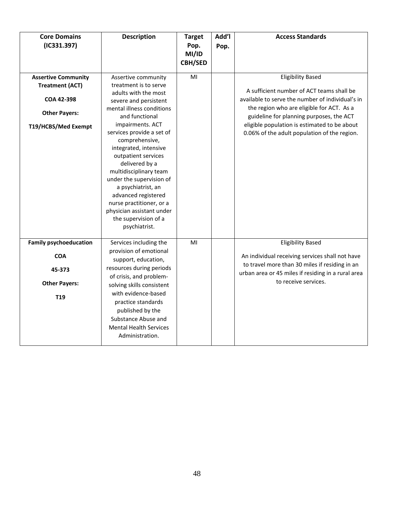| <b>Core Domains</b><br>(IC331.397)                                                                                       | <b>Description</b>                                                                                                                                                                                                                                                                                                                                                                                                                                                                     | <b>Target</b><br>Pop.<br>MI/ID<br><b>CBH/SED</b> | Add'l<br>Pop. | <b>Access Standards</b>                                                                                                                                                                                                                                                                                            |
|--------------------------------------------------------------------------------------------------------------------------|----------------------------------------------------------------------------------------------------------------------------------------------------------------------------------------------------------------------------------------------------------------------------------------------------------------------------------------------------------------------------------------------------------------------------------------------------------------------------------------|--------------------------------------------------|---------------|--------------------------------------------------------------------------------------------------------------------------------------------------------------------------------------------------------------------------------------------------------------------------------------------------------------------|
| <b>Assertive Community</b><br><b>Treatment (ACT)</b><br><b>COA 42-398</b><br><b>Other Payers:</b><br>T19/HCBS/Med Exempt | Assertive community<br>treatment is to serve<br>adults with the most<br>severe and persistent<br>mental illness conditions<br>and functional<br>impairments. ACT<br>services provide a set of<br>comprehensive,<br>integrated, intensive<br>outpatient services<br>delivered by a<br>multidisciplinary team<br>under the supervision of<br>a psychiatrist, an<br>advanced registered<br>nurse practitioner, or a<br>physician assistant under<br>the supervision of a<br>psychiatrist. | MI                                               |               | <b>Eligibility Based</b><br>A sufficient number of ACT teams shall be<br>available to serve the number of individual's in<br>the region who are eligible for ACT. As a<br>guideline for planning purposes, the ACT<br>eligible population is estimated to be about<br>0.06% of the adult population of the region. |
| <b>Family psychoeducation</b><br><b>COA</b><br>45-373<br><b>Other Payers:</b><br>T <sub>19</sub>                         | Services including the<br>provision of emotional<br>support, education,<br>resources during periods<br>of crisis, and problem-<br>solving skills consistent<br>with evidence-based<br>practice standards<br>published by the<br>Substance Abuse and<br><b>Mental Health Services</b><br>Administration.                                                                                                                                                                                | MI                                               |               | <b>Eligibility Based</b><br>An individual receiving services shall not have<br>to travel more than 30 miles if residing in an<br>urban area or 45 miles if residing in a rural area<br>to receive services.                                                                                                        |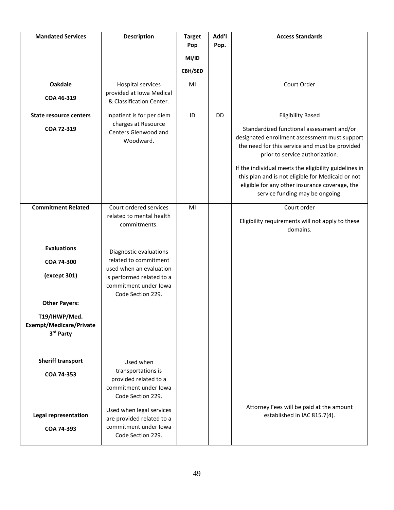| <b>Mandated Services</b>                                     | <b>Description</b>                                                                                  | <b>Target</b><br>Pop<br>MI/ID<br><b>CBH/SED</b> | Add'l<br>Pop. | <b>Access Standards</b>                                                                                                                                                                                                                                                                                                                                                                                        |
|--------------------------------------------------------------|-----------------------------------------------------------------------------------------------------|-------------------------------------------------|---------------|----------------------------------------------------------------------------------------------------------------------------------------------------------------------------------------------------------------------------------------------------------------------------------------------------------------------------------------------------------------------------------------------------------------|
| <b>Oakdale</b><br>COA 46-319                                 | Hospital services<br>provided at Iowa Medical<br>& Classification Center.                           | MI                                              |               | Court Order                                                                                                                                                                                                                                                                                                                                                                                                    |
| <b>State resource centers</b><br>COA 72-319                  | Inpatient is for per diem<br>charges at Resource<br>Centers Glenwood and<br>Woodward.               | ID                                              | <b>DD</b>     | <b>Eligibility Based</b><br>Standardized functional assessment and/or<br>designated enrollment assessment must support<br>the need for this service and must be provided<br>prior to service authorization.<br>If the individual meets the eligibility guidelines in<br>this plan and is not eligible for Medicaid or not<br>eligible for any other insurance coverage, the<br>service funding may be ongoing. |
| <b>Commitment Related</b>                                    | Court ordered services<br>related to mental health<br>commitments.                                  | MI                                              |               | Court order<br>Eligibility requirements will not apply to these<br>domains.                                                                                                                                                                                                                                                                                                                                    |
| <b>Evaluations</b>                                           | Diagnostic evaluations                                                                              |                                                 |               |                                                                                                                                                                                                                                                                                                                                                                                                                |
| <b>COA 74-300</b>                                            | related to commitment<br>used when an evaluation                                                    |                                                 |               |                                                                                                                                                                                                                                                                                                                                                                                                                |
| (except 301)                                                 | is performed related to a<br>commitment under lowa<br>Code Section 229.                             |                                                 |               |                                                                                                                                                                                                                                                                                                                                                                                                                |
| <b>Other Payers:</b>                                         |                                                                                                     |                                                 |               |                                                                                                                                                                                                                                                                                                                                                                                                                |
| T19/IHWP/Med.<br><b>Exempt/Medicare/Private</b><br>3rd Party |                                                                                                     |                                                 |               |                                                                                                                                                                                                                                                                                                                                                                                                                |
| <b>Sheriff transport</b>                                     | Used when                                                                                           |                                                 |               |                                                                                                                                                                                                                                                                                                                                                                                                                |
| COA 74-353                                                   | transportations is<br>provided related to a<br>commitment under lowa<br>Code Section 229.           |                                                 |               |                                                                                                                                                                                                                                                                                                                                                                                                                |
| <b>Legal representation</b><br>COA 74-393                    | Used when legal services<br>are provided related to a<br>commitment under lowa<br>Code Section 229. |                                                 |               | Attorney Fees will be paid at the amount<br>established in IAC 815.7(4).                                                                                                                                                                                                                                                                                                                                       |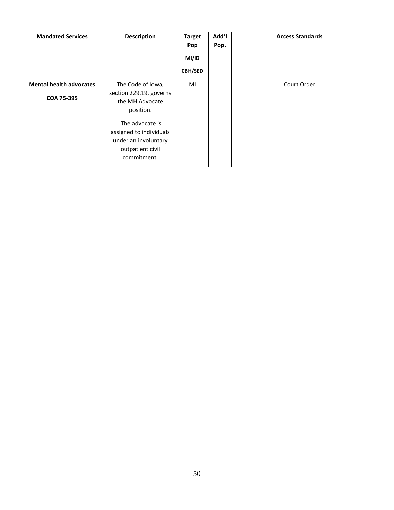| <b>Mandated Services</b>       | <b>Description</b>                                                                                    | <b>Target</b><br>Pop<br>MI/ID<br><b>CBH/SED</b> | Add'l<br>Pop. | <b>Access Standards</b> |
|--------------------------------|-------------------------------------------------------------------------------------------------------|-------------------------------------------------|---------------|-------------------------|
| <b>Mental health advocates</b> | The Code of Iowa,                                                                                     | MI                                              |               | Court Order             |
| COA 75-395                     | section 229.19, governs<br>the MH Advocate<br>position.                                               |                                                 |               |                         |
|                                | The advocate is<br>assigned to individuals<br>under an involuntary<br>outpatient civil<br>commitment. |                                                 |               |                         |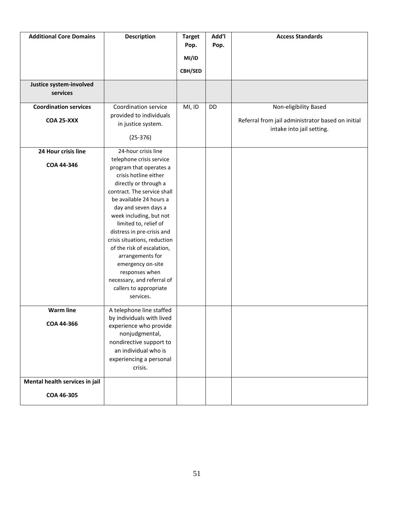| <b>Additional Core Domains</b> | <b>Description</b>                                   | <b>Target</b> | Add'l | <b>Access Standards</b>                                                        |
|--------------------------------|------------------------------------------------------|---------------|-------|--------------------------------------------------------------------------------|
|                                |                                                      | Pop.          | Pop.  |                                                                                |
|                                |                                                      | MI/ID         |       |                                                                                |
|                                |                                                      | CBH/SED       |       |                                                                                |
| Justice system-involved        |                                                      |               |       |                                                                                |
| services                       |                                                      |               |       |                                                                                |
| <b>Coordination services</b>   | Coordination service                                 | MI, ID        | DD    | Non-eligibility Based                                                          |
| <b>COA 25-XXX</b>              | provided to individuals                              |               |       |                                                                                |
|                                | in justice system.                                   |               |       | Referral from jail administrator based on initial<br>intake into jail setting. |
|                                | $(25-376)$                                           |               |       |                                                                                |
| 24 Hour crisis line            | 24-hour crisis line                                  |               |       |                                                                                |
| COA 44-346                     | telephone crisis service                             |               |       |                                                                                |
|                                | program that operates a                              |               |       |                                                                                |
|                                | crisis hotline either                                |               |       |                                                                                |
|                                | directly or through a<br>contract. The service shall |               |       |                                                                                |
|                                | be available 24 hours a                              |               |       |                                                                                |
|                                | day and seven days a                                 |               |       |                                                                                |
|                                | week including, but not                              |               |       |                                                                                |
|                                | limited to, relief of                                |               |       |                                                                                |
|                                | distress in pre-crisis and                           |               |       |                                                                                |
|                                | crisis situations, reduction                         |               |       |                                                                                |
|                                | of the risk of escalation,                           |               |       |                                                                                |
|                                | arrangements for                                     |               |       |                                                                                |
|                                | emergency on-site                                    |               |       |                                                                                |
|                                | responses when                                       |               |       |                                                                                |
|                                | necessary, and referral of                           |               |       |                                                                                |
|                                | callers to appropriate                               |               |       |                                                                                |
|                                | services.                                            |               |       |                                                                                |
| <b>Warm line</b>               | A telephone line staffed                             |               |       |                                                                                |
|                                | by individuals with lived                            |               |       |                                                                                |
| COA 44-366                     | experience who provide                               |               |       |                                                                                |
|                                | nonjudgmental,                                       |               |       |                                                                                |
|                                | nondirective support to                              |               |       |                                                                                |
|                                | an individual who is                                 |               |       |                                                                                |
|                                | experiencing a personal                              |               |       |                                                                                |
|                                | crisis.                                              |               |       |                                                                                |
| Mental health services in jail |                                                      |               |       |                                                                                |
| COA 46-305                     |                                                      |               |       |                                                                                |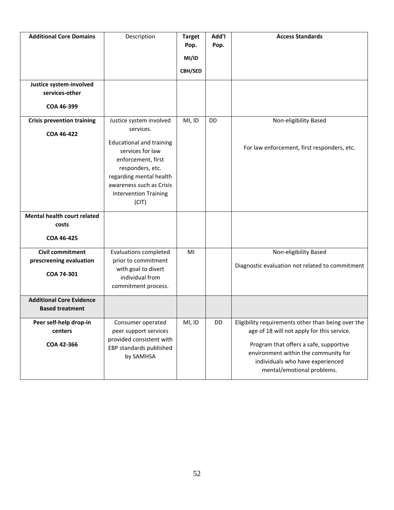| <b>Additional Core Domains</b>                                   | Description                                                                                                                                                                                                                           | <b>Target</b><br>Pop.<br>MI/ID<br><b>CBH/SED</b> | <b>Ndd'l</b><br>Pop. | <b>Access Standards</b>                                                                                                                                                                                                                              |
|------------------------------------------------------------------|---------------------------------------------------------------------------------------------------------------------------------------------------------------------------------------------------------------------------------------|--------------------------------------------------|----------------------|------------------------------------------------------------------------------------------------------------------------------------------------------------------------------------------------------------------------------------------------------|
| Justice system-involved<br>services-other<br>COA 46-399          |                                                                                                                                                                                                                                       |                                                  |                      |                                                                                                                                                                                                                                                      |
| <b>Crisis prevention training</b><br>COA 46-422                  | Justice system involved<br>services.<br><b>Educational and training</b><br>services for law<br>enforcement, first<br>responders, etc.<br>regarding mental health<br>awareness such as Crisis<br><b>Intervention Training</b><br>(CIT) | MI, ID                                           | <b>DD</b>            | Non-eligibility Based<br>For law enforcement, first responders, etc.                                                                                                                                                                                 |
| <b>Mental health court related</b><br>costs<br>COA 46-425        |                                                                                                                                                                                                                                       |                                                  |                      |                                                                                                                                                                                                                                                      |
| <b>Civil commitment</b><br>prescreening evaluation<br>COA 74-301 | <b>Evaluations completed</b><br>prior to commitment<br>with goal to divert<br>individual from<br>commitment process.                                                                                                                  | MI                                               |                      | Non-eligibility Based<br>Diagnostic evaluation not related to commitment                                                                                                                                                                             |
| <b>Additional Core Evidence</b><br><b>Based treatment</b>        |                                                                                                                                                                                                                                       |                                                  |                      |                                                                                                                                                                                                                                                      |
| Peer self-help drop-in<br>centers<br>COA 42-366                  | Consumer operated<br>peer support services<br>provided consistent with<br>EBP standards published<br>by SAMHSA                                                                                                                        | MI, ID                                           | DD                   | Eligibility requirements other than being over the<br>age of 18 will not apply for this service.<br>Program that offers a safe, supportive<br>environment within the community for<br>individuals who have experienced<br>mental/emotional problems. |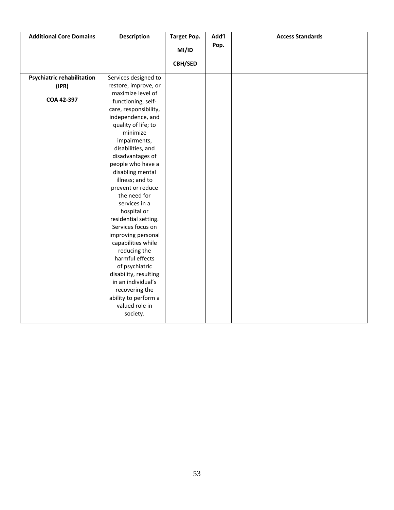| <b>Additional Core Domains</b>    | <b>Description</b>    | <b>Target Pop.</b> | Add'l | <b>Access Standards</b> |
|-----------------------------------|-----------------------|--------------------|-------|-------------------------|
|                                   |                       | MI/ID              | Pop.  |                         |
|                                   |                       |                    |       |                         |
|                                   |                       | <b>CBH/SED</b>     |       |                         |
| <b>Psychiatric rehabilitation</b> | Services designed to  |                    |       |                         |
| (IPR)                             | restore, improve, or  |                    |       |                         |
|                                   | maximize level of     |                    |       |                         |
| COA 42-397                        | functioning, self-    |                    |       |                         |
|                                   | care, responsibility, |                    |       |                         |
|                                   | independence, and     |                    |       |                         |
|                                   | quality of life; to   |                    |       |                         |
|                                   | minimize              |                    |       |                         |
|                                   | impairments,          |                    |       |                         |
|                                   | disabilities, and     |                    |       |                         |
|                                   | disadvantages of      |                    |       |                         |
|                                   | people who have a     |                    |       |                         |
|                                   | disabling mental      |                    |       |                         |
|                                   | illness; and to       |                    |       |                         |
|                                   | prevent or reduce     |                    |       |                         |
|                                   | the need for          |                    |       |                         |
|                                   | services in a         |                    |       |                         |
|                                   | hospital or           |                    |       |                         |
|                                   | residential setting.  |                    |       |                         |
|                                   | Services focus on     |                    |       |                         |
|                                   | improving personal    |                    |       |                         |
|                                   | capabilities while    |                    |       |                         |
|                                   | reducing the          |                    |       |                         |
|                                   | harmful effects       |                    |       |                         |
|                                   | of psychiatric        |                    |       |                         |
|                                   | disability, resulting |                    |       |                         |
|                                   | in an individual's    |                    |       |                         |
|                                   | recovering the        |                    |       |                         |
|                                   | ability to perform a  |                    |       |                         |
|                                   | valued role in        |                    |       |                         |
|                                   | society.              |                    |       |                         |
|                                   |                       |                    |       |                         |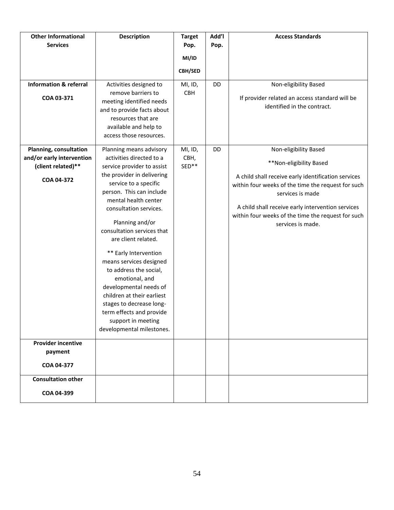| <b>Other Informational</b><br><b>Services</b>      | <b>Description</b>                                                                                                                                                                                                                                                                                                                                                                                                                                                           | <b>Target</b><br>Pop. | Add'l<br>Pop. | <b>Access Standards</b>                                                                                                                                                                                                                                       |
|----------------------------------------------------|------------------------------------------------------------------------------------------------------------------------------------------------------------------------------------------------------------------------------------------------------------------------------------------------------------------------------------------------------------------------------------------------------------------------------------------------------------------------------|-----------------------|---------------|---------------------------------------------------------------------------------------------------------------------------------------------------------------------------------------------------------------------------------------------------------------|
|                                                    |                                                                                                                                                                                                                                                                                                                                                                                                                                                                              | MI/ID                 |               |                                                                                                                                                                                                                                                               |
|                                                    |                                                                                                                                                                                                                                                                                                                                                                                                                                                                              |                       |               |                                                                                                                                                                                                                                                               |
|                                                    |                                                                                                                                                                                                                                                                                                                                                                                                                                                                              | <b>CBH/SED</b>        |               |                                                                                                                                                                                                                                                               |
| <b>Information &amp; referral</b>                  | Activities designed to                                                                                                                                                                                                                                                                                                                                                                                                                                                       | MI, ID,               | DD            | Non-eligibility Based                                                                                                                                                                                                                                         |
| COA 03-371                                         | remove barriers to<br>meeting identified needs<br>and to provide facts about<br>resources that are<br>available and help to<br>access those resources.                                                                                                                                                                                                                                                                                                                       | <b>CBH</b>            |               | If provider related an access standard will be<br>identified in the contract.                                                                                                                                                                                 |
| Planning, consultation                             | Planning means advisory<br>activities directed to a                                                                                                                                                                                                                                                                                                                                                                                                                          | MI, ID,               | DD            | Non-eligibility Based                                                                                                                                                                                                                                         |
| and/or early intervention<br>(client related)**    | service provider to assist                                                                                                                                                                                                                                                                                                                                                                                                                                                   | CBH,<br>SED**         |               | **Non-eligibility Based                                                                                                                                                                                                                                       |
| COA 04-372                                         | the provider in delivering<br>service to a specific<br>person. This can include<br>mental health center<br>consultation services.<br>Planning and/or<br>consultation services that<br>are client related.<br>** Early Intervention<br>means services designed<br>to address the social,<br>emotional, and<br>developmental needs of<br>children at their earliest<br>stages to decrease long-<br>term effects and provide<br>support in meeting<br>developmental milestones. |                       |               | A child shall receive early identification services<br>within four weeks of the time the request for such<br>services is made<br>A child shall receive early intervention services<br>within four weeks of the time the request for such<br>services is made. |
| <b>Provider incentive</b><br>payment<br>COA 04-377 |                                                                                                                                                                                                                                                                                                                                                                                                                                                                              |                       |               |                                                                                                                                                                                                                                                               |
| <b>Consultation other</b>                          |                                                                                                                                                                                                                                                                                                                                                                                                                                                                              |                       |               |                                                                                                                                                                                                                                                               |
| COA 04-399                                         |                                                                                                                                                                                                                                                                                                                                                                                                                                                                              |                       |               |                                                                                                                                                                                                                                                               |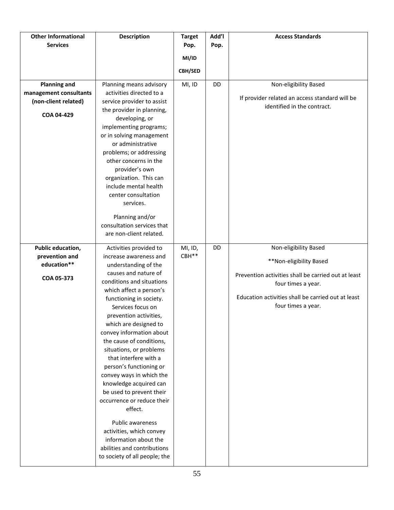| <b>Other Informational</b><br><b>Services</b>  | <b>Description</b>                                                                                                                                                                                                                                                                                                                                                                                                                                                                                                                    | <b>Target</b><br>Pop. | Add'l<br>Pop. | <b>Access Standards</b>                                                   |
|------------------------------------------------|---------------------------------------------------------------------------------------------------------------------------------------------------------------------------------------------------------------------------------------------------------------------------------------------------------------------------------------------------------------------------------------------------------------------------------------------------------------------------------------------------------------------------------------|-----------------------|---------------|---------------------------------------------------------------------------|
|                                                |                                                                                                                                                                                                                                                                                                                                                                                                                                                                                                                                       | MI/ID                 |               |                                                                           |
|                                                |                                                                                                                                                                                                                                                                                                                                                                                                                                                                                                                                       | <b>CBH/SED</b>        |               |                                                                           |
| <b>Planning and</b>                            | Planning means advisory                                                                                                                                                                                                                                                                                                                                                                                                                                                                                                               | MI, ID                | DD            | Non-eligibility Based                                                     |
| management consultants<br>(non-client related) | activities directed to a<br>service provider to assist                                                                                                                                                                                                                                                                                                                                                                                                                                                                                |                       |               | If provider related an access standard will be                            |
| COA 04-429                                     | the provider in planning,<br>developing, or                                                                                                                                                                                                                                                                                                                                                                                                                                                                                           |                       |               | identified in the contract.                                               |
|                                                | implementing programs;<br>or in solving management<br>or administrative<br>problems; or addressing<br>other concerns in the<br>provider's own<br>organization. This can<br>include mental health<br>center consultation<br>services.<br>Planning and/or<br>consultation services that<br>are non-client related.                                                                                                                                                                                                                      |                       |               |                                                                           |
|                                                |                                                                                                                                                                                                                                                                                                                                                                                                                                                                                                                                       |                       |               |                                                                           |
| Public education,<br>prevention and            | Activities provided to<br>increase awareness and                                                                                                                                                                                                                                                                                                                                                                                                                                                                                      | MI, ID,<br>CBH**      | DD            | Non-eligibility Based                                                     |
| education**                                    | understanding of the<br>causes and nature of                                                                                                                                                                                                                                                                                                                                                                                                                                                                                          |                       |               | **Non-eligibility Based                                                   |
| COA 05-373                                     | conditions and situations                                                                                                                                                                                                                                                                                                                                                                                                                                                                                                             |                       |               | Prevention activities shall be carried out at least<br>four times a year. |
|                                                | which affect a person's<br>functioning in society.<br>Services focus on<br>prevention activities,<br>which are designed to<br>convey information about<br>the cause of conditions,<br>situations, or problems<br>that interfere with a<br>person's functioning or<br>convey ways in which the<br>knowledge acquired can<br>be used to prevent their<br>occurrence or reduce their<br>effect.<br>Public awareness<br>activities, which convey<br>information about the<br>abilities and contributions<br>to society of all people; the |                       |               | Education activities shall be carried out at least<br>four times a year.  |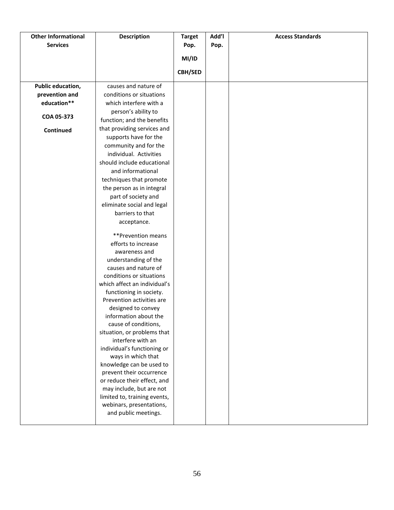| <b>Other Informational</b> | <b>Description</b>                    | <b>Target</b>  | Add'l | <b>Access Standards</b> |
|----------------------------|---------------------------------------|----------------|-------|-------------------------|
| <b>Services</b>            |                                       | Pop.           | Pop.  |                         |
|                            |                                       | MI/ID          |       |                         |
|                            |                                       |                |       |                         |
|                            |                                       | <b>CBH/SED</b> |       |                         |
| Public education,          | causes and nature of                  |                |       |                         |
| prevention and             | conditions or situations              |                |       |                         |
| education**                | which interfere with a                |                |       |                         |
| COA 05-373                 | person's ability to                   |                |       |                         |
|                            | function; and the benefits            |                |       |                         |
| Continued                  | that providing services and           |                |       |                         |
|                            | supports have for the                 |                |       |                         |
|                            | community and for the                 |                |       |                         |
|                            | individual. Activities                |                |       |                         |
|                            | should include educational            |                |       |                         |
|                            | and informational                     |                |       |                         |
|                            | techniques that promote               |                |       |                         |
|                            | the person as in integral             |                |       |                         |
|                            | part of society and                   |                |       |                         |
|                            | eliminate social and legal            |                |       |                         |
|                            | barriers to that                      |                |       |                         |
|                            | acceptance.                           |                |       |                         |
|                            |                                       |                |       |                         |
|                            | **Prevention means                    |                |       |                         |
|                            | efforts to increase                   |                |       |                         |
|                            | awareness and<br>understanding of the |                |       |                         |
|                            | causes and nature of                  |                |       |                         |
|                            | conditions or situations              |                |       |                         |
|                            | which affect an individual's          |                |       |                         |
|                            | functioning in society.               |                |       |                         |
|                            | Prevention activities are             |                |       |                         |
|                            | designed to convey                    |                |       |                         |
|                            | information about the                 |                |       |                         |
|                            | cause of conditions,                  |                |       |                         |
|                            | situation, or problems that           |                |       |                         |
|                            | interfere with an                     |                |       |                         |
|                            | individual's functioning or           |                |       |                         |
|                            | ways in which that                    |                |       |                         |
|                            | knowledge can be used to              |                |       |                         |
|                            | prevent their occurrence              |                |       |                         |
|                            | or reduce their effect, and           |                |       |                         |
|                            | may include, but are not              |                |       |                         |
|                            | limited to, training events,          |                |       |                         |
|                            | webinars, presentations,              |                |       |                         |
|                            | and public meetings.                  |                |       |                         |
|                            |                                       |                |       |                         |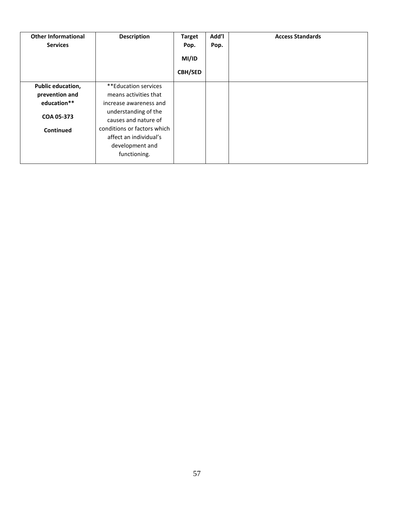| <b>Other Informational</b><br><b>Services</b> | <b>Description</b>                           | <b>Target</b><br>Pop.<br>MI/ID | Add'l<br>Pop. | <b>Access Standards</b> |
|-----------------------------------------------|----------------------------------------------|--------------------------------|---------------|-------------------------|
|                                               |                                              | <b>CBH/SED</b>                 |               |                         |
| Public education,                             | **Education services                         |                                |               |                         |
| prevention and                                | means activities that                        |                                |               |                         |
| education**                                   | increase awareness and                       |                                |               |                         |
| COA 05-373                                    | understanding of the<br>causes and nature of |                                |               |                         |
| Continued                                     | conditions or factors which                  |                                |               |                         |
|                                               | affect an individual's                       |                                |               |                         |
|                                               | development and                              |                                |               |                         |
|                                               | functioning.                                 |                                |               |                         |
|                                               |                                              |                                |               |                         |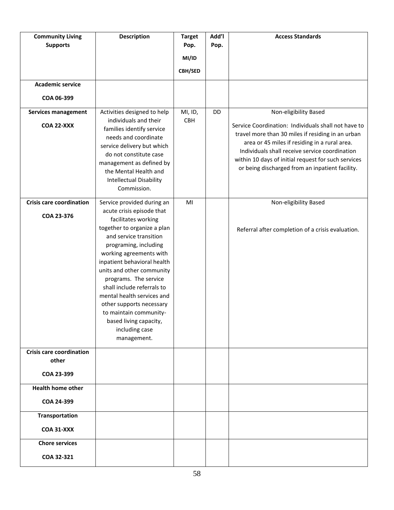| <b>Community Living</b><br><b>Supports</b><br><b>Academic service</b> | <b>Description</b>                                                                                                                                                                                                                                                                                                                                                                                                                                            | <b>Target</b><br>Pop.<br>MI/ID<br><b>CBH/SED</b> | Add'l<br>Pop. | <b>Access Standards</b>                                                                                                                                                                                                                                                                                                                        |
|-----------------------------------------------------------------------|---------------------------------------------------------------------------------------------------------------------------------------------------------------------------------------------------------------------------------------------------------------------------------------------------------------------------------------------------------------------------------------------------------------------------------------------------------------|--------------------------------------------------|---------------|------------------------------------------------------------------------------------------------------------------------------------------------------------------------------------------------------------------------------------------------------------------------------------------------------------------------------------------------|
| COA 06-399                                                            |                                                                                                                                                                                                                                                                                                                                                                                                                                                               |                                                  |               |                                                                                                                                                                                                                                                                                                                                                |
| <b>Services management</b><br><b>COA 22-XXX</b>                       | Activities designed to help<br>individuals and their<br>families identify service<br>needs and coordinate<br>service delivery but which<br>do not constitute case<br>management as defined by<br>the Mental Health and<br><b>Intellectual Disability</b><br>Commission.                                                                                                                                                                                       | MI, ID,<br>CBH                                   | DD            | Non-eligibility Based<br>Service Coordination: Individuals shall not have to<br>travel more than 30 miles if residing in an urban<br>area or 45 miles if residing in a rural area.<br>Individuals shall receive service coordination<br>within 10 days of initial request for such services<br>or being discharged from an inpatient facility. |
| <b>Crisis care coordination</b><br>COA 23-376                         | Service provided during an<br>acute crisis episode that<br>facilitates working<br>together to organize a plan<br>and service transition<br>programing, including<br>working agreements with<br>inpatient behavioral health<br>units and other community<br>programs. The service<br>shall include referrals to<br>mental health services and<br>other supports necessary<br>to maintain community-<br>based living capacity,<br>including case<br>management. | MI                                               |               | Non-eligibility Based<br>Referral after completion of a crisis evaluation.                                                                                                                                                                                                                                                                     |
| <b>Crisis care coordination</b><br>other<br>COA 23-399                |                                                                                                                                                                                                                                                                                                                                                                                                                                                               |                                                  |               |                                                                                                                                                                                                                                                                                                                                                |
| <b>Health home other</b><br>COA 24-399                                |                                                                                                                                                                                                                                                                                                                                                                                                                                                               |                                                  |               |                                                                                                                                                                                                                                                                                                                                                |
| <b>Transportation</b><br><b>COA 31-XXX</b>                            |                                                                                                                                                                                                                                                                                                                                                                                                                                                               |                                                  |               |                                                                                                                                                                                                                                                                                                                                                |
| <b>Chore services</b><br>COA 32-321                                   |                                                                                                                                                                                                                                                                                                                                                                                                                                                               |                                                  |               |                                                                                                                                                                                                                                                                                                                                                |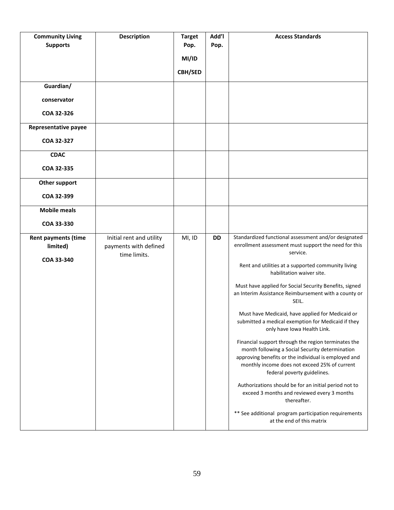| <b>Community Living</b><br><b>Supports</b> | <b>Description</b>                                | <b>Target</b><br>Pop.   | Add'l<br>Pop. | <b>Access Standards</b>                                                                                                                                                                                                                        |
|--------------------------------------------|---------------------------------------------------|-------------------------|---------------|------------------------------------------------------------------------------------------------------------------------------------------------------------------------------------------------------------------------------------------------|
|                                            |                                                   | MI/ID<br><b>CBH/SED</b> |               |                                                                                                                                                                                                                                                |
| Guardian/                                  |                                                   |                         |               |                                                                                                                                                                                                                                                |
| conservator<br>COA 32-326                  |                                                   |                         |               |                                                                                                                                                                                                                                                |
| Representative payee                       |                                                   |                         |               |                                                                                                                                                                                                                                                |
| COA 32-327                                 |                                                   |                         |               |                                                                                                                                                                                                                                                |
| <b>CDAC</b><br>COA 32-335                  |                                                   |                         |               |                                                                                                                                                                                                                                                |
| Other support                              |                                                   |                         |               |                                                                                                                                                                                                                                                |
| COA 32-399                                 |                                                   |                         |               |                                                                                                                                                                                                                                                |
| <b>Mobile meals</b>                        |                                                   |                         |               |                                                                                                                                                                                                                                                |
| COA 33-330                                 |                                                   |                         |               |                                                                                                                                                                                                                                                |
| <b>Rent payments (time</b><br>limited)     | Initial rent and utility<br>payments with defined | MI, ID                  | <b>DD</b>     | Standardized functional assessment and/or designated<br>enrollment assessment must support the need for this<br>service.                                                                                                                       |
| COA 33-340                                 | time limits.                                      |                         |               | Rent and utilities at a supported community living<br>habilitation waiver site.                                                                                                                                                                |
|                                            |                                                   |                         |               | Must have applied for Social Security Benefits, signed<br>an Interim Assistance Reimbursement with a county or<br>SEIL.                                                                                                                        |
|                                            |                                                   |                         |               | Must have Medicaid, have applied for Medicaid or<br>submitted a medical exemption for Medicaid if they<br>only have Iowa Health Link.                                                                                                          |
|                                            |                                                   |                         |               | Financial support through the region terminates the<br>month following a Social Security determination<br>approving benefits or the individual is employed and<br>monthly income does not exceed 25% of current<br>federal poverty guidelines. |
|                                            |                                                   |                         |               | Authorizations should be for an initial period not to<br>exceed 3 months and reviewed every 3 months<br>thereafter.                                                                                                                            |
|                                            |                                                   |                         |               | ** See additional program participation requirements<br>at the end of this matrix                                                                                                                                                              |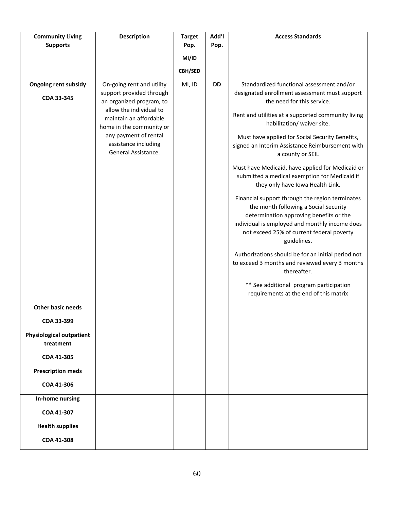| <b>Community Living</b><br><b>Supports</b>   | <b>Description</b>                                                            | <b>Target</b><br>Pop. | Add'l<br>Pop. | <b>Access Standards</b>                                                                                                                                                                                                                           |
|----------------------------------------------|-------------------------------------------------------------------------------|-----------------------|---------------|---------------------------------------------------------------------------------------------------------------------------------------------------------------------------------------------------------------------------------------------------|
|                                              |                                                                               |                       |               |                                                                                                                                                                                                                                                   |
|                                              |                                                                               | MI/ID                 |               |                                                                                                                                                                                                                                                   |
|                                              |                                                                               | CBH/SED               |               |                                                                                                                                                                                                                                                   |
| <b>Ongoing rent subsidy</b>                  | On-going rent and utility<br>support provided through                         | MI, ID                | <b>DD</b>     | Standardized functional assessment and/or<br>designated enrollment assessment must support                                                                                                                                                        |
| COA 33-345                                   | an organized program, to                                                      |                       |               | the need for this service.                                                                                                                                                                                                                        |
|                                              | allow the individual to<br>maintain an affordable<br>home in the community or |                       |               | Rent and utilities at a supported community living<br>habilitation/ waiver site.                                                                                                                                                                  |
|                                              | any payment of rental<br>assistance including<br>General Assistance.          |                       |               | Must have applied for Social Security Benefits,<br>signed an Interim Assistance Reimbursement with<br>a county or SEIL                                                                                                                            |
|                                              |                                                                               |                       |               | Must have Medicaid, have applied for Medicaid or<br>submitted a medical exemption for Medicaid if<br>they only have Iowa Health Link.                                                                                                             |
|                                              |                                                                               |                       |               | Financial support through the region terminates<br>the month following a Social Security<br>determination approving benefits or the<br>individual is employed and monthly income does<br>not exceed 25% of current federal poverty<br>guidelines. |
|                                              |                                                                               |                       |               | Authorizations should be for an initial period not<br>to exceed 3 months and reviewed every 3 months<br>thereafter.                                                                                                                               |
|                                              |                                                                               |                       |               | ** See additional program participation<br>requirements at the end of this matrix                                                                                                                                                                 |
| <b>Other basic needs</b>                     |                                                                               |                       |               |                                                                                                                                                                                                                                                   |
| COA 33-399                                   |                                                                               |                       |               |                                                                                                                                                                                                                                                   |
| <b>Physiological outpatient</b><br>treatment |                                                                               |                       |               |                                                                                                                                                                                                                                                   |
| COA 41-305                                   |                                                                               |                       |               |                                                                                                                                                                                                                                                   |
| <b>Prescription meds</b>                     |                                                                               |                       |               |                                                                                                                                                                                                                                                   |
| COA 41-306                                   |                                                                               |                       |               |                                                                                                                                                                                                                                                   |
| In-home nursing                              |                                                                               |                       |               |                                                                                                                                                                                                                                                   |
| COA 41-307                                   |                                                                               |                       |               |                                                                                                                                                                                                                                                   |
| <b>Health supplies</b>                       |                                                                               |                       |               |                                                                                                                                                                                                                                                   |
| COA 41-308                                   |                                                                               |                       |               |                                                                                                                                                                                                                                                   |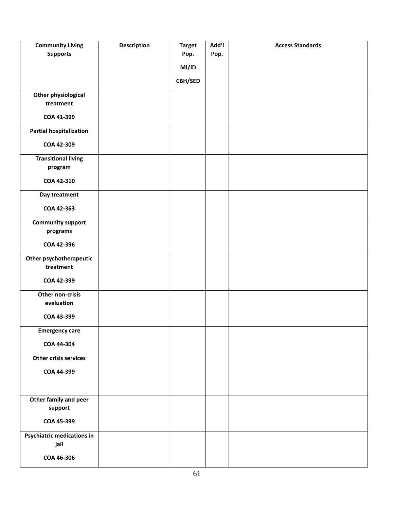| <b>Community Living</b>           | <b>Description</b> | <b>Target</b> | Add'l | <b>Access Standards</b> |
|-----------------------------------|--------------------|---------------|-------|-------------------------|
| <b>Supports</b>                   |                    | Pop.          | Pop.  |                         |
|                                   |                    | MI/ID         |       |                         |
|                                   |                    | CBH/SED       |       |                         |
|                                   |                    |               |       |                         |
| Other physiological               |                    |               |       |                         |
| treatment                         |                    |               |       |                         |
| COA 41-399                        |                    |               |       |                         |
| <b>Partial hospitalization</b>    |                    |               |       |                         |
| COA 42-309                        |                    |               |       |                         |
| <b>Transitional living</b>        |                    |               |       |                         |
| program                           |                    |               |       |                         |
| COA 42-310                        |                    |               |       |                         |
| Day treatment                     |                    |               |       |                         |
| COA 42-363                        |                    |               |       |                         |
| <b>Community support</b>          |                    |               |       |                         |
| programs                          |                    |               |       |                         |
| COA 42-396                        |                    |               |       |                         |
| Other psychotherapeutic           |                    |               |       |                         |
| treatment                         |                    |               |       |                         |
| COA 42-399                        |                    |               |       |                         |
| Other non-crisis                  |                    |               |       |                         |
| evaluation                        |                    |               |       |                         |
| COA 43-399                        |                    |               |       |                         |
| <b>Emergency care</b>             |                    |               |       |                         |
| COA 44-304                        |                    |               |       |                         |
| Other crisis services             |                    |               |       |                         |
| COA 44-399                        |                    |               |       |                         |
|                                   |                    |               |       |                         |
|                                   |                    |               |       |                         |
| Other family and peer             |                    |               |       |                         |
| support                           |                    |               |       |                         |
| COA 45-399                        |                    |               |       |                         |
| <b>Psychiatric medications in</b> |                    |               |       |                         |
| jail                              |                    |               |       |                         |
| COA 46-306                        |                    |               |       |                         |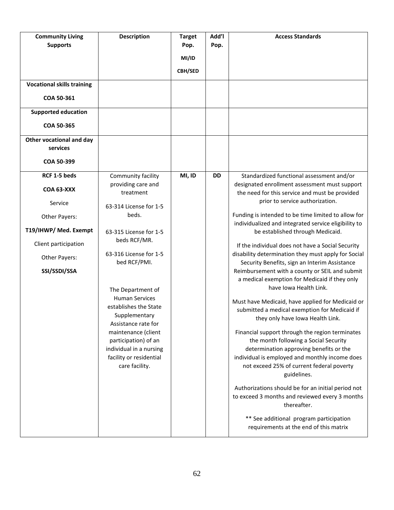| <b>Community Living</b><br><b>Supports</b><br><b>Vocational skills training</b><br>COA 50-361<br><b>Supported education</b>                     | <b>Description</b>                                                                                                                                                                                                                                                                                                                                                                                                 | <b>Target</b><br>Pop.<br>MI/ID<br><b>CBH/SED</b> | Add'l<br>Pop. | <b>Access Standards</b>                                                                                                                                                                                                                                                                                                                                                                                                                                                                                                                                                                                                                                                                                                                                                                                                                                                                                                                                                                                                                                                                                                                                                                                                                |
|-------------------------------------------------------------------------------------------------------------------------------------------------|--------------------------------------------------------------------------------------------------------------------------------------------------------------------------------------------------------------------------------------------------------------------------------------------------------------------------------------------------------------------------------------------------------------------|--------------------------------------------------|---------------|----------------------------------------------------------------------------------------------------------------------------------------------------------------------------------------------------------------------------------------------------------------------------------------------------------------------------------------------------------------------------------------------------------------------------------------------------------------------------------------------------------------------------------------------------------------------------------------------------------------------------------------------------------------------------------------------------------------------------------------------------------------------------------------------------------------------------------------------------------------------------------------------------------------------------------------------------------------------------------------------------------------------------------------------------------------------------------------------------------------------------------------------------------------------------------------------------------------------------------------|
| COA 50-365<br>Other vocational and day<br>services<br>COA 50-399                                                                                |                                                                                                                                                                                                                                                                                                                                                                                                                    |                                                  |               |                                                                                                                                                                                                                                                                                                                                                                                                                                                                                                                                                                                                                                                                                                                                                                                                                                                                                                                                                                                                                                                                                                                                                                                                                                        |
| RCF 1-5 beds<br><b>COA 63-XXX</b><br>Service<br>Other Payers:<br>T19/IHWP/ Med. Exempt<br>Client participation<br>Other Payers:<br>SSI/SSDI/SSA | Community facility<br>providing care and<br>treatment<br>63-314 License for 1-5<br>beds.<br>63-315 License for 1-5<br>beds RCF/MR.<br>63-316 License for 1-5<br>bed RCF/PMI.<br>The Department of<br><b>Human Services</b><br>establishes the State<br>Supplementary<br>Assistance rate for<br>maintenance (client<br>participation) of an<br>individual in a nursing<br>facility or residential<br>care facility. | MI, ID                                           | <b>DD</b>     | Standardized functional assessment and/or<br>designated enrollment assessment must support<br>the need for this service and must be provided<br>prior to service authorization.<br>Funding is intended to be time limited to allow for<br>individualized and integrated service eligibility to<br>be established through Medicaid.<br>If the individual does not have a Social Security<br>disability determination they must apply for Social<br>Security Benefits, sign an Interim Assistance<br>Reimbursement with a county or SEIL and submit<br>a medical exemption for Medicaid if they only<br>have Iowa Health Link.<br>Must have Medicaid, have applied for Medicaid or<br>submitted a medical exemption for Medicaid if<br>they only have Iowa Health Link.<br>Financial support through the region terminates<br>the month following a Social Security<br>determination approving benefits or the<br>individual is employed and monthly income does<br>not exceed 25% of current federal poverty<br>guidelines.<br>Authorizations should be for an initial period not<br>to exceed 3 months and reviewed every 3 months<br>thereafter.<br>** See additional program participation<br>requirements at the end of this matrix |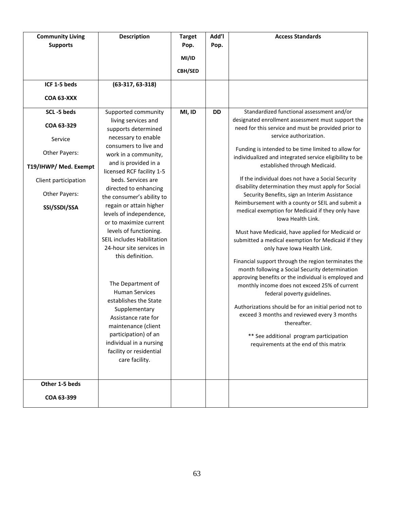| <b>Community Living</b> | <b>Description</b>                        | <b>Target</b> | Add'l | <b>Access Standards</b>                                                                                  |
|-------------------------|-------------------------------------------|---------------|-------|----------------------------------------------------------------------------------------------------------|
| <b>Supports</b>         |                                           | Pop.          | Pop.  |                                                                                                          |
|                         |                                           | MI/ID         |       |                                                                                                          |
|                         |                                           | CBH/SED       |       |                                                                                                          |
|                         |                                           |               |       |                                                                                                          |
| ICF 1-5 beds            | $(63-317, 63-318)$                        |               |       |                                                                                                          |
| COA 63-XXX              |                                           |               |       |                                                                                                          |
| SCL-5 beds              | Supported community                       | MI, ID        | DD    | Standardized functional assessment and/or                                                                |
| COA 63-329              | living services and                       |               |       | designated enrollment assessment must support the                                                        |
|                         | supports determined                       |               |       | need for this service and must be provided prior to                                                      |
| Service                 | necessary to enable                       |               |       | service authorization.                                                                                   |
|                         | consumers to live and                     |               |       | Funding is intended to be time limited to allow for                                                      |
| Other Payers:           | work in a community,                      |               |       | individualized and integrated service eligibility to be                                                  |
| T19/IHWP/ Med. Exempt   | and is provided in a                      |               |       | established through Medicaid.                                                                            |
|                         | licensed RCF facility 1-5                 |               |       |                                                                                                          |
| Client participation    | beds. Services are                        |               |       | If the individual does not have a Social Security<br>disability determination they must apply for Social |
| Other Payers:           | directed to enhancing                     |               |       | Security Benefits, sign an Interim Assistance                                                            |
|                         | the consumer's ability to                 |               |       | Reimbursement with a county or SEIL and submit a                                                         |
| SSI/SSDI/SSA            | regain or attain higher                   |               |       | medical exemption for Medicaid if they only have                                                         |
|                         | levels of independence,                   |               |       | Iowa Health Link.                                                                                        |
|                         | or to maximize current                    |               |       |                                                                                                          |
|                         | levels of functioning.                    |               |       | Must have Medicaid, have applied for Medicaid or                                                         |
|                         | <b>SEIL includes Habilitation</b>         |               |       | submitted a medical exemption for Medicaid if they                                                       |
|                         | 24-hour site services in                  |               |       | only have Iowa Health Link.                                                                              |
|                         | this definition.                          |               |       | Financial support through the region terminates the                                                      |
|                         |                                           |               |       | month following a Social Security determination                                                          |
|                         |                                           |               |       | approving benefits or the individual is employed and                                                     |
|                         | The Department of                         |               |       | monthly income does not exceed 25% of current                                                            |
|                         | <b>Human Services</b>                     |               |       | federal poverty guidelines.                                                                              |
|                         | establishes the State                     |               |       | Authorizations should be for an initial period not to                                                    |
|                         | Supplementary                             |               |       | exceed 3 months and reviewed every 3 months                                                              |
|                         | Assistance rate for                       |               |       | thereafter.                                                                                              |
|                         | maintenance (client                       |               |       |                                                                                                          |
|                         | participation) of an                      |               |       | ** See additional program participation                                                                  |
|                         | individual in a nursing                   |               |       | requirements at the end of this matrix                                                                   |
|                         | facility or residential<br>care facility. |               |       |                                                                                                          |
|                         |                                           |               |       |                                                                                                          |
|                         |                                           |               |       |                                                                                                          |
| Other 1-5 beds          |                                           |               |       |                                                                                                          |
| COA 63-399              |                                           |               |       |                                                                                                          |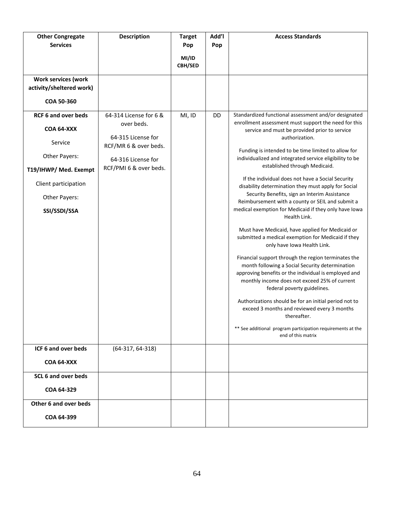| <b>Other Congregate</b>    | <b>Description</b>     | <b>Target</b>    | Add'l | <b>Access Standards</b>                                                                                                                                                                                                                        |
|----------------------------|------------------------|------------------|-------|------------------------------------------------------------------------------------------------------------------------------------------------------------------------------------------------------------------------------------------------|
| <b>Services</b>            |                        | Pop              | Pop   |                                                                                                                                                                                                                                                |
|                            |                        | MI/ID<br>CBH/SED |       |                                                                                                                                                                                                                                                |
| <b>Work services (work</b> |                        |                  |       |                                                                                                                                                                                                                                                |
| activity/sheltered work)   |                        |                  |       |                                                                                                                                                                                                                                                |
| COA 50-360                 |                        |                  |       |                                                                                                                                                                                                                                                |
| <b>RCF 6 and over beds</b> | 64-314 License for 6 & | MI, ID           | DD    | Standardized functional assessment and/or designated                                                                                                                                                                                           |
| <b>COA 64-XXX</b>          | over beds.             |                  |       | enrollment assessment must support the need for this<br>service and must be provided prior to service                                                                                                                                          |
| Service                    | 64-315 License for     |                  |       | authorization.                                                                                                                                                                                                                                 |
|                            | RCF/MR 6 & over beds.  |                  |       | Funding is intended to be time limited to allow for                                                                                                                                                                                            |
| Other Payers:              | 64-316 License for     |                  |       | individualized and integrated service eligibility to be<br>established through Medicaid.                                                                                                                                                       |
| T19/IHWP/ Med. Exempt      | RCF/PMI 6 & over beds. |                  |       |                                                                                                                                                                                                                                                |
| Client participation       |                        |                  |       | If the individual does not have a Social Security<br>disability determination they must apply for Social                                                                                                                                       |
| Other Payers:              |                        |                  |       | Security Benefits, sign an Interim Assistance<br>Reimbursement with a county or SEIL and submit a                                                                                                                                              |
| SSI/SSDI/SSA               |                        |                  |       | medical exemption for Medicaid if they only have Iowa<br>Health Link.                                                                                                                                                                          |
|                            |                        |                  |       | Must have Medicaid, have applied for Medicaid or<br>submitted a medical exemption for Medicaid if they<br>only have Iowa Health Link.                                                                                                          |
|                            |                        |                  |       | Financial support through the region terminates the<br>month following a Social Security determination<br>approving benefits or the individual is employed and<br>monthly income does not exceed 25% of current<br>federal poverty guidelines. |
|                            |                        |                  |       | Authorizations should be for an initial period not to<br>exceed 3 months and reviewed every 3 months<br>thereafter.                                                                                                                            |
|                            |                        |                  |       | ** See additional program participation requirements at the<br>end of this matrix                                                                                                                                                              |
| ICF 6 and over beds        | $(64-317, 64-318)$     |                  |       |                                                                                                                                                                                                                                                |
| <b>COA 64-XXX</b>          |                        |                  |       |                                                                                                                                                                                                                                                |
| <b>SCL 6 and over beds</b> |                        |                  |       |                                                                                                                                                                                                                                                |
| COA 64-329                 |                        |                  |       |                                                                                                                                                                                                                                                |
| Other 6 and over beds      |                        |                  |       |                                                                                                                                                                                                                                                |
| COA 64-399                 |                        |                  |       |                                                                                                                                                                                                                                                |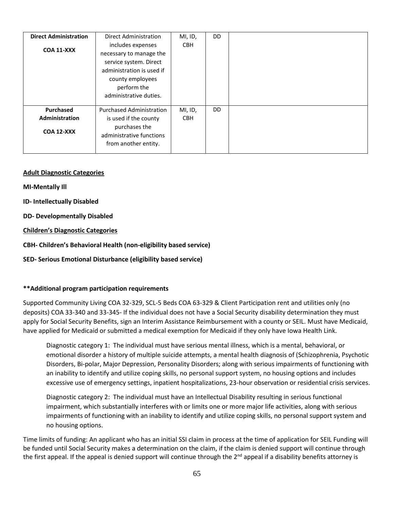#### **Adult Diagnostic Categories**

**MI-Mentally Ill**

**ID- Intellectually Disabled**

**DD- Developmentally Disabled**

**Children's Diagnostic Categories**

**CBH- Children's Behavioral Health (non-eligibility based service)**

**SED- Serious Emotional Disturbance (eligibility based service)**

#### **\*\*Additional program participation requirements**

Supported Community Living COA 32-329, SCL-5 Beds COA 63-329 & Client Participation rent and utilities only (no deposits) COA 33-340 and 33-345- If the individual does not have a Social Security disability determination they must apply for Social Security Benefits, sign an Interim Assistance Reimbursement with a county or SEIL. Must have Medicaid, have applied for Medicaid or submitted a medical exemption for Medicaid if they only have Iowa Health Link.

Diagnostic category 1: The individual must have serious mental illness, which is a mental, behavioral, or emotional disorder a history of multiple suicide attempts, a mental health diagnosis of (Schizophrenia, Psychotic Disorders, Bi-polar, Major Depression, Personality Disorders; along with serious impairments of functioning with an inability to identify and utilize coping skills, no personal support system, no housing options and includes excessive use of emergency settings, inpatient hospitalizations, 23-hour observation or residential crisis services.

Diagnostic category 2: The individual must have an Intellectual Disability resulting in serious functional impairment, which substantially interferes with or limits one or more major life activities, along with serious impairments of functioning with an inability to identify and utilize coping skills, no personal support system and no housing options.

Time limits of funding: An applicant who has an initial SSI claim in process at the time of application for SEIL Funding will be funded until Social Security makes a determination on the claim, if the claim is denied support will continue through the first appeal. If the appeal is denied support will continue through the 2<sup>nd</sup> appeal if a disability benefits attorney is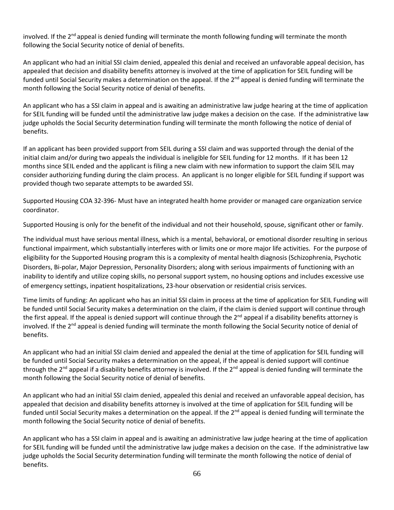involved. If the  $2^{nd}$  appeal is denied funding will terminate the month following funding will terminate the month following the Social Security notice of denial of benefits.

An applicant who had an initial SSI claim denied, appealed this denial and received an unfavorable appeal decision, has appealed that decision and disability benefits attorney is involved at the time of application for SEIL funding will be funded until Social Security makes a determination on the appeal. If the  $2^{nd}$  appeal is denied funding will terminate the month following the Social Security notice of denial of benefits.

An applicant who has a SSI claim in appeal and is awaiting an administrative law judge hearing at the time of application for SEIL funding will be funded until the administrative law judge makes a decision on the case. If the administrative law judge upholds the Social Security determination funding will terminate the month following the notice of denial of benefits.

If an applicant has been provided support from SEIL during a SSI claim and was supported through the denial of the initial claim and/or during two appeals the individual is ineligible for SEIL funding for 12 months. If it has been 12 months since SEIL ended and the applicant is filing a new claim with new information to support the claim SEIL may consider authorizing funding during the claim process. An applicant is no longer eligible for SEIL funding if support was provided though two separate attempts to be awarded SSI.

Supported Housing COA 32-396- Must have an integrated health home provider or managed care organization service coordinator.

Supported Housing is only for the benefit of the individual and not their household, spouse, significant other or family.

The individual must have serious mental illness, which is a mental, behavioral, or emotional disorder resulting in serious functional impairment, which substantially interferes with or limits one or more major life activities. For the purpose of eligibility for the Supported Housing program this is a complexity of mental health diagnosis (Schizophrenia, Psychotic Disorders, Bi-polar, Major Depression, Personality Disorders; along with serious impairments of functioning with an inability to identify and utilize coping skills, no personal support system, no housing options and includes excessive use of emergency settings, inpatient hospitalizations, 23-hour observation or residential crisis services.

Time limits of funding: An applicant who has an initial SSI claim in process at the time of application for SEIL Funding will be funded until Social Security makes a determination on the claim, if the claim is denied support will continue through the first appeal. If the appeal is denied support will continue through the 2<sup>nd</sup> appeal if a disability benefits attorney is involved. If the  $2<sup>nd</sup>$  appeal is denied funding will terminate the month following the Social Security notice of denial of benefits.

An applicant who had an initial SSI claim denied and appealed the denial at the time of application for SEIL funding will be funded until Social Security makes a determination on the appeal, if the appeal is denied support will continue through the 2<sup>nd</sup> appeal if a disability benefits attorney is involved. If the 2<sup>nd</sup> appeal is denied funding will terminate the month following the Social Security notice of denial of benefits.

An applicant who had an initial SSI claim denied, appealed this denial and received an unfavorable appeal decision, has appealed that decision and disability benefits attorney is involved at the time of application for SEIL funding will be funded until Social Security makes a determination on the appeal. If the  $2^{nd}$  appeal is denied funding will terminate the month following the Social Security notice of denial of benefits.

An applicant who has a SSI claim in appeal and is awaiting an administrative law judge hearing at the time of application for SEIL funding will be funded until the administrative law judge makes a decision on the case. If the administrative law judge upholds the Social Security determination funding will terminate the month following the notice of denial of benefits.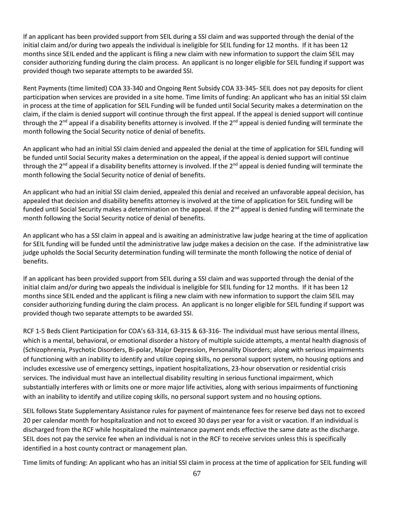If an applicant has been provided support from SEIL during a SSI claim and was supported through the denial of the initial claim and/or during two appeals the individual is ineligible for SEIL funding for 12 months. If it has been 12 months since SEIL ended and the applicant is filing a new claim with new information to support the claim SEIL may consider authorizing funding during the claim process. An applicant is no longer eligible for SEIL funding if support was provided though two separate attempts to be awarded SSI.

Rent Payments (time limited) COA 33-340 and Ongoing Rent Subsidy COA 33-345- SEIL does not pay deposits for client participation when services are provided in a site home. Time limits of funding: An applicant who has an initial SSI claim in process at the time of application for SEIL Funding will be funded until Social Security makes a determination on the claim, if the claim is denied support will continue through the first appeal. If the appeal is denied support will continue through the 2<sup>nd</sup> appeal if a disability benefits attorney is involved. If the 2<sup>nd</sup> appeal is denied funding will terminate the month following the Social Security notice of denial of benefits.

An applicant who had an initial SSI claim denied and appealed the denial at the time of application for SEIL funding will be funded until Social Security makes a determination on the appeal, if the appeal is denied support will continue through the  $2^{nd}$  appeal if a disability benefits attorney is involved. If the  $2^{nd}$  appeal is denied funding will terminate the month following the Social Security notice of denial of benefits.

An applicant who had an initial SSI claim denied, appealed this denial and received an unfavorable appeal decision, has appealed that decision and disability benefits attorney is involved at the time of application for SEIL funding will be funded until Social Security makes a determination on the appeal. If the  $2^{nd}$  appeal is denied funding will terminate the month following the Social Security notice of denial of benefits.

An applicant who has a SSI claim in appeal and is awaiting an administrative law judge hearing at the time of application for SEIL funding will be funded until the administrative law judge makes a decision on the case. If the administrative law judge upholds the Social Security determination funding will terminate the month following the notice of denial of benefits.

If an applicant has been provided support from SEIL during a SSI claim and was supported through the denial of the initial claim and/or during two appeals the individual is ineligible for SEIL funding for 12 months. If it has been 12 months since SEIL ended and the applicant is filing a new claim with new information to support the claim SEIL may consider authorizing funding during the claim process. An applicant is no longer eligible for SEIL funding if support was provided though two separate attempts to be awarded SSI.

RCF 1-5 Beds Client Participation for COA's 63-314, 63-315 & 63-316- The individual must have serious mental illness, which is a mental, behavioral, or emotional disorder a history of multiple suicide attempts, a mental health diagnosis of (Schizophrenia, Psychotic Disorders, Bi-polar, Major Depression, Personality Disorders; along with serious impairments of functioning with an inability to identify and utilize coping skills, no personal support system, no housing options and includes excessive use of emergency settings, inpatient hospitalizations, 23-hour observation or residential crisis services. The individual must have an intellectual disability resulting in serious functional impairment, which substantially interferes with or limits one or more major life activities, along with serious impairments of functioning with an inability to identify and utilize coping skills, no personal support system and no housing options.

SEIL follows State Supplementary Assistance rules for payment of maintenance fees for reserve bed days not to exceed 20 per calendar month for hospitalization and not to exceed 30 days per year for a visit or vacation. If an individual is discharged from the RCF while hospitalized the maintenance payment ends effective the same date as the discharge. SEIL does not pay the service fee when an individual is not in the RCF to receive services unless this is specifically identified in a host county contract or management plan.

Time limits of funding: An applicant who has an initial SSI claim in process at the time of application for SEIL funding will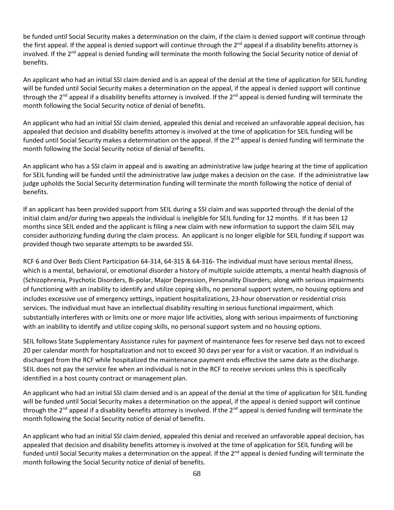be funded until Social Security makes a determination on the claim, if the claim is denied support will continue through the first appeal. If the appeal is denied support will continue through the 2<sup>nd</sup> appeal if a disability benefits attorney is involved. If the  $2<sup>nd</sup>$  appeal is denied funding will terminate the month following the Social Security notice of denial of benefits.

An applicant who had an initial SSI claim denied and is an appeal of the denial at the time of application for SEIL funding will be funded until Social Security makes a determination on the appeal, if the appeal is denied support will continue through the 2<sup>nd</sup> appeal if a disability benefits attorney is involved. If the 2<sup>nd</sup> appeal is denied funding will terminate the month following the Social Security notice of denial of benefits.

An applicant who had an initial SSI claim denied, appealed this denial and received an unfavorable appeal decision, has appealed that decision and disability benefits attorney is involved at the time of application for SEIL funding will be funded until Social Security makes a determination on the appeal. If the 2<sup>nd</sup> appeal is denied funding will terminate the month following the Social Security notice of denial of benefits.

An applicant who has a SSI claim in appeal and is awaiting an administrative law judge hearing at the time of application for SEIL funding will be funded until the administrative law judge makes a decision on the case. If the administrative law judge upholds the Social Security determination funding will terminate the month following the notice of denial of benefits.

If an applicant has been provided support from SEIL during a SSI claim and was supported through the denial of the initial claim and/or during two appeals the individual is ineligible for SEIL funding for 12 months. If it has been 12 months since SEIL ended and the applicant is filing a new claim with new information to support the claim SEIL may consider authorizing funding during the claim process. An applicant is no longer eligible for SEIL funding if support was provided though two separate attempts to be awarded SSI.

RCF 6 and Over Beds Client Participation 64-314, 64-315 & 64-316- The individual must have serious mental illness, which is a mental, behavioral, or emotional disorder a history of multiple suicide attempts, a mental health diagnosis of (Schizophrenia, Psychotic Disorders, Bi-polar, Major Depression, Personality Disorders; along with serious impairments of functioning with an inability to identify and utilize coping skills, no personal support system, no housing options and includes excessive use of emergency settings, inpatient hospitalizations, 23-hour observation or residential crisis services. The individual must have an intellectual disability resulting in serious functional impairment, which substantially interferes with or limits one or more major life activities, along with serious impairments of functioning with an inability to identify and utilize coping skills, no personal support system and no housing options.

SEIL follows State Supplementary Assistance rules for payment of maintenance fees for reserve bed days not to exceed 20 per calendar month for hospitalization and not to exceed 30 days per year for a visit or vacation. If an individual is discharged from the RCF while hospitalized the maintenance payment ends effective the same date as the discharge. SEIL does not pay the service fee when an individual is not in the RCF to receive services unless this is specifically identified in a host county contract or management plan.

An applicant who had an initial SSI claim denied and is an appeal of the denial at the time of application for SEIL funding will be funded until Social Security makes a determination on the appeal, if the appeal is denied support will continue through the 2<sup>nd</sup> appeal if a disability benefits attorney is involved. If the 2<sup>nd</sup> appeal is denied funding will terminate the month following the Social Security notice of denial of benefits.

An applicant who had an initial SSI claim denied, appealed this denial and received an unfavorable appeal decision, has appealed that decision and disability benefits attorney is involved at the time of application for SEIL funding will be funded until Social Security makes a determination on the appeal. If the 2<sup>nd</sup> appeal is denied funding will terminate the month following the Social Security notice of denial of benefits.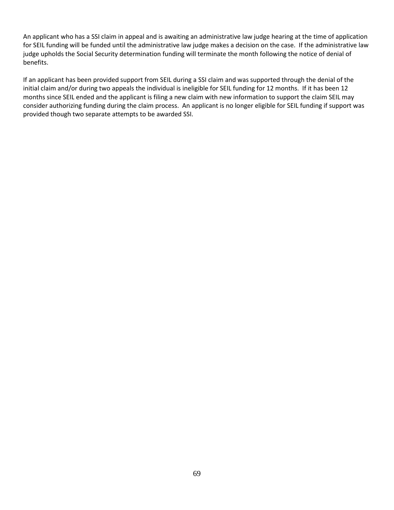An applicant who has a SSI claim in appeal and is awaiting an administrative law judge hearing at the time of application for SEIL funding will be funded until the administrative law judge makes a decision on the case. If the administrative law judge upholds the Social Security determination funding will terminate the month following the notice of denial of benefits.

If an applicant has been provided support from SEIL during a SSI claim and was supported through the denial of the initial claim and/or during two appeals the individual is ineligible for SEIL funding for 12 months. If it has been 12 months since SEIL ended and the applicant is filing a new claim with new information to support the claim SEIL may consider authorizing funding during the claim process. An applicant is no longer eligible for SEIL funding if support was provided though two separate attempts to be awarded SSI.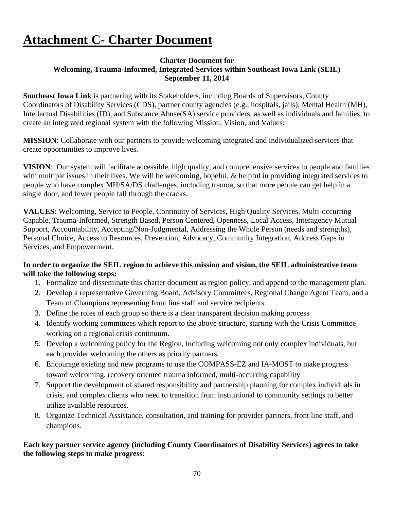# **Attachment C- Charter Document**

### **Charter Document for Welcoming, Trauma-Informed, Integrated Services within Southeast Iowa Link (SEIL) September 11, 2014**

**Southeast Iowa Link** is partnering with its Stakeholders, including Boards of Supervisors, County Coordinators of Disability Services (CDS), partner county agencies (e.g., hospitals, jails), Mental Health (MH), Intellectual Disabilities (ID), and Substance Abuse(SA) service providers, as well as individuals and families, to create an integrated regional system with the following Mission, Vision, and Values:

**MISSION**: Collaborate with our partners to provide welcoming integrated and individualized services that create opportunities to improve lives.

**VISION**: Our system will facilitate accessible, high quality, and comprehensive services to people and families with multiple issues in their lives. We will be welcoming, hopeful, & helpful in providing integrated services to people who have complex MH/SA/DS challenges, including trauma, so that more people can get help in a single door, and fewer people fall through the cracks.

**VALUES**: Welcoming, Service to People, Continuity of Services, High Quality Services, Multi-occurring Capable, Trauma-Informed, Strength Based, Person Centered, Openness, Local Access, Interagency Mutual Support, Accountability, Accepting/Non-Judgmental, Addressing the Whole Person (needs and strengths), Personal Choice, Access to Resources, Prevention, Advocacy, Community Integration, Address Gaps in Services, and Empowerment.

### **In order to organize the SEIL region to achieve this mission and vision, the SEIL administrative team will take the following steps:**

- 1. Formalize and disseminate this charter document as region policy, and append to the management plan.
- 2. Develop a representative Governing Board, Advisory Committees, Regional Change Agent Team, and a Team of Champions representing front line staff and service recipients.
- 3. Define the roles of each group so there is a clear transparent decision making process
- 4. Identify working committees which report to the above structure, starting with the Crisis Committee working on a regional crisis continuum.
- 5. Develop a welcoming policy for the Region, including welcoming not only complex individuals, but each provider welcoming the others as priority partners.
- 6. Encourage existing and new programs to use the COMPASS-EZ and IA-MOST to make progress toward welcoming, recovery oriented trauma informed, multi-occurring capability
- 7. Support the development of shared responsibility and partnership planning for complex individuals in crisis, and complex clients who need to transition from institutional to community settings to better utilize available resources.
- 8. Organize Technical Assistance, consultation, and training for provider partners, front line staff, and champions.

## **Each key partner service agency (including County Coordinators of Disability Services) agrees to take the following steps to make progress**: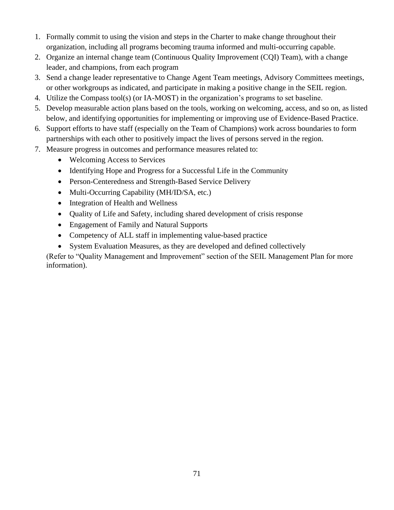- 1. Formally commit to using the vision and steps in the Charter to make change throughout their organization, including all programs becoming trauma informed and multi-occurring capable.
- 2. Organize an internal change team (Continuous Quality Improvement (CQI) Team), with a change leader, and champions, from each program
- 3. Send a change leader representative to Change Agent Team meetings, Advisory Committees meetings, or other workgroups as indicated, and participate in making a positive change in the SEIL region.
- 4. Utilize the Compass tool(s) (or IA-MOST) in the organization's programs to set baseline.
- 5. Develop measurable action plans based on the tools, working on welcoming, access, and so on, as listed below, and identifying opportunities for implementing or improving use of Evidence-Based Practice.
- 6. Support efforts to have staff (especially on the Team of Champions) work across boundaries to form partnerships with each other to positively impact the lives of persons served in the region.
- 7. Measure progress in outcomes and performance measures related to:
	- Welcoming Access to Services
	- Identifying Hope and Progress for a Successful Life in the Community
	- Person-Centeredness and Strength-Based Service Delivery
	- Multi-Occurring Capability (MH/ID/SA, etc.)
	- Integration of Health and Wellness
	- Quality of Life and Safety, including shared development of crisis response
	- Engagement of Family and Natural Supports
	- Competency of ALL staff in implementing value-based practice
	- System Evaluation Measures, as they are developed and defined collectively

(Refer to "Quality Management and Improvement" section of the SEIL Management Plan for more information).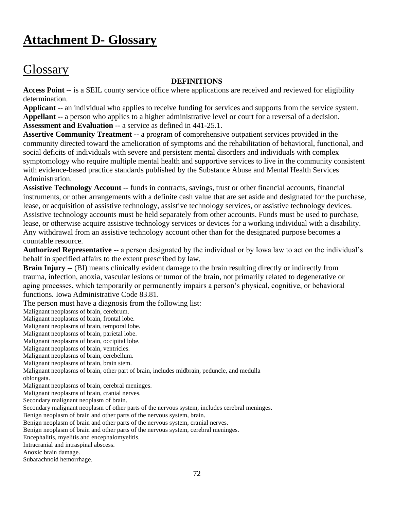# **Attachment D- Glossary**

## **Glossary**

### **DEFINITIONS**

**Access Point** -- is a SEIL county service office where applications are received and reviewed for eligibility determination.

**Applicant** -- an individual who applies to receive funding for services and supports from the service system. **Appellant --** a person who applies to a higher administrative level or court for a reversal of a decision. **Assessment and Evaluation** -- a service as defined in 441-25.1.

**Assertive Community Treatment --** a program of comprehensive outpatient services provided in the community directed toward the amelioration of symptoms and the rehabilitation of behavioral, functional, and social deficits of individuals with severe and persistent mental disorders and individuals with complex symptomology who require multiple mental health and supportive services to live in the community consistent with evidence-based practice standards published by the Substance Abuse and Mental Health Services Administration.

**Assistive Technology Account** -- funds in contracts, savings, trust or other financial accounts, financial instruments, or other arrangements with a definite cash value that are set aside and designated for the purchase, lease, or acquisition of assistive technology, assistive technology services, or assistive technology devices. Assistive technology accounts must be held separately from other accounts. Funds must be used to purchase, lease, or otherwise acquire assistive technology services or devices for a working individual with a disability. Any withdrawal from an assistive technology account other than for the designated purpose becomes a countable resource.

**Authorized Representative** -- a person designated by the individual or by Iowa law to act on the individual's behalf in specified affairs to the extent prescribed by law.

**Brain Injury --** (BI) means clinically evident damage to the brain resulting directly or indirectly from trauma, infection, anoxia, vascular lesions or tumor of the brain, not primarily related to degenerative or aging processes, which temporarily or permanently impairs a person's physical, cognitive, or behavioral functions. Iowa Administrative Code 83.81.

The person must have a diagnosis from the following list:

Malignant neoplasms of brain, cerebrum.

Malignant neoplasms of brain, frontal lobe.

Malignant neoplasms of brain, temporal lobe.

Malignant neoplasms of brain, parietal lobe.

Malignant neoplasms of brain, occipital lobe.

Malignant neoplasms of brain, ventricles.

Malignant neoplasms of brain, cerebellum.

Malignant neoplasms of brain, brain stem.

Malignant neoplasms of brain, other part of brain, includes midbrain, peduncle, and medulla oblongata.

Malignant neoplasms of brain, cerebral meninges.

Malignant neoplasms of brain, cranial nerves.

Secondary malignant neoplasm of brain.

Secondary malignant neoplasm of other parts of the nervous system, includes cerebral meninges.

Benign neoplasm of brain and other parts of the nervous system, brain.

Benign neoplasm of brain and other parts of the nervous system, cranial nerves.

Benign neoplasm of brain and other parts of the nervous system, cerebral meninges.

Encephalitis, myelitis and encephalomyelitis.

Intracranial and intraspinal abscess.

Anoxic brain damage.

Subarachnoid hemorrhage.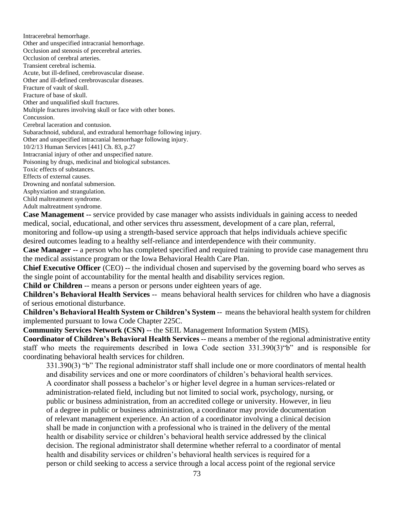Intracerebral hemorrhage. Other and unspecified intracranial hemorrhage. Occlusion and stenosis of precerebral arteries. Occlusion of cerebral arteries. Transient cerebral ischemia. Acute, but ill-defined, cerebrovascular disease. Other and ill-defined cerebrovascular diseases. Fracture of vault of skull. Fracture of base of skull. Other and unqualified skull fractures. Multiple fractures involving skull or face with other bones. Concussion. Cerebral laceration and contusion. Subarachnoid, subdural, and extradural hemorrhage following injury. Other and unspecified intracranial hemorrhage following injury. 10/2/13 Human Services [441] Ch. 83, p.27 Intracranial injury of other and unspecified nature. Poisoning by drugs, medicinal and biological substances. Toxic effects of substances. Effects of external causes. Drowning and nonfatal submersion. Asphyxiation and strangulation. Child maltreatment syndrome. Adult maltreatment syndrome.

**Case Management --** service provided by case manager who assists individuals in gaining access to needed medical, social, educational, and other services thru assessment, development of a care plan, referral, monitoring and follow-up using a strength-based service approach that helps individuals achieve specific desired outcomes leading to a healthy self-reliance and interdependence with their community.

**Case Manager --** a person who has completed specified and required training to provide case management thru the medical assistance program or the Iowa Behavioral Health Care Plan.

**Chief Executive Officer** (CEO) -- the individual chosen and supervised by the governing board who serves as the single point of accountability for the mental health and disability services region.

**Child or Children** -- means a person or persons under eighteen years of age.

**Children's Behavioral Health Services** -- means behavioral health services for children who have a diagnosis of serious emotional disturbance.

**Children's Behavioral Health System or Children's System** -- means the behavioral health system for children implemented pursuant to Iowa Code Chapter 225C.

**Community Services Network (CSN) --** the SEIL Management Information System (MIS).

**Coordinator of Children's Behavioral Health Services** -- means a member of the regional administrative entity staff who meets the requirements described in Iowa Code section 331.390(3)"b" and is responsible for coordinating behavioral health services for children.

331.390(3) "b" The regional administrator staff shall include one or more coordinators of mental health and disability services and one or more coordinators of children's behavioral health services. A coordinator shall possess a bachelor's or higher level degree in a human services-related or administration-related field, including but not limited to social work, psychology, nursing, or public or business administration, from an accredited college or university. However, in lieu of a degree in public or business administration, a coordinator may provide documentation of relevant management experience. An action of a coordinator involving a clinical decision shall be made in conjunction with a professional who is trained in the delivery of the mental health or disability service or children's behavioral health service addressed by the clinical decision. The regional administrator shall determine whether referral to a coordinator of mental health and disability services or children's behavioral health services is required for a person or child seeking to access a service through a local access point of the regional service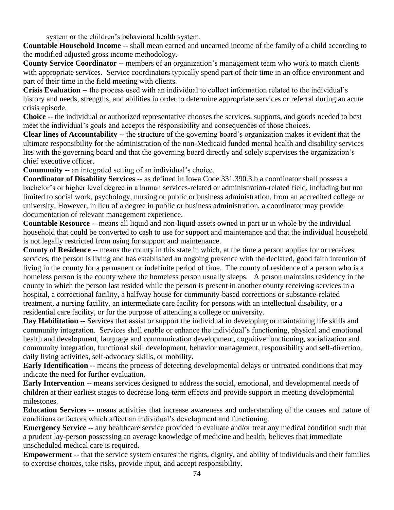system or the children's behavioral health system.

**Countable Household Income** -- shall mean earned and unearned income of the family of a child according to the modified adjusted gross income methodology.

**County Service Coordinator --** members of an organization's management team who work to match clients with appropriate services. Service coordinators typically spend part of their time in an office environment and part of their time in the field meeting with clients.

**Crisis Evaluation --** the process used with an individual to collect information related to the individual's history and needs, strengths, and abilities in order to determine appropriate services or referral during an acute crisis episode.

**Choice** -- the individual or authorized representative chooses the services, supports, and goods needed to best meet the individual's goals and accepts the responsibility and consequences of those choices.

**Clear lines of Accountability** -- the structure of the governing board's organization makes it evident that the ultimate responsibility for the administration of the non-Medicaid funded mental health and disability services lies with the governing board and that the governing board directly and solely supervises the organization's chief executive officer.

**Community** -- an integrated setting of an individual's choice.

**Coordinator of Disability Services** -- as defined in Iowa Code 331.390.3.b a coordinator shall possess a bachelor's or higher level degree in a human services-related or administration-related field, including but not limited to social work, psychology, nursing or public or business administration, from an accredited college or university. However, in lieu of a degree in public or business administration, a coordinator may provide documentation of relevant management experience.

**Countable Resource** -- means all liquid and non-liquid assets owned in part or in whole by the individual household that could be converted to cash to use for support and maintenance and that the individual household is not legally restricted from using for support and maintenance.

**County of Residence** -- means the county in this state in which, at the time a person applies for or receives services, the person is living and has established an ongoing presence with the declared, good faith intention of living in the county for a permanent or indefinite period of time. The county of residence of a person who is a homeless person is the county where the homeless person usually sleeps. A person maintains residency in the county in which the person last resided while the person is present in another county receiving services in a hospital, a correctional facility, a halfway house for community-based corrections or substance-related treatment, a nursing facility, an intermediate care facility for persons with an intellectual disability, or a residential care facility, or for the purpose of attending a college or university.

**Day Habilitation --** Services that assist or support the individual in developing or maintaining life skills and community integration. Services shall enable or enhance the individual's functioning, physical and emotional health and development, language and communication development, cognitive functioning, socialization and community integration, functional skill development, behavior management, responsibility and self-direction, daily living activities, self-advocacy skills, or mobility.

**Early Identification** -*-* means the process of detecting developmental delays or untreated conditions that may indicate the need for further evaluation.

**Early Intervention --** means services designed to address the social, emotional, and developmental needs of children at their earliest stages to decrease long-term effects and provide support in meeting developmental milestones.

**Education Services** *-*- means activities that increase awareness and understanding of the causes and nature of conditions or factors which affect an individual's development and functioning.

**Emergency Service --** any healthcare service provided to evaluate and/or treat any medical condition such that a prudent lay-person possessing an average knowledge of medicine and health, believes that immediate unscheduled medical care is required.

**Empowerment** -- that the service system ensures the rights, dignity, and ability of individuals and their families to exercise choices, take risks, provide input, and accept responsibility.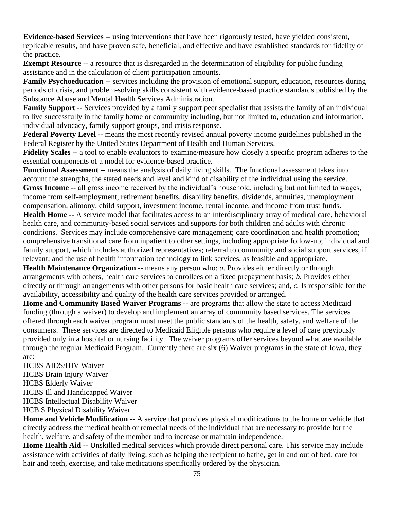**Evidence-based Services --** using interventions that have been rigorously tested, have yielded consistent, replicable results, and have proven safe, beneficial, and effective and have established standards for fidelity of the practice.

**Exempt Resource** -- a resource that is disregarded in the determination of eligibility for public funding assistance and in the calculation of client participation amounts.

**Family Psychoeducation --** services including the provision of emotional support, education, resources during periods of crisis, and problem-solving skills consistent with evidence-based practice standards published by the Substance Abuse and Mental Health Services Administration.

**Family Support** -- Services provided by a family support peer specialist that assists the family of an individual to live successfully in the family home or community including, but not limited to, education and information, individual advocacy, family support groups, and crisis response.

**Federal Poverty Level --** means the most recently revised annual poverty income guidelines published in the Federal Register by the United States Department of Health and Human Services.

**Fidelity Scales --** a tool to enable evaluators to examine/measure how closely a specific program adheres to the essential components of a model for evidence-based practice.

**Functional Assessment --** means the analysis of daily living skills. The functional assessment takes into account the strengths, the stated needs and level and kind of disability of the individual using the service. **Gross Income** -- all gross income received by the individual's household, including but not limited to wages, income from self-employment, retirement benefits, disability benefits, dividends, annuities, unemployment compensation, alimony, child support, investment income, rental income, and income from trust funds. **Health Home --** A service model that facilitates access to an interdisciplinary array of medical care, behavioral health care, and community-based social services and supports for both children and adults with chronic conditions. Services may include comprehensive care management; care coordination and health promotion; comprehensive transitional care from inpatient to other settings, including appropriate follow-up; individual and family support, which includes authorized representatives; referral to community and social support services, if relevant; and the use of health information technology to link services, as feasible and appropriate.

**Health Maintenance Organization --** means any person who: *a*. Provides either directly or through arrangements with others, health care services to enrollees on a fixed prepayment basis; *b.* Provides either directly or through arrangements with other persons for basic health care services; and, *c.* Is responsible for the availability, accessibility and quality of the health care services provided or arranged.

**Home and Community Based Waiver Programs** -- are programs that allow the state to access Medicaid funding (through a waiver) to develop and implement an array of community based services. The services offered through each waiver program must meet the public standards of the health, safety, and welfare of the consumers. These services are directed to Medicaid Eligible persons who require a level of care previously provided only in a hospital or nursing facility. The waiver programs offer services beyond what are available through the regular Medicaid Program. Currently there are six (6) Waiver programs in the state of Iowa, they are:

HCBS AIDS/HIV Waiver HCBS Brain Injury Waiver HCBS Elderly Waiver HCBS Ill and Handicapped Waiver HCBS Intellectual Disability Waiver HCB S Physical Disability Waiver

**Home and Vehicle Modification --** A service that provides physical modifications to the home or vehicle that directly address the medical health or remedial needs of the individual that are necessary to provide for the health, welfare, and safety of the member and to increase or maintain independence.

**Home Health Aid --** Unskilled medical services which provide direct personal care. This service may include assistance with activities of daily living, such as helping the recipient to bathe, get in and out of bed, care for hair and teeth, exercise, and take medications specifically ordered by the physician.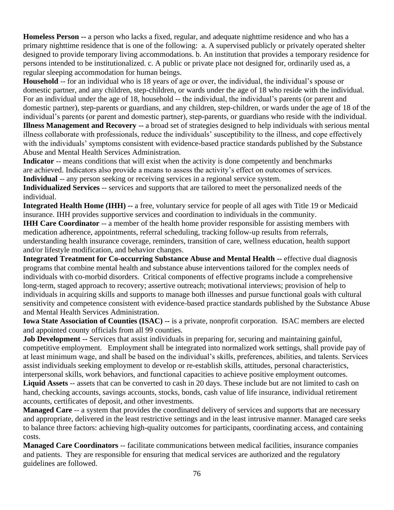**Homeless Person --** a person who lacks a fixed, regular, and adequate nighttime residence and who has a primary nighttime residence that is one of the following: a. A supervised publicly or privately operated shelter designed to provide temporary living accommodations. b. An institution that provides a temporary residence for persons intended to be institutionalized. c. A public or private place not designed for, ordinarily used as, a regular sleeping accommodation for human beings.

**Household** -- for an individual who is 18 years of age or over, the individual, the individual's spouse or domestic partner, and any children, step-children, or wards under the age of 18 who reside with the individual. For an individual under the age of 18, household -- the individual, the individual's parents (or parent and domestic partner), step-parents or guardians, and any children, step-children, or wards under the age of 18 of the individual's parents (or parent and domestic partner), step-parents, or guardians who reside with the individual. **Illness Management and Recovery --** a broad set of strategies designed to help individuals with serious mental illness collaborate with professionals, reduce the individuals' susceptibility to the illness, and cope effectively with the individuals' symptoms consistent with evidence-based practice standards published by the Substance Abuse and Mental Health Services Administration.

**Indicator** -- means conditions that will exist when the activity is done competently and benchmarks are achieved. Indicators also provide a means to assess the activity's effect on outcomes of services. **Individual** -- any person seeking or receiving services in a regional service system.

**Individualized Services** -- services and supports that are tailored to meet the personalized needs of the individual.

**Integrated Health Home (IHH) --** a free, voluntary service for people of all ages with Title 19 or Medicaid insurance. IHH provides supportive services and coordination to individuals in the community.

**IHH Care Coordinator** -- a member of the health home provider responsible for assisting members with medication adherence, appointments, referral scheduling, tracking follow-up results from referrals, understanding health insurance coverage, reminders, transition of care, wellness education, health support and/or lifestyle modification, and behavior changes.

**Integrated Treatment for Co-occurring Substance Abuse and Mental Health --** effective dual diagnosis programs that combine mental health and substance abuse interventions tailored for the complex needs of individuals with co-morbid disorders. Critical components of effective programs include a comprehensive long-term, staged approach to recovery; assertive outreach; motivational interviews; provision of help to individuals in acquiring skills and supports to manage both illnesses and pursue functional goals with cultural sensitivity and competence consistent with evidence-based practice standards published by the Substance Abuse and Mental Health Services Administration.

**Iowa State Association of Counties (ISAC) --** is a private, nonprofit corporation. ISAC members are elected and appointed county officials from all 99 counties.

**Job Development --** Services that assist individuals in preparing for, securing and maintaining gainful, competitive employment. Employment shall be integrated into normalized work settings, shall provide pay of at least minimum wage, and shall be based on the individual's skills, preferences, abilities, and talents. Services assist individuals seeking employment to develop or re-establish skills, attitudes, personal characteristics, interpersonal skills, work behaviors, and functional capacities to achieve positive employment outcomes. **Liquid Assets** -- assets that can be converted to cash in 20 days. These include but are not limited to cash on hand, checking accounts, savings accounts, stocks, bonds, cash value of life insurance, individual retirement accounts, certificates of deposit, and other investments.

**Managed Care** -- a system that provides the coordinated delivery of services and supports that are necessary and appropriate, delivered in the least restrictive settings and in the least intrusive manner. Managed care seeks to balance three factors: achieving high-quality outcomes for participants, coordinating access, and containing costs.

**Managed Care Coordinators** -- facilitate communications between medical facilities, insurance companies and patients. They are responsible for ensuring that medical services are authorized and the regulatory guidelines are followed.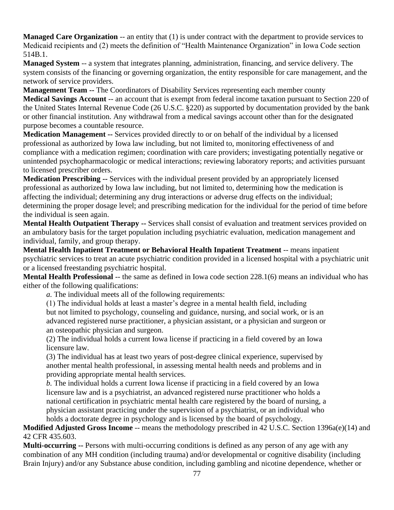**Managed Care Organization** -- an entity that (1) is under contract with the department to provide services to Medicaid recipients and (2) meets the definition of "Health Maintenance Organization" in Iowa Code section 514B.1.

**Managed System** -- a system that integrates planning, administration, financing, and service delivery. The system consists of the financing or governing organization, the entity responsible for care management, and the network of service providers.

**Management Team --** The Coordinators of Disability Services representing each member county

**Medical Savings Account** -- an account that is exempt from federal income taxation pursuant to Section 220 of the United States Internal Revenue Code (26 U.S.C. §220) as supported by documentation provided by the bank or other financial institution. Any withdrawal from a medical savings account other than for the designated purpose becomes a countable resource.

**Medication Management --** Services provided directly to or on behalf of the individual by a licensed professional as authorized by Iowa law including, but not limited to, monitoring effectiveness of and compliance with a medication regimen; coordination with care providers; investigating potentially negative or unintended psychopharmacologic or medical interactions; reviewing laboratory reports; and activities pursuant to licensed prescriber orders.

**Medication Prescribing --** Services with the individual present provided by an appropriately licensed professional as authorized by Iowa law including, but not limited to, determining how the medication is affecting the individual; determining any drug interactions or adverse drug effects on the individual; determining the proper dosage level; and prescribing medication for the individual for the period of time before the individual is seen again.

**Mental Health Outpatient Therapy --** Services shall consist of evaluation and treatment services provided on an ambulatory basis for the target population including psychiatric evaluation, medication management and individual, family, and group therapy.

**Mental Health Inpatient Treatment or Behavioral Health Inpatient Treatment** -*-* means inpatient psychiatric services to treat an acute psychiatric condition provided in a licensed hospital with a psychiatric unit or a licensed freestanding psychiatric hospital.

**Mental Health Professional** -- the same as defined in Iowa code section 228.1(6) means an individual who has either of the following qualifications:

*a.* The individual meets all of the following requirements:

(1) The individual holds at least a master's degree in a mental health field, including but not limited to psychology, counseling and guidance, nursing, and social work, or is an advanced registered nurse practitioner, a physician assistant, or a physician and surgeon or an osteopathic physician and surgeon.

(2) The individual holds a current Iowa license if practicing in a field covered by an Iowa licensure law.

(3) The individual has at least two years of post-degree clinical experience, supervised by another mental health professional, in assessing mental health needs and problems and in providing appropriate mental health services.

*b.* The individual holds a current Iowa license if practicing in a field covered by an Iowa licensure law and is a psychiatrist, an advanced registered nurse practitioner who holds a national certification in psychiatric mental health care registered by the board of nursing, a physician assistant practicing under the supervision of a psychiatrist, or an individual who holds a doctorate degree in psychology and is licensed by the board of psychology.

**Modified Adjusted Gross Income** -- means the methodology prescribed in 42 U.S.C. Section 1396a(e)(14) and 42 CFR 435.603.

**Multi-occurring --** Persons with multi-occurring conditions is defined as any person of any age with any combination of any MH condition (including trauma) and/or developmental or cognitive disability (including Brain Injury) and/or any Substance abuse condition, including gambling and nicotine dependence, whether or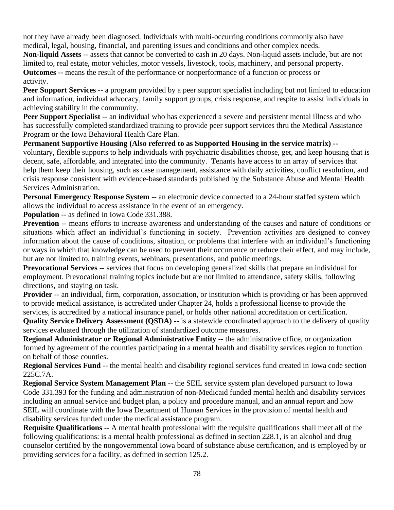not they have already been diagnosed. Individuals with multi-occurring conditions commonly also have medical, legal, housing, financial, and parenting issues and conditions and other complex needs.

**Non-liquid Assets** -- assets that cannot be converted to cash in 20 days. Non-liquid assets include, but are not limited to, real estate, motor vehicles, motor vessels, livestock, tools, machinery, and personal property. **Outcomes --** means the result of the performance or nonperformance of a function or process or activity.

**Peer Support Services --** a program provided by a peer support specialist including but not limited to education and information, individual advocacy, family support groups, crisis response, and respite to assist individuals in achieving stability in the community.

**Peer Support Specialist** -- an individual who has experienced a severe and persistent mental illness and who has successfully completed standardized training to provide peer support services thru the Medical Assistance Program or the Iowa Behavioral Health Care Plan.

**Permanent Supportive Housing (Also referred to as Supported Housing in the service matrix) -** voluntary, flexible supports to help individuals with psychiatric disabilities choose, get, and keep housing that is decent, safe, affordable, and integrated into the community. Tenants have access to an array of services that help them keep their housing, such as case management, assistance with daily activities, conflict resolution, and crisis response consistent with evidence-based standards published by the Substance Abuse and Mental Health Services Administration.

**Personal Emergency Response System --** an electronic device connected to a 24-hour staffed system which allows the individual to access assistance in the event of an emergency.

**Population** -- as defined in Iowa Code 331.388.

**Prevention** -- means efforts to increase awareness and understanding of the causes and nature of conditions or situations which affect an individual's functioning in society. Prevention activities are designed to convey information about the cause of conditions, situation, or problems that interfere with an individual's functioning or ways in which that knowledge can be used to prevent their occurrence or reduce their effect, and may include, but are not limited to, training events, webinars, presentations, and public meetings.

**Prevocational Services --** services that focus on developing generalized skills that prepare an individual for employment. Prevocational training topics include but are not limited to attendance, safety skills, following directions, and staying on task.

**Provider** -- an individual, firm, corporation, association, or institution which is providing or has been approved to provide medical assistance, is accredited under Chapter 24, holds a professional license to provide the services, is accredited by a national insurance panel, or holds other national accreditation or certification.

**Quality Service Delivery Assessment (QSDA) --** is a statewide coordinated approach to the delivery of quality services evaluated through the utilization of standardized outcome measures.

**Regional Administrator or Regional Administrative Entity** -- the administrative office, or organization formed by agreement of the counties participating in a mental health and disability services region to function on behalf of those counties.

**Regional Services Fund** -- the mental health and disability regional services fund created in Iowa code section 225C.7A.

**Regional Service System Management Plan** -- the SEIL service system plan developed pursuant to Iowa Code 331.393 for the funding and administration of non-Medicaid funded mental health and disability services including an annual service and budget plan, a policy and procedure manual, and an annual report and how SEIL will coordinate with the Iowa Department of Human Services in the provision of mental health and disability services funded under the medical assistance program.

**Requisite Qualifications --** A mental health professional with the requisite qualifications shall meet all of the following qualifications: is a mental health professional as defined in section 228.1, is an alcohol and drug counselor certified by the nongovernmental Iowa board of substance abuse certification, and is employed by or providing services for a facility, as defined in section 125.2.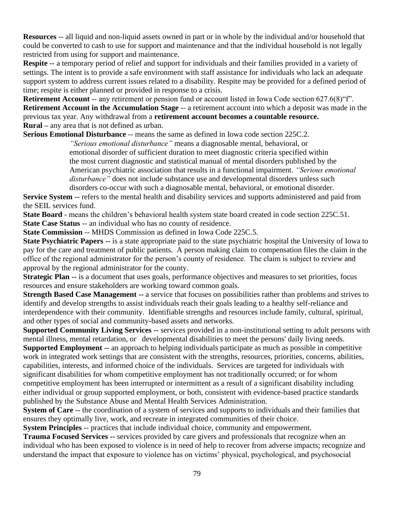**Resources** -- all liquid and non-liquid assets owned in part or in whole by the individual and/or household that could be converted to cash to use for support and maintenance and that the individual household is not legally restricted from using for support and maintenance.

**Respite --** a temporary period of relief and support for individuals and their families provided in a variety of settings. The intent is to provide a safe environment with staff assistance for individuals who lack an adequate support system to address current issues related to a disability. Respite may be provided for a defined period of time; respite is either planned or provided in response to a crisis.

**Retirement Account** -- any retirement or pension fund or account listed in Iowa Code section 627.6(8) <sup>or</sup>. **Retirement Account in the Accumulation Stage** -- a retirement account into which a deposit was made in the previous tax year. Any withdrawal from a **retirement account becomes a countable resource. Rural –** any area that is not defined as urban.

**Serious Emotional Disturbance** -*-* means the same as defined in Iowa code section 225C.2.

*"Serious emotional disturbance"* means a diagnosable mental, behavioral, or emotional disorder of sufficient duration to meet diagnostic criteria specified within the most current diagnostic and statistical manual of mental disorders published by the American psychiatric association that results in a functional impairment. *"Serious emotional disturbance"* does not include substance use and developmental disorders unless such disorders co-occur with such a diagnosable mental, behavioral, or emotional disorder.

**Service System --** refers to the mental health and disability services and supports administered and paid from the SEIL services fund.

**State Board** - means the children's behavioral health system state board created in code section 225C.51. **State Case Status** -- an individual who has no county of residence.

**State Commission** -- MHDS Commission as defined in Iowa Code 225C.5.

**State Psychiatric Papers --** is a state appropriate paid to the state psychiatric hospital the University of Iowa to pay for the care and treatment of public patients. A person making claim to compensation files the claim in the office of the regional administrator for the person's county of residence. The claim is subject to review and approval by the regional administrator for the county.

**Strategic Plan --** is a document that uses goals, performance objectives and measures to set priorities, focus resources and ensure stakeholders are working toward common goals.

**Strength Based Case Management --** a service that focuses on possibilities rather than problems and strives to identify and develop strengths to assist individuals reach their goals leading to a healthy self-reliance and interdependence with their community. Identifiable strengths and resources include family, cultural, spiritual, and other types of social and community-based assets and networks.

**Supported Community Living Services --** services provided in a non-institutional setting to adult persons with mental illness, mental retardation, or developmental disabilities to meet the persons' daily living needs. **Supported Employment --** an approach to helping individuals participate as much as possible in competitive work in integrated work settings that are consistent with the strengths, resources, priorities, concerns, abilities, capabilities, interests, and informed choice of the individuals. Services are targeted for individuals with significant disabilities for whom competitive employment has not traditionally occurred; or for whom competitive employment has been interrupted or intermittent as a result of a significant disability including either individual or group supported employment, or both, consistent with evidence-based practice standards published by the Substance Abuse and Mental Health Services Administration.

**System of Care** -- the coordination of a system of services and supports to individuals and their families that ensures they optimally live, work, and recreate in integrated communities of their choice.

**System Principles** -- practices that include individual choice, community and empowerment.

**Trauma Focused Services --** services provided by care givers and professionals that recognize when an individual who has been exposed to violence is in need of help to recover from adverse impacts; recognize and understand the impact that exposure to violence has on victims' physical, psychological, and psychosocial